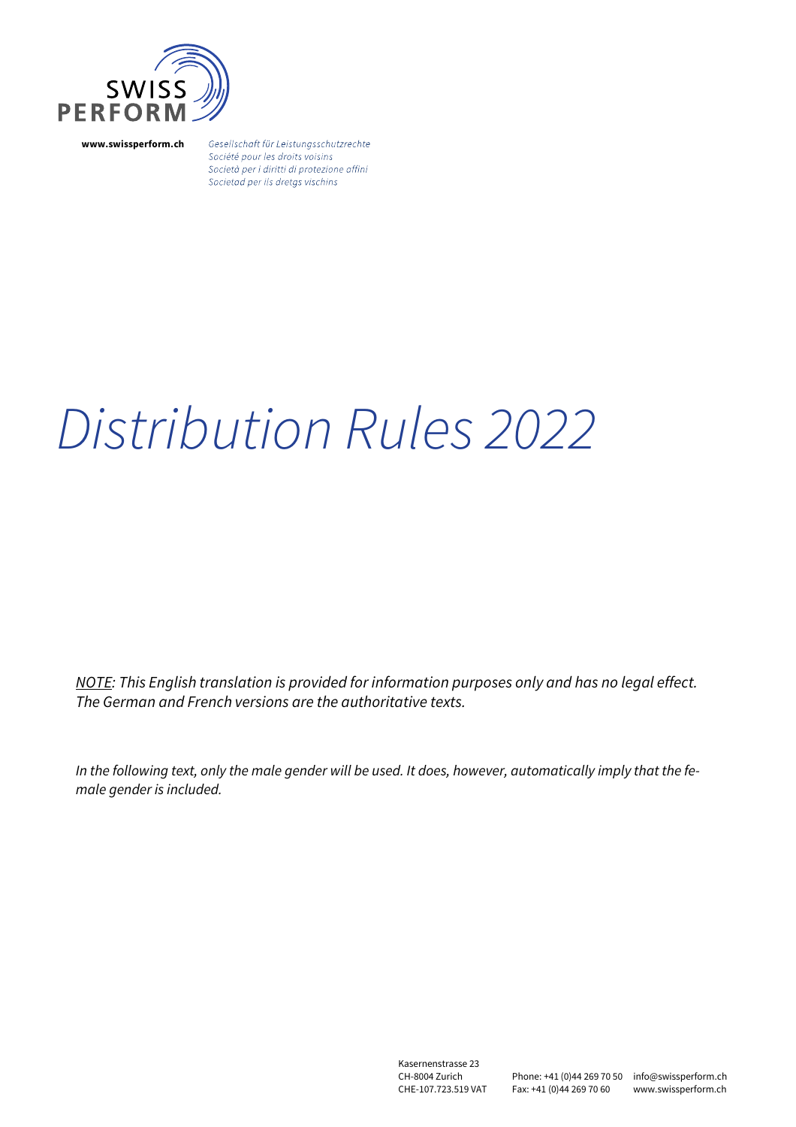

**www.swissperform.ch**

Gesellschaft für Leistungsschutzrechte Société pour les droits voisins Società per i diritti di protezione affini Societad per ils dretgs vischins

# Distribution Rules 2022

NOTE: This English translation is provided for information purposes only and has no legal effect. The German and French versions are the authoritative texts.

In the following text, only the male gender will be used. It does, however, automatically imply that the female gender is included.

> Kasernenstrasse 23 CH-8004 Zurich CHE-107.723.519 VAT

Phone: +41 (0)44 269 70 50 info@swissperform.ch Fax: +41 (0)44 269 70 60

www.swissperform.ch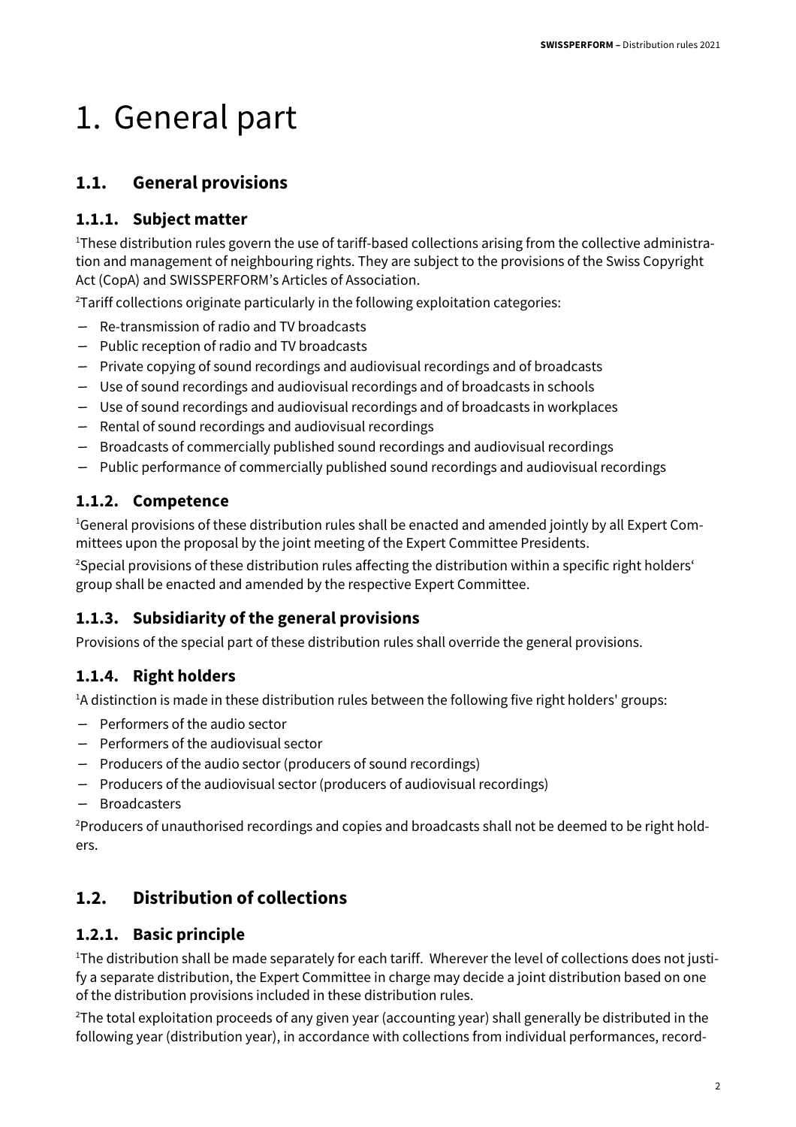## 1. General part

#### **1.1. General provisions**

#### **1.1.1. Subject matter**

<sup>1</sup>These distribution rules govern the use of tariff-based collections arising from the collective administration and management of neighbouring rights. They are subject to the provisions of the Swiss Copyright Act (CopA) and SWISSPERFORM's Articles of Association.

 $2$ Tariff collections originate particularly in the following exploitation categories:

- Re-transmission of radio and TV broadcasts
- Public reception of radio and TV broadcasts
- Private copying of sound recordings and audiovisual recordings and of broadcasts
- Use of sound recordings and audiovisual recordings and of broadcasts in schools
- Use of sound recordings and audiovisual recordings and of broadcasts in workplaces
- Rental of sound recordings and audiovisual recordings
- Broadcasts of commercially published sound recordings and audiovisual recordings
- Public performance of commercially published sound recordings and audiovisual recordings

#### **1.1.2. Competence**

<sup>1</sup>General provisions of these distribution rules shall be enacted and amended jointly by all Expert Committees upon the proposal by the joint meeting of the Expert Committee Presidents.

<sup>2</sup>Special provisions of these distribution rules affecting the distribution within a specific right holders' group shall be enacted and amended by the respective Expert Committee.

#### **1.1.3. Subsidiarity of the general provisions**

Provisions of the special part of these distribution rules shall override the general provisions.

#### **1.1.4. Right holders**

<sup>1</sup>A distinction is made in these distribution rules between the following five right holders' groups:

- Performers of the audio sector
- Performers of the audiovisual sector
- Producers of the audio sector (producers of sound recordings)
- Producers of the audiovisual sector (producers of audiovisual recordings)
- Broadcasters

<sup>2</sup>Producers of unauthorised recordings and copies and broadcasts shall not be deemed to be right holders.

#### **1.2. Distribution of collections**

#### **1.2.1. Basic principle**

<sup>1</sup>The distribution shall be made separately for each tariff. Wherever the level of collections does not justify a separate distribution, the Expert Committee in charge may decide a joint distribution based on one of the distribution provisions included in these distribution rules.

 $2$ The total exploitation proceeds of any given year (accounting year) shall generally be distributed in the following year (distribution year), in accordance with collections from individual performances, record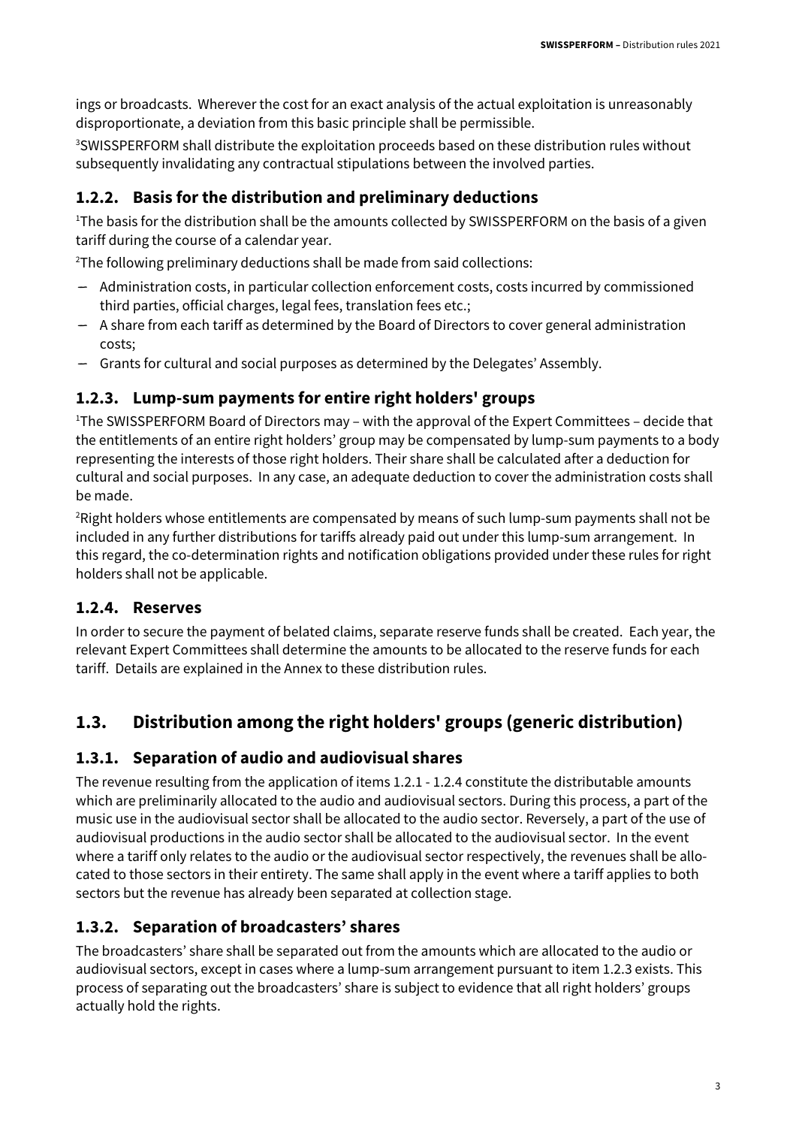ings or broadcasts. Wherever the cost for an exact analysis of the actual exploitation is unreasonably disproportionate, a deviation from this basic principle shall be permissible.

<sup>3</sup>SWISSPERFORM shall distribute the exploitation proceeds based on these distribution rules without subsequently invalidating any contractual stipulations between the involved parties.

#### **1.2.2. Basis for the distribution and preliminary deductions**

<sup>1</sup>The basis for the distribution shall be the amounts collected by SWISSPERFORM on the basis of a given tariff during the course of a calendar year.

 $2$ The following preliminary deductions shall be made from said collections:

- Administration costs, in particular collection enforcement costs, costs incurred by commissioned third parties, official charges, legal fees, translation fees etc.;
- A share from each tariff as determined by the Board of Directors to cover general administration costs;
- Grants for cultural and social purposes as determined by the Delegates' Assembly.

#### **1.2.3. Lump-sum payments for entire right holders' groups**

<sup>1</sup>The SWISSPERFORM Board of Directors may – with the approval of the Expert Committees – decide that the entitlements of an entire right holders' group may be compensated by lump-sum payments to a body representing the interests of those right holders. Their share shall be calculated after a deduction for cultural and social purposes. In any case, an adequate deduction to cover the administration costs shall be made.

<sup>2</sup>Right holders whose entitlements are compensated by means of such lump-sum payments shall not be included in any further distributions for tariffs already paid out under this lump-sum arrangement. In this regard, the co-determination rights and notification obligations provided under these rules for right holders shall not be applicable.

#### **1.2.4. Reserves**

In order to secure the payment of belated claims, separate reserve funds shall be created. Each year, the relevant Expert Committees shall determine the amounts to be allocated to the reserve funds for each tariff. Details are explained in the Annex to these distribution rules.

#### **1.3. Distribution among the right holders' groups (generic distribution)**

#### **1.3.1. Separation of audio and audiovisual shares**

The revenue resulting from the application of items 1.2.1 - 1.2.4 constitute the distributable amounts which are preliminarily allocated to the audio and audiovisual sectors. During this process, a part of the music use in the audiovisual sector shall be allocated to the audio sector. Reversely, a part of the use of audiovisual productions in the audio sector shall be allocated to the audiovisual sector. In the event where a tariff only relates to the audio or the audiovisual sector respectively, the revenues shall be allocated to those sectors in their entirety. The same shall apply in the event where a tariff applies to both sectors but the revenue has already been separated at collection stage.

#### **1.3.2. Separation of broadcasters' shares**

The broadcasters' share shall be separated out from the amounts which are allocated to the audio or audiovisual sectors, except in cases where a lump-sum arrangement pursuant to item 1.2.3 exists. This process of separating out the broadcasters' share is subject to evidence that all right holders' groups actually hold the rights.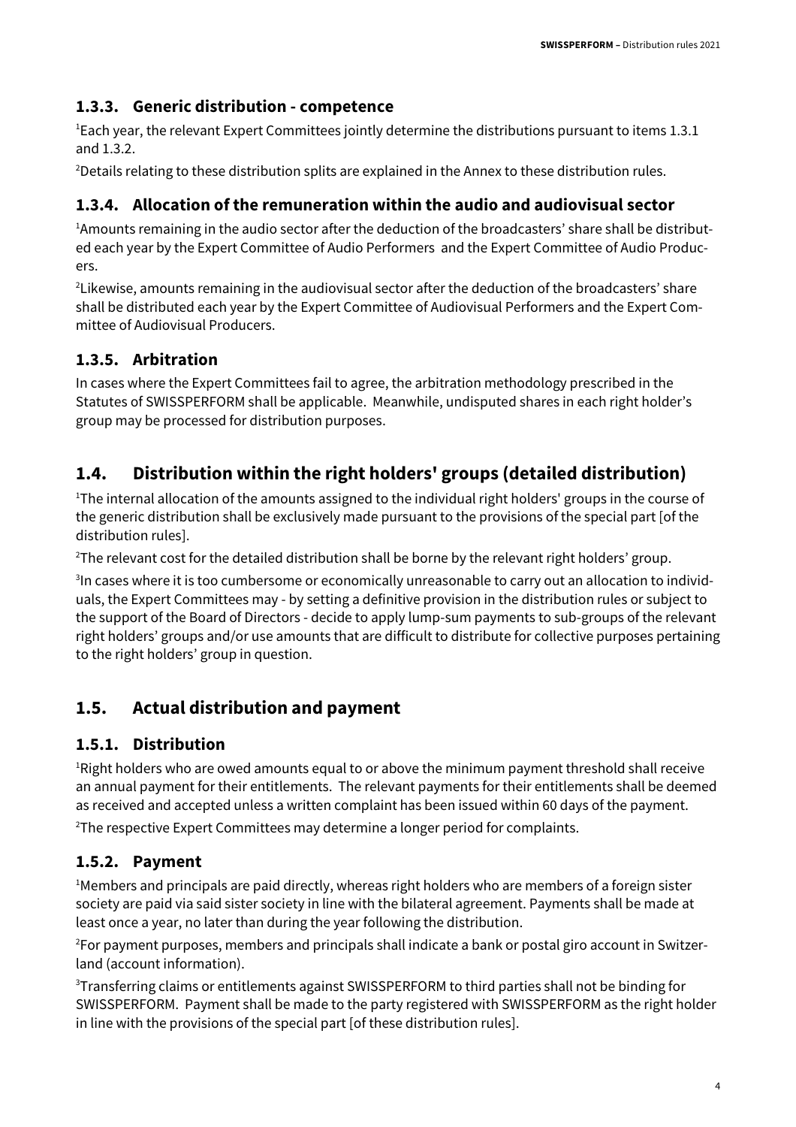#### **1.3.3. Generic distribution - competence**

 $1$ Each year, the relevant Expert Committees jointly determine the distributions pursuant to items 1.3.1 and 1.3.2.

<sup>2</sup>Details relating to these distribution splits are explained in the Annex to these distribution rules.

#### **1.3.4. Allocation of the remuneration within the audio and audiovisual sector**

1Amounts remaining in the audio sector after the deduction of the broadcasters' share shall be distributed each year by the Expert Committee of Audio Performers and the Expert Committee of Audio Producers.

<sup>2</sup> Likewise, amounts remaining in the audiovisual sector after the deduction of the broadcasters' share shall be distributed each year by the Expert Committee of Audiovisual Performers and the Expert Committee of Audiovisual Producers.

#### **1.3.5. Arbitration**

In cases where the Expert Committees fail to agree, the arbitration methodology prescribed in the Statutes of SWISSPERFORM shall be applicable. Meanwhile, undisputed shares in each right holder's group may be processed for distribution purposes.

#### **1.4. Distribution within the right holders' groups (detailed distribution)**

<sup>1</sup>The internal allocation of the amounts assigned to the individual right holders' groups in the course of the generic distribution shall be exclusively made pursuant to the provisions of the special part [of the distribution rules].

<sup>2</sup>The relevant cost for the detailed distribution shall be borne by the relevant right holders' group.

3 In cases where it is too cumbersome or economically unreasonable to carry out an allocation to individuals, the Expert Committees may - by setting a definitive provision in the distribution rules or subject to the support of the Board of Directors - decide to apply lump-sum payments to sub-groups of the relevant right holders' groups and/or use amounts that are difficult to distribute for collective purposes pertaining to the right holders' group in question.

#### **1.5. Actual distribution and payment**

#### **1.5.1. Distribution**

<sup>1</sup>Right holders who are owed amounts equal to or above the minimum payment threshold shall receive an annual payment for their entitlements. The relevant payments for their entitlements shall be deemed as received and accepted unless a written complaint has been issued within 60 days of the payment.

<sup>2</sup>The respective Expert Committees may determine a longer period for complaints.

#### **1.5.2. Payment**

<sup>1</sup>Members and principals are paid directly, whereas right holders who are members of a foreign sister society are paid via said sister society in line with the bilateral agreement. Payments shall be made at least once a year, no later than during the year following the distribution.

2For payment purposes, members and principals shall indicate a bank or postal giro account in Switzerland (account information).

<sup>3</sup>Transferring claims or entitlements against SWISSPERFORM to third parties shall not be binding for SWISSPERFORM. Payment shall be made to the party registered with SWISSPERFORM as the right holder in line with the provisions of the special part [of these distribution rules].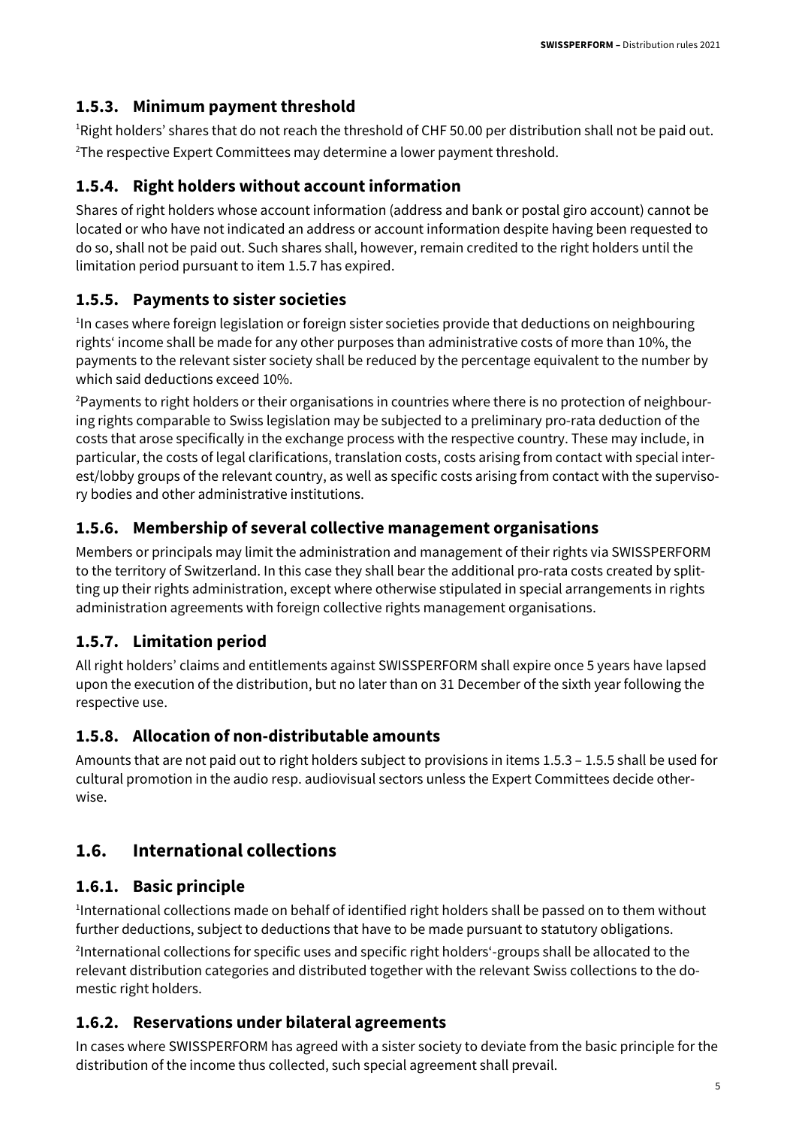#### **1.5.3. Minimum payment threshold**

<sup>1</sup>Right holders' shares that do not reach the threshold of CHF 50.00 per distribution shall not be paid out. <sup>2</sup>The respective Expert Committees may determine a lower payment threshold.

#### **1.5.4. Right holders without account information**

Shares of right holders whose account information (address and bank or postal giro account) cannot be located or who have not indicated an address or account information despite having been requested to do so, shall not be paid out. Such shares shall, however, remain credited to the right holders until the limitation period pursuant to item 1.5.7 has expired.

#### **1.5.5. Payments to sister societies**

<sup>1</sup>In cases where foreign legislation or foreign sister societies provide that deductions on neighbouring rights' income shall be made for any other purposes than administrative costs of more than 10%, the payments to the relevant sister society shall be reduced by the percentage equivalent to the number by which said deductions exceed 10%.

<sup>2</sup>Payments to right holders or their organisations in countries where there is no protection of neighbouring rights comparable to Swiss legislation may be subjected to a preliminary pro-rata deduction of the costs that arose specifically in the exchange process with the respective country. These may include, in particular, the costs of legal clarifications, translation costs, costs arising from contact with special interest/lobby groups of the relevant country, as well as specific costs arising from contact with the supervisory bodies and other administrative institutions.

#### **1.5.6. Membership of several collective management organisations**

Members or principals may limit the administration and management of their rights via SWISSPERFORM to the territory of Switzerland. In this case they shall bear the additional pro-rata costs created by splitting up their rights administration, except where otherwise stipulated in special arrangements in rights administration agreements with foreign collective rights management organisations.

#### **1.5.7. Limitation period**

All right holders' claims and entitlements against SWISSPERFORM shall expire once 5 years have lapsed upon the execution of the distribution, but no later than on 31 December of the sixth year following the respective use.

#### **1.5.8. Allocation of non-distributable amounts**

Amounts that are not paid out to right holders subject to provisions in items 1.5.3 – 1.5.5 shall be used for cultural promotion in the audio resp. audiovisual sectors unless the Expert Committees decide otherwise.

#### **1.6. International collections**

#### **1.6.1. Basic principle**

1 International collections made on behalf of identified right holders shall be passed on to them without further deductions, subject to deductions that have to be made pursuant to statutory obligations.

2 International collections for specific uses and specific right holders'-groups shall be allocated to the relevant distribution categories and distributed together with the relevant Swiss collections to the domestic right holders.

#### **1.6.2. Reservations under bilateral agreements**

In cases where SWISSPERFORM has agreed with a sister society to deviate from the basic principle for the distribution of the income thus collected, such special agreement shall prevail.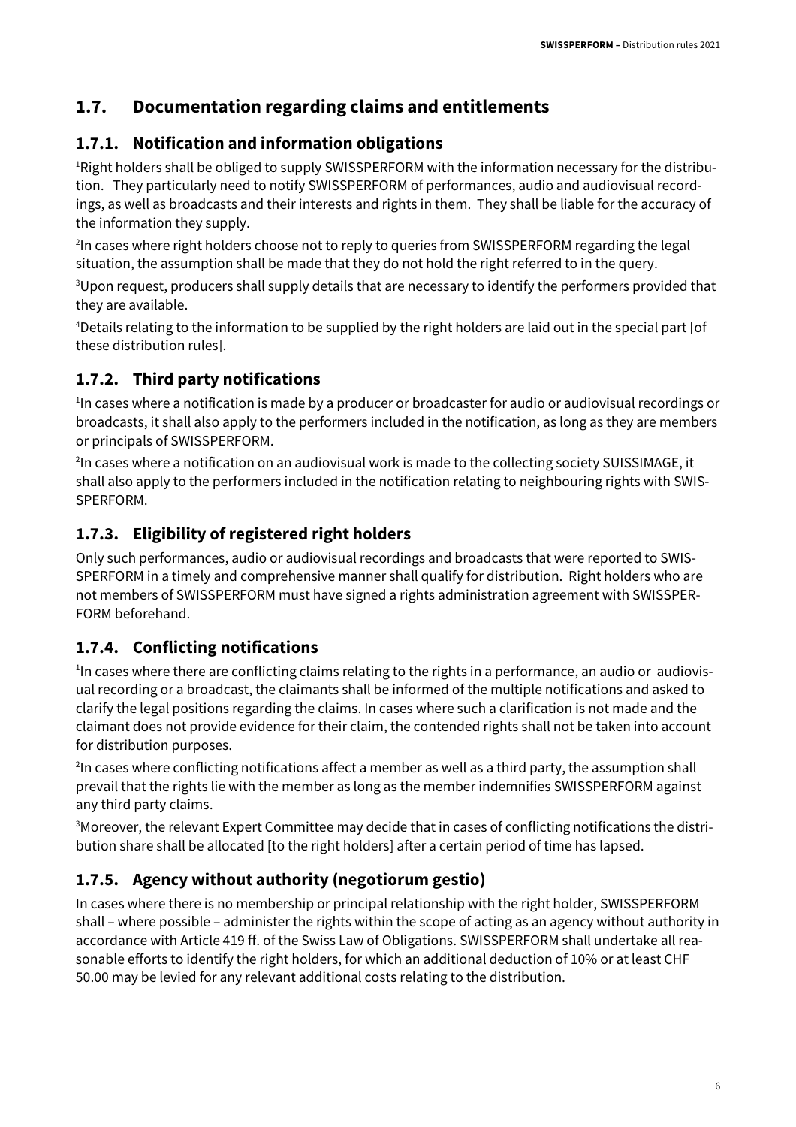#### **1.7. Documentation regarding claims and entitlements**

#### **1.7.1. Notification and information obligations**

<sup>1</sup>Right holders shall be obliged to supply SWISSPERFORM with the information necessary for the distribution. They particularly need to notify SWISSPERFORM of performances, audio and audiovisual recordings, as well as broadcasts and their interests and rights in them. They shall be liable for the accuracy of the information they supply.

<sup>2</sup>In cases where right holders choose not to reply to queries from SWISSPERFORM regarding the legal situation, the assumption shall be made that they do not hold the right referred to in the query.

<sup>3</sup>Upon request, producers shall supply details that are necessary to identify the performers provided that they are available.

<sup>4</sup>Details relating to the information to be supplied by the right holders are laid out in the special part [of these distribution rules].

#### **1.7.2. Third party notifications**

<sup>1</sup>In cases where a notification is made by a producer or broadcaster for audio or audiovisual recordings or broadcasts, it shall also apply to the performers included in the notification, as long as they are members or principals of SWISSPERFORM.

2 In cases where a notification on an audiovisual work is made to the collecting society SUISSIMAGE, it shall also apply to the performers included in the notification relating to neighbouring rights with SWIS-SPERFORM.

#### **1.7.3. Eligibility of registered right holders**

Only such performances, audio or audiovisual recordings and broadcasts that were reported to SWIS-SPERFORM in a timely and comprehensive manner shall qualify for distribution. Right holders who are not members of SWISSPERFORM must have signed a rights administration agreement with SWISSPER-FORM beforehand.

#### **1.7.4. Conflicting notifications**

<sup>1</sup>In cases where there are conflicting claims relating to the rights in a performance, an audio or audiovisual recording or a broadcast, the claimants shall be informed of the multiple notifications and asked to clarify the legal positions regarding the claims. In cases where such a clarification is not made and the claimant does not provide evidence for their claim, the contended rights shall not be taken into account for distribution purposes.

<sup>2</sup>In cases where conflicting notifications affect a member as well as a third party, the assumption shall prevail that the rights lie with the member as long as the member indemnifies SWISSPERFORM against any third party claims.

<sup>3</sup>Moreover, the relevant Expert Committee may decide that in cases of conflicting notifications the distribution share shall be allocated [to the right holders] after a certain period of time has lapsed.

#### **1.7.5. Agency without authority (negotiorum gestio)**

In cases where there is no membership or principal relationship with the right holder, SWISSPERFORM shall – where possible – administer the rights within the scope of acting as an agency without authority in accordance with Article 419 ff. of the Swiss Law of Obligations. SWISSPERFORM shall undertake all reasonable efforts to identify the right holders, for which an additional deduction of 10% or at least CHF 50.00 may be levied for any relevant additional costs relating to the distribution.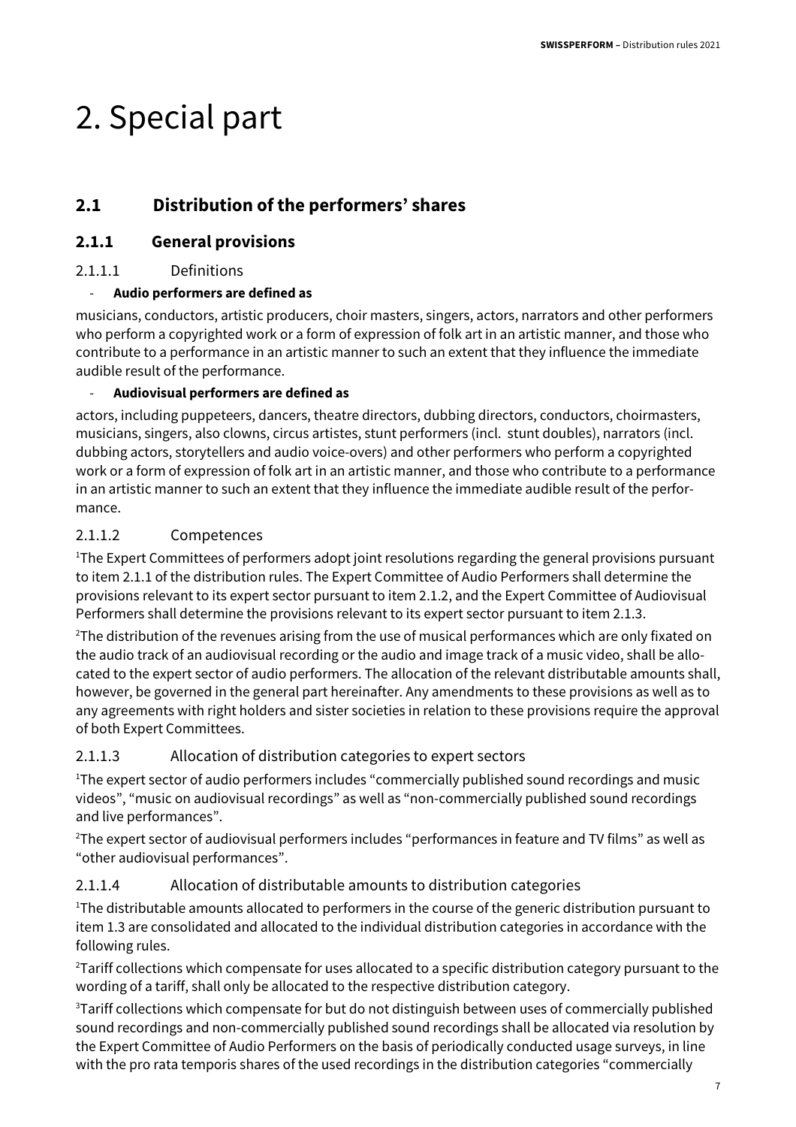## 2. Special part

### **2.1 Distribution of the performers' shares**

#### **2.1.1 General provisions**

#### 2.1.1.1 Definitions

#### - **Audio performers are defined as**

musicians, conductors, artistic producers, choir masters, singers, actors, narrators and other performers who perform a copyrighted work or a form of expression of folk art in an artistic manner, and those who contribute to a performance in an artistic manner to such an extent that they influence the immediate audible result of the performance.

#### - **Audiovisual performers are defined as**

actors, including puppeteers, dancers, theatre directors, dubbing directors, conductors, choirmasters, musicians, singers, also clowns, circus artistes, stunt performers (incl. stunt doubles), narrators (incl. dubbing actors, storytellers and audio voice-overs) and other performers who perform a copyrighted work or a form of expression of folk art in an artistic manner, and those who contribute to a performance in an artistic manner to such an extent that they influence the immediate audible result of the performance.

#### 2.1.1.2 Competences

<sup>1</sup>The Expert Committees of performers adopt joint resolutions regarding the general provisions pursuant to item 2.1.1 of the distribution rules. The Expert Committee of Audio Performers shall determine the provisions relevant to its expert sector pursuant to item 2.1.2, and the Expert Committee of Audiovisual Performers shall determine the provisions relevant to its expert sector pursuant to item 2.1.3.

<sup>2</sup>The distribution of the revenues arising from the use of musical performances which are only fixated on the audio track of an audiovisual recording or the audio and image track of a music video, shall be allocated to the expert sector of audio performers. The allocation of the relevant distributable amounts shall, however, be governed in the general part hereinafter. Any amendments to these provisions as well as to any agreements with right holders and sister societies in relation to these provisions require the approval of both Expert Committees.

#### 2.1.1.3 Allocation of distribution categories to expert sectors

<sup>1</sup>The expert sector of audio performers includes "commercially published sound recordings and music videos", "music on audiovisual recordings" as well as "non-commercially published sound recordings and live performances".

<sup>2</sup>The expert sector of audiovisual performers includes "performances in feature and TV films" as well as "other audiovisual performances".

#### 2.1.1.4 Allocation of distributable amounts to distribution categories

<sup>1</sup>The distributable amounts allocated to performers in the course of the generic distribution pursuant to item 1.3 are consolidated and allocated to the individual distribution categories in accordance with the following rules.

<sup>2</sup>Tariff collections which compensate for uses allocated to a specific distribution category pursuant to the wording of a tariff, shall only be allocated to the respective distribution category.

<sup>3</sup>Tariff collections which compensate for but do not distinguish between uses of commercially published sound recordings and non-commercially published sound recordings shall be allocated via resolution by the Expert Committee of Audio Performers on the basis of periodically conducted usage surveys, in line with the pro rata temporis shares of the used recordings in the distribution categories "commercially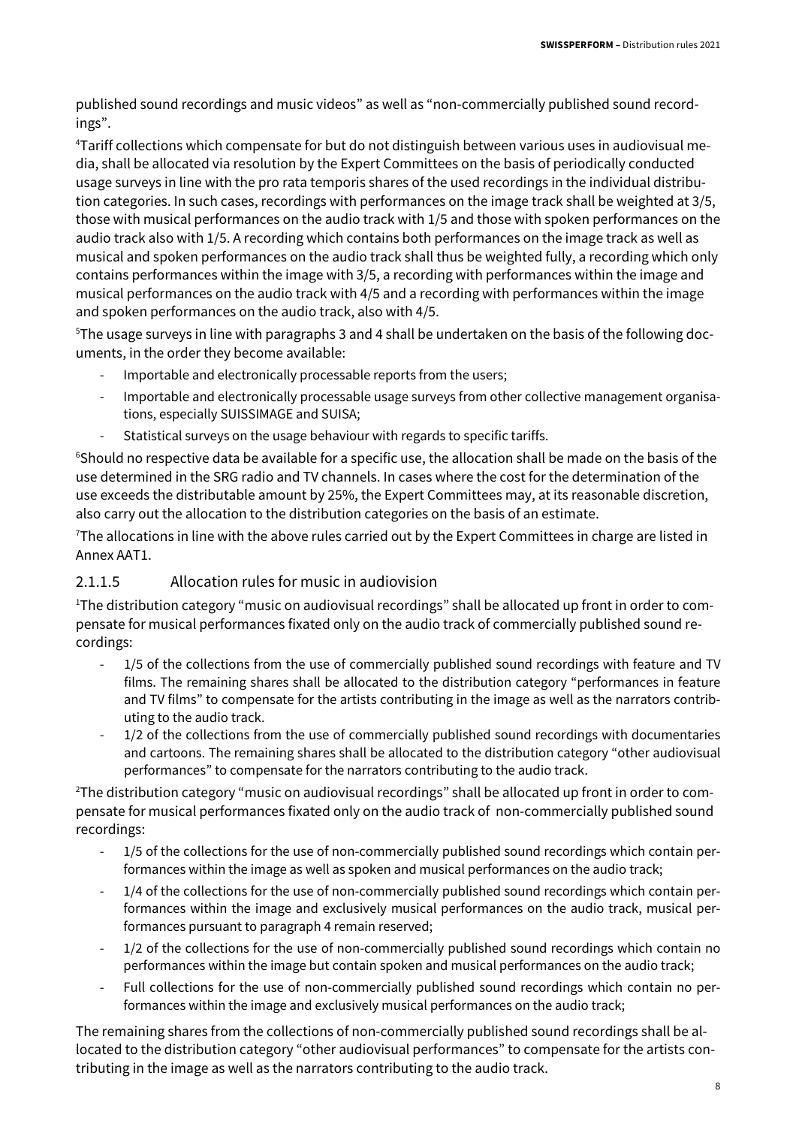published sound recordings and music videos" as well as "non-commercially published sound recordings".

4Tariff collections which compensate for but do not distinguish between various uses in audiovisual media, shall be allocated via resolution by the Expert Committees on the basis of periodically conducted usage surveys in line with the pro rata temporis shares of the used recordings in the individual distribution categories. In such cases, recordings with performances on the image track shall be weighted at 3/5, those with musical performances on the audio track with 1/5 and those with spoken performances on the audio track also with 1/5. A recording which contains both performances on the image track as well as musical and spoken performances on the audio track shall thus be weighted fully, a recording which only contains performances within the image with 3/5, a recording with performances within the image and musical performances on the audio track with 4/5 and a recording with performances within the image and spoken performances on the audio track, also with 4/5.

5The usage surveys in line with paragraphs 3 and 4 shall be undertaken on the basis of the following documents, in the order they become available:

- Importable and electronically processable reports from the users;
- Importable and electronically processable usage surveys from other collective management organisations, especially SUISSIMAGE and SUISA;
- Statistical surveys on the usage behaviour with regards to specific tariffs.

<sup>6</sup>Should no respective data be available for a specific use, the allocation shall be made on the basis of the use determined in the SRG radio and TV channels. In cases where the cost for the determination of the use exceeds the distributable amount by 25%, the Expert Committees may, at its reasonable discretion, also carry out the allocation to the distribution categories on the basis of an estimate.

 $7$ The allocations in line with the above rules carried out by the Expert Committees in charge are listed in Annex AAT1.

#### 2.1.1.5 Allocation rules for music in audiovision

<sup>1</sup>The distribution category "music on audiovisual recordings" shall be allocated up front in order to compensate for musical performances fixated only on the audio track of commercially published sound recordings:

- 1/5 of the collections from the use of commercially published sound recordings with feature and TV films. The remaining shares shall be allocated to the distribution category "performances in feature and TV films" to compensate for the artists contributing in the image as well as the narrators contributing to the audio track.
- 1/2 of the collections from the use of commercially published sound recordings with documentaries and cartoons. The remaining shares shall be allocated to the distribution category "other audiovisual performances" to compensate for the narrators contributing to the audio track.

<sup>2</sup>The distribution category "music on audiovisual recordings" shall be allocated up front in order to compensate for musical performances fixated only on the audio track of non-commercially published sound recordings:

- 1/5 of the collections for the use of non-commercially published sound recordings which contain performances within the image as well as spoken and musical performances on the audio track;
- 1/4 of the collections for the use of non-commercially published sound recordings which contain performances within the image and exclusively musical performances on the audio track, musical performances pursuant to paragraph 4 remain reserved;
- 1/2 of the collections for the use of non-commercially published sound recordings which contain no performances within the image but contain spoken and musical performances on the audio track;
- Full collections for the use of non-commercially published sound recordings which contain no performances within the image and exclusively musical performances on the audio track;

The remaining shares from the collections of non-commercially published sound recordings shall be allocated to the distribution category "other audiovisual performances" to compensate for the artists contributing in the image as well as the narrators contributing to the audio track.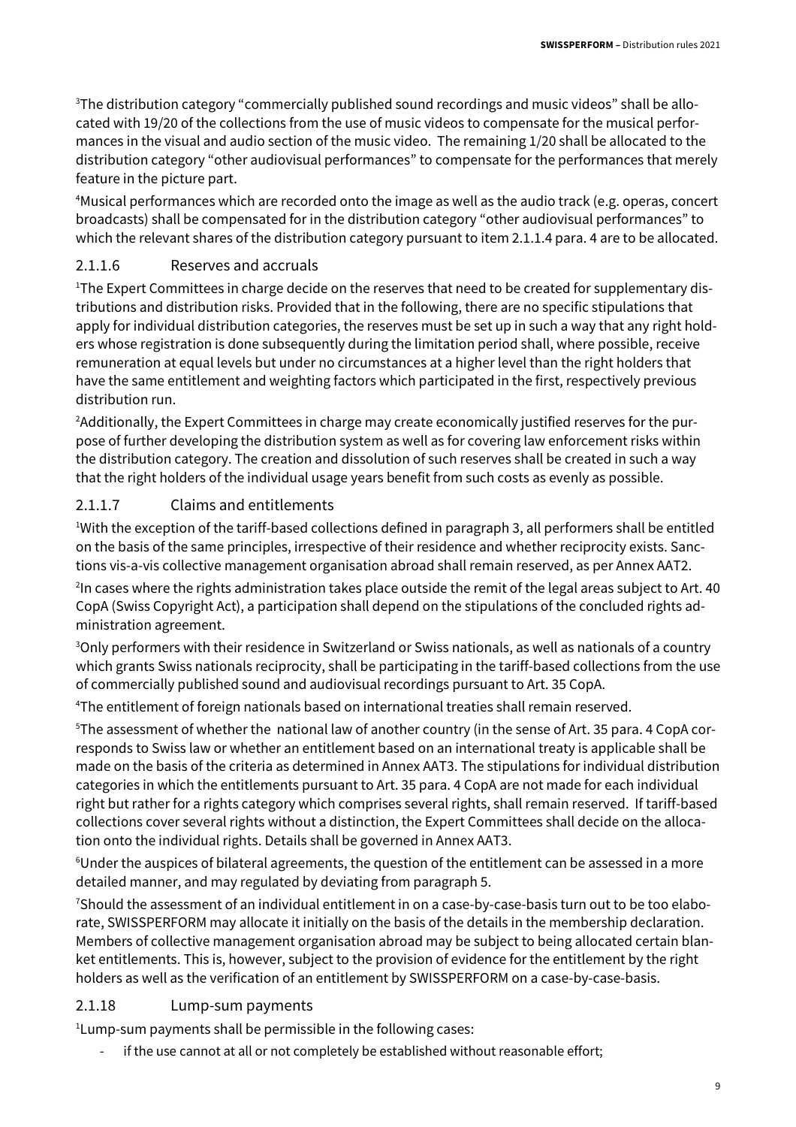3The distribution category "commercially published sound recordings and music videos" shall be allocated with 19/20 of the collections from the use of music videos to compensate for the musical performances in the visual and audio section of the music video. The remaining 1/20 shall be allocated to the distribution category "other audiovisual performances" to compensate for the performances that merely feature in the picture part.

<sup>4</sup>Musical performances which are recorded onto the image as well as the audio track (e.g. operas, concert broadcasts) shall be compensated for in the distribution category "other audiovisual performances" to which the relevant shares of the distribution category pursuant to item 2.1.1.4 para. 4 are to be allocated.

#### 2.1.1.6 Reserves and accruals

<sup>1</sup>The Expert Committees in charge decide on the reserves that need to be created for supplementary distributions and distribution risks. Provided that in the following, there are no specific stipulations that apply for individual distribution categories, the reserves must be set up in such a way that any right holders whose registration is done subsequently during the limitation period shall, where possible, receive remuneration at equal levels but under no circumstances at a higher level than the right holders that have the same entitlement and weighting factors which participated in the first, respectively previous distribution run.

<sup>2</sup>Additionally, the Expert Committees in charge may create economically justified reserves for the purpose of further developing the distribution system as well as for covering law enforcement risks within the distribution category. The creation and dissolution of such reserves shall be created in such a way that the right holders of the individual usage years benefit from such costs as evenly as possible.

#### 2.1.1.7 Claims and entitlements

<sup>1</sup>With the exception of the tariff-based collections defined in paragraph 3, all performers shall be entitled on the basis of the same principles, irrespective of their residence and whether reciprocity exists. Sanctions vis-a-vis collective management organisation abroad shall remain reserved, as per Annex AAT2.

<sup>2</sup>In cases where the rights administration takes place outside the remit of the legal areas subject to Art. 40 CopA (Swiss Copyright Act), a participation shall depend on the stipulations of the concluded rights administration agreement.

<sup>3</sup>Only performers with their residence in Switzerland or Swiss nationals, as well as nationals of a country which grants Swiss nationals reciprocity, shall be participating in the tariff-based collections from the use of commercially published sound and audiovisual recordings pursuant to Art. 35 CopA.

<sup>4</sup>The entitlement of foreign nationals based on international treaties shall remain reserved.

<sup>5</sup>The assessment of whether the national law of another country (in the sense of Art. 35 para. 4 CopA corresponds to Swiss law or whether an entitlement based on an international treaty is applicable shall be made on the basis of the criteria as determined in Annex AAT3. The stipulations for individual distribution categories in which the entitlements pursuant to Art. 35 para. 4 CopA are not made for each individual right but rather for a rights category which comprises several rights, shall remain reserved. If tariff-based collections cover several rights without a distinction, the Expert Committees shall decide on the allocation onto the individual rights. Details shall be governed in Annex AAT3.

<sup>6</sup>Under the auspices of bilateral agreements, the question of the entitlement can be assessed in a more detailed manner, and may regulated by deviating from paragraph 5.

7Should the assessment of an individual entitlement in on a case-by-case-basis turn out to be too elaborate, SWISSPERFORM may allocate it initially on the basis of the details in the membership declaration. Members of collective management organisation abroad may be subject to being allocated certain blanket entitlements. This is, however, subject to the provision of evidence for the entitlement by the right holders as well as the verification of an entitlement by SWISSPERFORM on a case-by-case-basis.

#### 2.1.18 Lump-sum payments

<sup>1</sup> Lump-sum payments shall be permissible in the following cases:

if the use cannot at all or not completely be established without reasonable effort;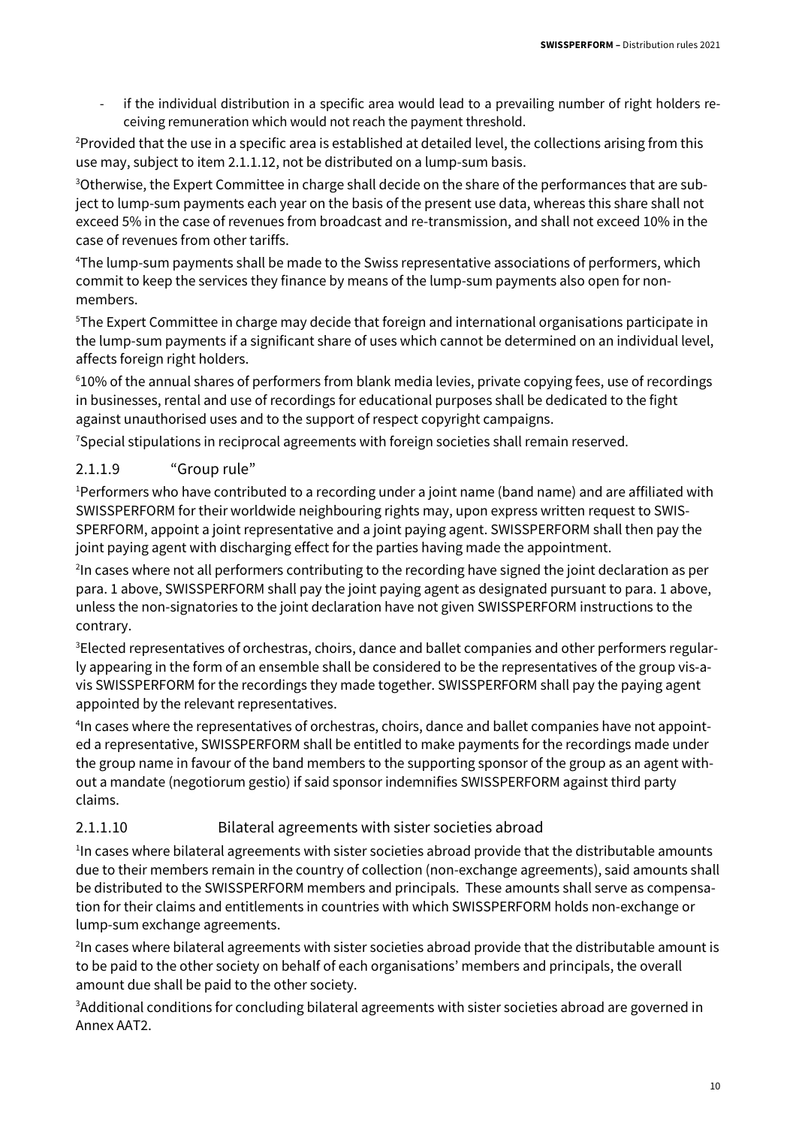if the individual distribution in a specific area would lead to a prevailing number of right holders receiving remuneration which would not reach the payment threshold.

<sup>2</sup>Provided that the use in a specific area is established at detailed level, the collections arising from this use may, subject to item 2.1.1.12, not be distributed on a lump-sum basis.

<sup>3</sup>Otherwise, the Expert Committee in charge shall decide on the share of the performances that are subject to lump-sum payments each year on the basis of the present use data, whereas this share shall not exceed 5% in the case of revenues from broadcast and re-transmission, and shall not exceed 10% in the case of revenues from other tariffs.

<sup>4</sup>The lump-sum payments shall be made to the Swiss representative associations of performers, which commit to keep the services they finance by means of the lump-sum payments also open for nonmembers.

<sup>5</sup>The Expert Committee in charge may decide that foreign and international organisations participate in the lump-sum payments if a significant share of uses which cannot be determined on an individual level, affects foreign right holders.

<sup>6</sup>10% of the annual shares of performers from blank media levies, private copying fees, use of recordings in businesses, rental and use of recordings for educational purposes shall be dedicated to the fight against unauthorised uses and to the support of respect copyright campaigns.

<sup>7</sup>Special stipulations in reciprocal agreements with foreign societies shall remain reserved.

#### 2.1.1.9 "Group rule"

<sup>1</sup>Performers who have contributed to a recording under a joint name (band name) and are affiliated with SWISSPERFORM for their worldwide neighbouring rights may, upon express written request to SWIS-SPERFORM, appoint a joint representative and a joint paying agent. SWISSPERFORM shall then pay the joint paying agent with discharging effect for the parties having made the appointment.

<sup>2</sup>In cases where not all performers contributing to the recording have signed the joint declaration as per para. 1 above, SWISSPERFORM shall pay the joint paying agent as designated pursuant to para. 1 above, unless the non-signatories to the joint declaration have not given SWISSPERFORM instructions to the contrary.

<sup>3</sup>Elected representatives of orchestras, choirs, dance and ballet companies and other performers regularly appearing in the form of an ensemble shall be considered to be the representatives of the group vis-avis SWISSPERFORM for the recordings they made together. SWISSPERFORM shall pay the paying agent appointed by the relevant representatives.

4 In cases where the representatives of orchestras, choirs, dance and ballet companies have not appointed a representative, SWISSPERFORM shall be entitled to make payments for the recordings made under the group name in favour of the band members to the supporting sponsor of the group as an agent without a mandate (negotiorum gestio) if said sponsor indemnifies SWISSPERFORM against third party claims.

#### 2.1.1.10 Bilateral agreements with sister societies abroad

<sup>1</sup>In cases where bilateral agreements with sister societies abroad provide that the distributable amounts due to their members remain in the country of collection (non-exchange agreements), said amounts shall be distributed to the SWISSPERFORM members and principals. These amounts shall serve as compensation for their claims and entitlements in countries with which SWISSPERFORM holds non-exchange or lump-sum exchange agreements.

2 In cases where bilateral agreements with sister societies abroad provide that the distributable amount is to be paid to the other society on behalf of each organisations' members and principals, the overall amount due shall be paid to the other society.

<sup>3</sup>Additional conditions for concluding bilateral agreements with sister societies abroad are governed in Annex AAT2.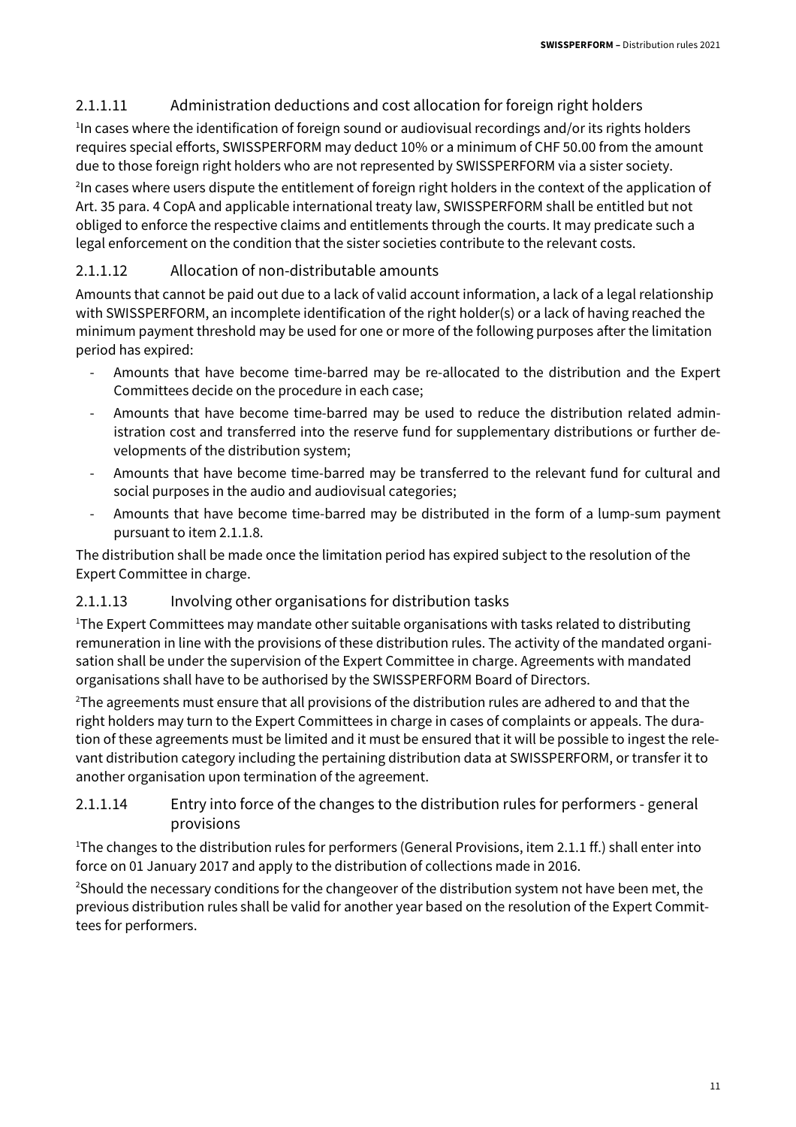#### 2.1.1.11 Administration deductions and cost allocation for foreign right holders

<sup>1</sup>In cases where the identification of foreign sound or audiovisual recordings and/or its rights holders requires special efforts, SWISSPERFORM may deduct 10% or a minimum of CHF 50.00 from the amount due to those foreign right holders who are not represented by SWISSPERFORM via a sister society.

<sup>2</sup>In cases where users dispute the entitlement of foreign right holders in the context of the application of Art. 35 para. 4 CopA and applicable international treaty law, SWISSPERFORM shall be entitled but not obliged to enforce the respective claims and entitlements through the courts. It may predicate such a legal enforcement on the condition that the sister societies contribute to the relevant costs.

#### 2.1.1.12 Allocation of non-distributable amounts

Amounts that cannot be paid out due to a lack of valid account information, a lack of a legal relationship with SWISSPERFORM, an incomplete identification of the right holder(s) or a lack of having reached the minimum payment threshold may be used for one or more of the following purposes after the limitation period has expired:

- Amounts that have become time-barred may be re-allocated to the distribution and the Expert Committees decide on the procedure in each case;
- Amounts that have become time-barred may be used to reduce the distribution related administration cost and transferred into the reserve fund for supplementary distributions or further developments of the distribution system;
- Amounts that have become time-barred may be transferred to the relevant fund for cultural and social purposes in the audio and audiovisual categories;
- Amounts that have become time-barred may be distributed in the form of a lump-sum payment pursuant to item 2.1.1.8.

The distribution shall be made once the limitation period has expired subject to the resolution of the Expert Committee in charge.

#### 2.1.1.13 Involving other organisations for distribution tasks

<sup>1</sup>The Expert Committees may mandate other suitable organisations with tasks related to distributing remuneration in line with the provisions of these distribution rules. The activity of the mandated organisation shall be under the supervision of the Expert Committee in charge. Agreements with mandated organisations shall have to be authorised by the SWISSPERFORM Board of Directors.

<sup>2</sup>The agreements must ensure that all provisions of the distribution rules are adhered to and that the right holders may turn to the Expert Committees in charge in cases of complaints or appeals. The duration of these agreements must be limited and it must be ensured that it will be possible to ingest the relevant distribution category including the pertaining distribution data at SWISSPERFORM, or transfer it to another organisation upon termination of the agreement.

#### 2.1.1.14 Entry into force of the changes to the distribution rules for performers - general provisions

<sup>1</sup>The changes to the distribution rules for performers (General Provisions, item 2.1.1 ff.) shall enter into force on 01 January 2017 and apply to the distribution of collections made in 2016.

<sup>2</sup>Should the necessary conditions for the changeover of the distribution system not have been met, the previous distribution rules shall be valid for another year based on the resolution of the Expert Committees for performers.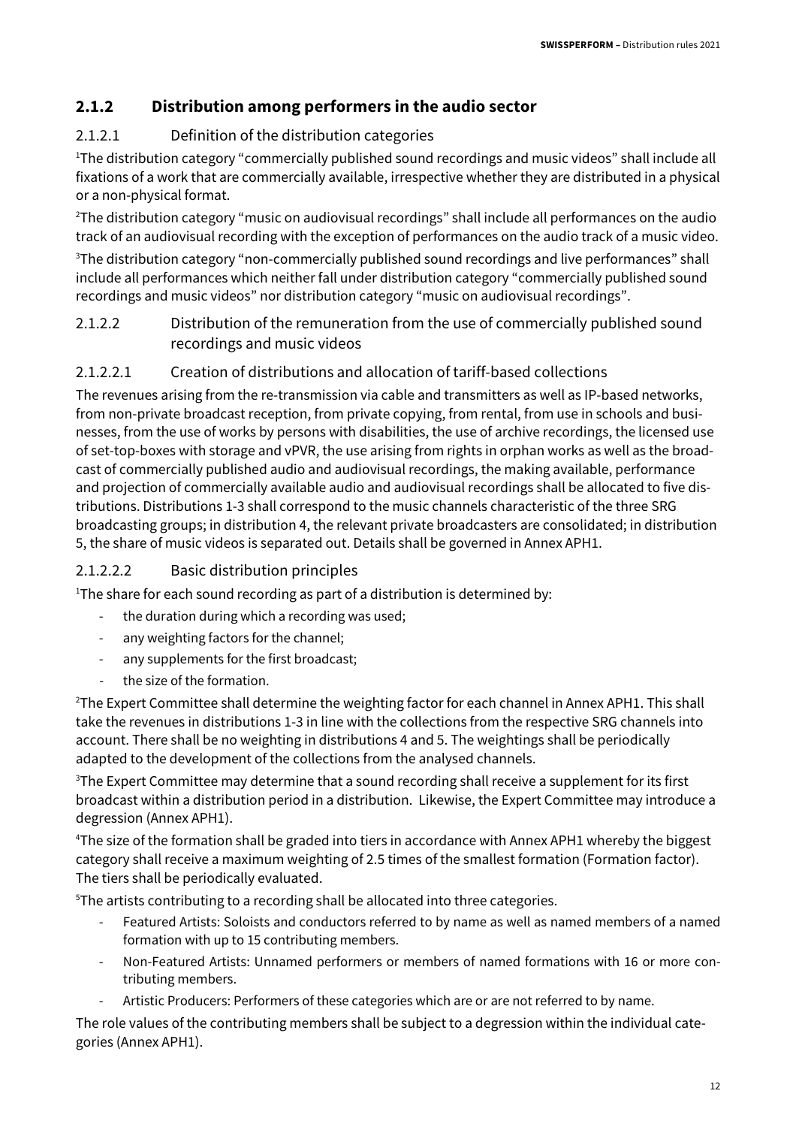#### **2.1.2 Distribution among performers in the audio sector**

#### 2.1.2.1 Definition of the distribution categories

<sup>1</sup>The distribution category "commercially published sound recordings and music videos" shall include all fixations of a work that are commercially available, irrespective whether they are distributed in a physical or a non-physical format.

<sup>2</sup>The distribution category "music on audiovisual recordings" shall include all performances on the audio track of an audiovisual recording with the exception of performances on the audio track of a music video.

<sup>3</sup>The distribution category "non-commercially published sound recordings and live performances" shall include all performances which neither fall under distribution category "commercially published sound recordings and music videos" nor distribution category "music on audiovisual recordings".

2.1.2.2 Distribution of the remuneration from the use of commercially published sound recordings and music videos

#### 2.1.2.2.1 Creation of distributions and allocation of tariff-based collections

The revenues arising from the re-transmission via cable and transmitters as well as IP-based networks, from non-private broadcast reception, from private copying, from rental, from use in schools and businesses, from the use of works by persons with disabilities, the use of archive recordings, the licensed use of set-top-boxes with storage and vPVR, the use arising from rights in orphan works as well as the broadcast of commercially published audio and audiovisual recordings, the making available, performance and projection of commercially available audio and audiovisual recordings shall be allocated to five distributions. Distributions 1-3 shall correspond to the music channels characteristic of the three SRG broadcasting groups; in distribution 4, the relevant private broadcasters are consolidated; in distribution 5, the share of music videos is separated out. Details shall be governed in Annex APH1.

#### 2.1.2.2.2 Basic distribution principles

<sup>1</sup>The share for each sound recording as part of a distribution is determined by:

- the duration during which a recording was used;
- any weighting factors for the channel;
- any supplements for the first broadcast;
- the size of the formation.

<sup>2</sup>The Expert Committee shall determine the weighting factor for each channel in Annex APH1. This shall take the revenues in distributions 1-3 in line with the collections from the respective SRG channels into account. There shall be no weighting in distributions 4 and 5. The weightings shall be periodically adapted to the development of the collections from the analysed channels.

 $3$ The Expert Committee may determine that a sound recording shall receive a supplement for its first broadcast within a distribution period in a distribution. Likewise, the Expert Committee may introduce a degression (Annex APH1).

<sup>4</sup>The size of the formation shall be graded into tiers in accordance with Annex APH1 whereby the biggest category shall receive a maximum weighting of 2.5 times of the smallest formation (Formation factor). The tiers shall be periodically evaluated.

<sup>5</sup>The artists contributing to a recording shall be allocated into three categories.

- Featured Artists: Soloists and conductors referred to by name as well as named members of a named formation with up to 15 contributing members.
- Non-Featured Artists: Unnamed performers or members of named formations with 16 or more contributing members.
- Artistic Producers: Performers of these categories which are or are not referred to by name.

The role values of the contributing members shall be subject to a degression within the individual categories (Annex APH1).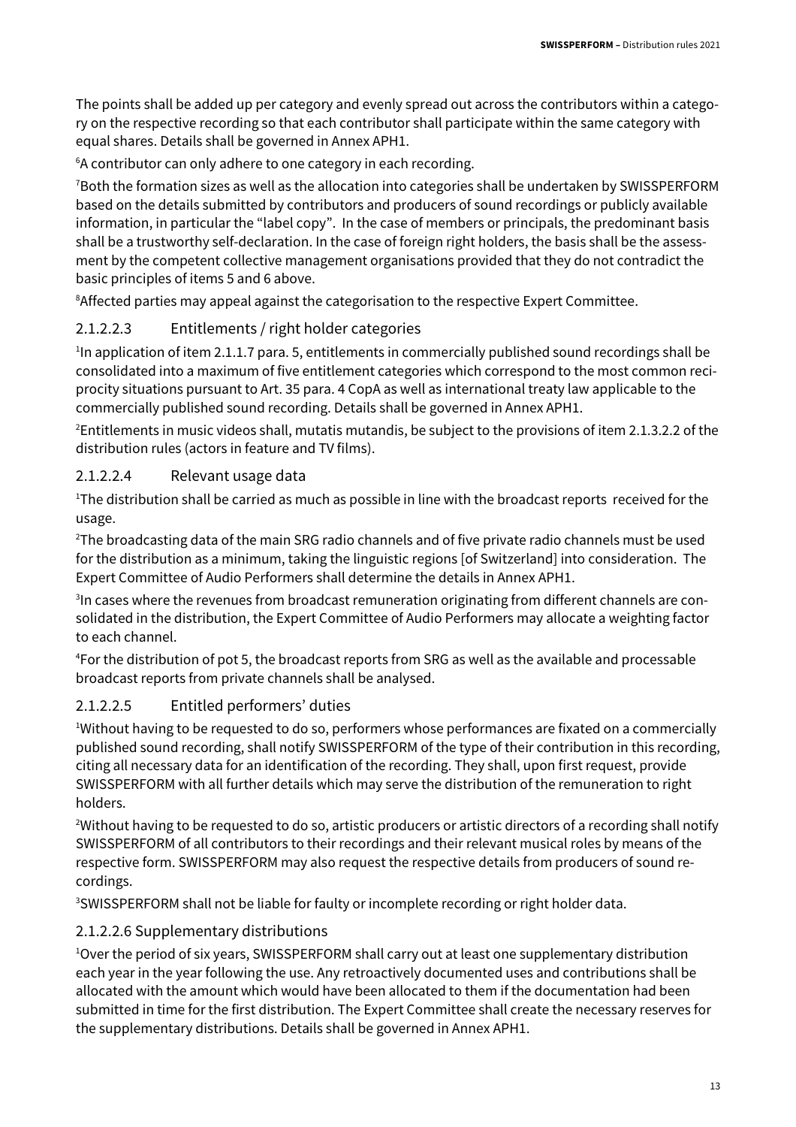The points shall be added up per category and evenly spread out across the contributors within a category on the respective recording so that each contributor shall participate within the same category with equal shares. Details shall be governed in Annex APH1.

<sup>6</sup>A contributor can only adhere to one category in each recording.

<sup>7</sup>Both the formation sizes as well as the allocation into categories shall be undertaken by SWISSPERFORM based on the details submitted by contributors and producers of sound recordings or publicly available information, in particular the "label copy". In the case of members or principals, the predominant basis shall be a trustworthy self-declaration. In the case of foreign right holders, the basis shall be the assessment by the competent collective management organisations provided that they do not contradict the basic principles of items 5 and 6 above.

<sup>8</sup>Affected parties may appeal against the categorisation to the respective Expert Committee.

#### 2.1.2.2.3 Entitlements / right holder categories

<sup>1</sup>In application of item 2.1.1.7 para. 5, entitlements in commercially published sound recordings shall be consolidated into a maximum of five entitlement categories which correspond to the most common reciprocity situations pursuant to Art. 35 para. 4 CopA as well as international treaty law applicable to the commercially published sound recording. Details shall be governed in Annex APH1.

<sup>2</sup>Entitlements in music videos shall, mutatis mutandis, be subject to the provisions of item 2.1.3.2.2 of the distribution rules (actors in feature and TV films).

#### 2.1.2.2.4 Relevant usage data

<sup>1</sup>The distribution shall be carried as much as possible in line with the broadcast reports received for the usage.

<sup>2</sup>The broadcasting data of the main SRG radio channels and of five private radio channels must be used for the distribution as a minimum, taking the linguistic regions [of Switzerland] into consideration. The Expert Committee of Audio Performers shall determine the details in Annex APH1.

<sup>3</sup>In cases where the revenues from broadcast remuneration originating from different channels are consolidated in the distribution, the Expert Committee of Audio Performers may allocate a weighting factor to each channel.

<sup>4</sup>For the distribution of pot 5, the broadcast reports from SRG as well as the available and processable broadcast reports from private channels shall be analysed.

#### 2.1.2.2.5 Entitled performers' duties

<sup>1</sup>Without having to be requested to do so, performers whose performances are fixated on a commercially published sound recording, shall notify SWISSPERFORM of the type of their contribution in this recording, citing all necessary data for an identification of the recording. They shall, upon first request, provide SWISSPERFORM with all further details which may serve the distribution of the remuneration to right holders.

<sup>2</sup>Without having to be requested to do so, artistic producers or artistic directors of a recording shall notify SWISSPERFORM of all contributors to their recordings and their relevant musical roles by means of the respective form. SWISSPERFORM may also request the respective details from producers of sound recordings.

<sup>3</sup>SWISSPERFORM shall not be liable for faulty or incomplete recording or right holder data.

#### 2.1.2.2.6 Supplementary distributions

<sup>1</sup>Over the period of six years, SWISSPERFORM shall carry out at least one supplementary distribution each year in the year following the use. Any retroactively documented uses and contributions shall be allocated with the amount which would have been allocated to them if the documentation had been submitted in time for the first distribution. The Expert Committee shall create the necessary reserves for the supplementary distributions. Details shall be governed in Annex APH1.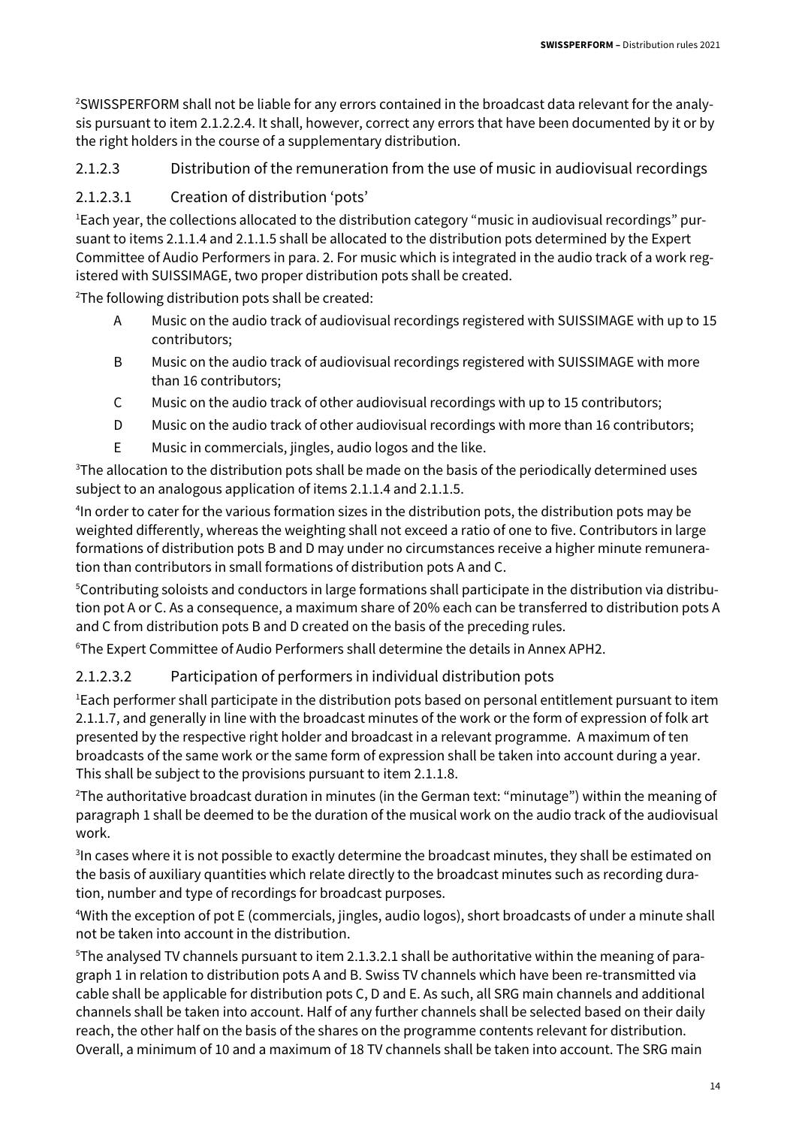2SWISSPERFORM shall not be liable for any errors contained in the broadcast data relevant for the analysis pursuant to item 2.1.2.2.4. It shall, however, correct any errors that have been documented by it or by the right holders in the course of a supplementary distribution.

2.1.2.3 Distribution of the remuneration from the use of music in audiovisual recordings

#### 2.1.2.3.1 Creation of distribution 'pots'

1Each year, the collections allocated to the distribution category "music in audiovisual recordings" pursuant to items 2.1.1.4 and 2.1.1.5 shall be allocated to the distribution pots determined by the Expert Committee of Audio Performers in para. 2. For music which is integrated in the audio track of a work registered with SUISSIMAGE, two proper distribution pots shall be created.

<sup>2</sup>The following distribution pots shall be created:

- A Music on the audio track of audiovisual recordings registered with SUISSIMAGE with up to 15 contributors;
- B Music on the audio track of audiovisual recordings registered with SUISSIMAGE with more than 16 contributors;
- C Music on the audio track of other audiovisual recordings with up to 15 contributors;
- D Music on the audio track of other audiovisual recordings with more than 16 contributors;
- E Music in commercials, jingles, audio logos and the like.

 $3$ The allocation to the distribution pots shall be made on the basis of the periodically determined uses subject to an analogous application of items 2.1.1.4 and 2.1.1.5.

4 In order to cater for the various formation sizes in the distribution pots, the distribution pots may be weighted differently, whereas the weighting shall not exceed a ratio of one to five. Contributors in large formations of distribution pots B and D may under no circumstances receive a higher minute remuneration than contributors in small formations of distribution pots A and C.

5Contributing soloists and conductors in large formations shall participate in the distribution via distribution pot A or C. As a consequence, a maximum share of 20% each can be transferred to distribution pots A and C from distribution pots B and D created on the basis of the preceding rules.

<sup>6</sup>The Expert Committee of Audio Performers shall determine the details in Annex APH2.

#### 2.1.2.3.2 Participation of performers in individual distribution pots

<sup>1</sup>Each performer shall participate in the distribution pots based on personal entitlement pursuant to item 2.1.1.7, and generally in line with the broadcast minutes of the work or the form of expression of folk art presented by the respective right holder and broadcast in a relevant programme. A maximum of ten broadcasts of the same work or the same form of expression shall be taken into account during a year. This shall be subject to the provisions pursuant to item 2.1.1.8.

<sup>2</sup>The authoritative broadcast duration in minutes (in the German text: "minutage") within the meaning of paragraph 1 shall be deemed to be the duration of the musical work on the audio track of the audiovisual work.

<sup>3</sup>In cases where it is not possible to exactly determine the broadcast minutes, they shall be estimated on the basis of auxiliary quantities which relate directly to the broadcast minutes such as recording duration, number and type of recordings for broadcast purposes.

<sup>4</sup>With the exception of pot E (commercials, jingles, audio logos), short broadcasts of under a minute shall not be taken into account in the distribution.

5The analysed TV channels pursuant to item 2.1.3.2.1 shall be authoritative within the meaning of paragraph 1 in relation to distribution pots A and B. Swiss TV channels which have been re-transmitted via cable shall be applicable for distribution pots C, D and E. As such, all SRG main channels and additional channels shall be taken into account. Half of any further channels shall be selected based on their daily reach, the other half on the basis of the shares on the programme contents relevant for distribution. Overall, a minimum of 10 and a maximum of 18 TV channels shall be taken into account. The SRG main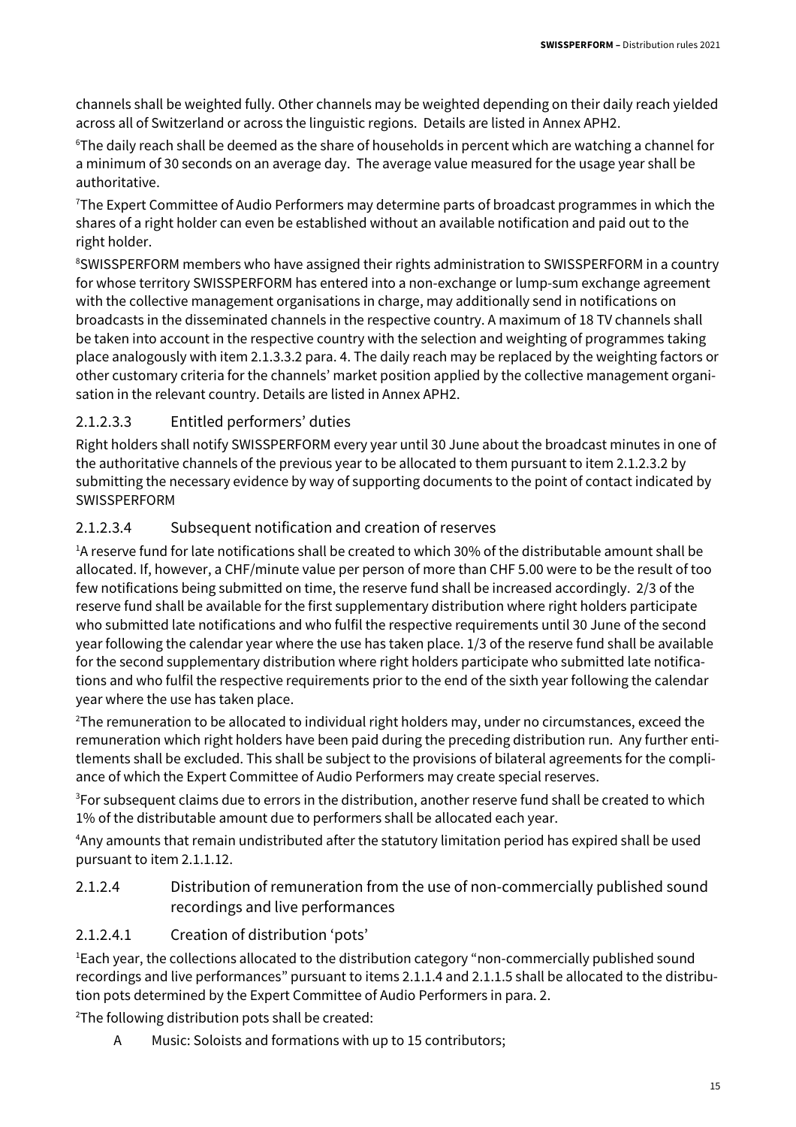channels shall be weighted fully. Other channels may be weighted depending on their daily reach yielded across all of Switzerland or across the linguistic regions. Details are listed in Annex APH2.

<sup>6</sup>The daily reach shall be deemed as the share of households in percent which are watching a channel for a minimum of 30 seconds on an average day. The average value measured for the usage year shall be authoritative.

<sup>7</sup>The Expert Committee of Audio Performers may determine parts of broadcast programmes in which the shares of a right holder can even be established without an available notification and paid out to the right holder.

<sup>8</sup>SWISSPERFORM members who have assigned their rights administration to SWISSPERFORM in a country for whose territory SWISSPERFORM has entered into a non-exchange or lump-sum exchange agreement with the collective management organisations in charge, may additionally send in notifications on broadcasts in the disseminated channels in the respective country. A maximum of 18 TV channels shall be taken into account in the respective country with the selection and weighting of programmes taking place analogously with item 2.1.3.3.2 para. 4. The daily reach may be replaced by the weighting factors or other customary criteria for the channels' market position applied by the collective management organisation in the relevant country. Details are listed in Annex APH2.

#### 2.1.2.3.3 Entitled performers' duties

Right holders shall notify SWISSPERFORM every year until 30 June about the broadcast minutes in one of the authoritative channels of the previous year to be allocated to them pursuant to item 2.1.2.3.2 by submitting the necessary evidence by way of supporting documents to the point of contact indicated by SWISSPERFORM

#### 2.1.2.3.4 Subsequent notification and creation of reserves

<sup>1</sup>A reserve fund for late notifications shall be created to which 30% of the distributable amount shall be allocated. If, however, a CHF/minute value per person of more than CHF 5.00 were to be the result of too few notifications being submitted on time, the reserve fund shall be increased accordingly. 2/3 of the reserve fund shall be available for the first supplementary distribution where right holders participate who submitted late notifications and who fulfil the respective requirements until 30 June of the second year following the calendar year where the use has taken place. 1/3 of the reserve fund shall be available for the second supplementary distribution where right holders participate who submitted late notifications and who fulfil the respective requirements prior to the end of the sixth year following the calendar year where the use has taken place.

<sup>2</sup>The remuneration to be allocated to individual right holders may, under no circumstances, exceed the remuneration which right holders have been paid during the preceding distribution run. Any further entitlements shall be excluded. This shall be subject to the provisions of bilateral agreements for the compliance of which the Expert Committee of Audio Performers may create special reserves.

<sup>3</sup>For subsequent claims due to errors in the distribution, another reserve fund shall be created to which 1% of the distributable amount due to performers shall be allocated each year.

<sup>4</sup>Any amounts that remain undistributed after the statutory limitation period has expired shall be used pursuant to item 2.1.1.12.

#### 2.1.2.4 Distribution of remuneration from the use of non-commercially published sound recordings and live performances

#### 2.1.2.4.1 Creation of distribution 'pots'

<sup>1</sup>Each year, the collections allocated to the distribution category "non-commercially published sound recordings and live performances" pursuant to items 2.1.1.4 and 2.1.1.5 shall be allocated to the distribution pots determined by the Expert Committee of Audio Performers in para. 2.

<sup>2</sup>The following distribution pots shall be created:

A Music: Soloists and formations with up to 15 contributors;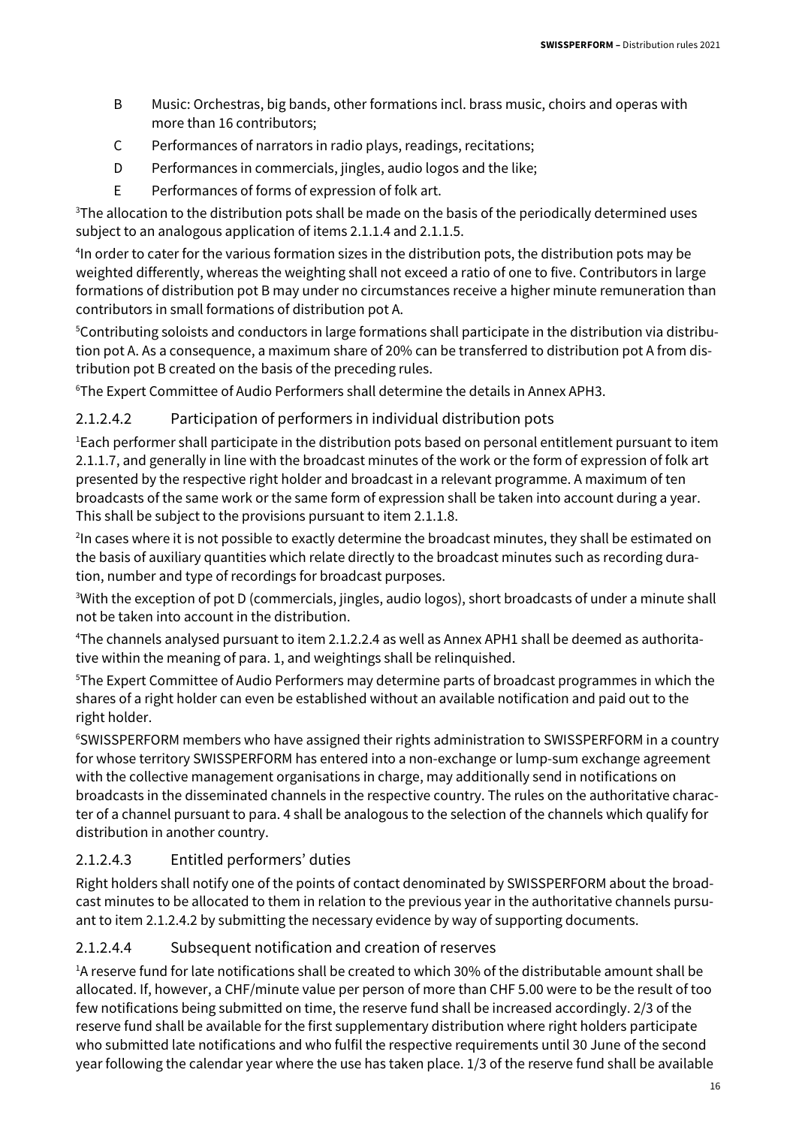- B Music: Orchestras, big bands, other formations incl. brass music, choirs and operas with more than 16 contributors;
- C Performances of narrators in radio plays, readings, recitations;
- D Performances in commercials, jingles, audio logos and the like;
- E Performances of forms of expression of folk art.

<sup>3</sup>The allocation to the distribution pots shall be made on the basis of the periodically determined uses subject to an analogous application of items 2.1.1.4 and 2.1.1.5.

4 In order to cater for the various formation sizes in the distribution pots, the distribution pots may be weighted differently, whereas the weighting shall not exceed a ratio of one to five. Contributors in large formations of distribution pot B may under no circumstances receive a higher minute remuneration than contributors in small formations of distribution pot A.

5Contributing soloists and conductors in large formations shall participate in the distribution via distribution pot A. As a consequence, a maximum share of 20% can be transferred to distribution pot A from distribution pot B created on the basis of the preceding rules.

<sup>6</sup>The Expert Committee of Audio Performers shall determine the details in Annex APH3.

#### 2.1.2.4.2 Participation of performers in individual distribution pots

<sup>1</sup>Each performer shall participate in the distribution pots based on personal entitlement pursuant to item 2.1.1.7, and generally in line with the broadcast minutes of the work or the form of expression of folk art presented by the respective right holder and broadcast in a relevant programme. A maximum of ten broadcasts of the same work or the same form of expression shall be taken into account during a year. This shall be subject to the provisions pursuant to item 2.1.1.8.

<sup>2</sup>In cases where it is not possible to exactly determine the broadcast minutes, they shall be estimated on the basis of auxiliary quantities which relate directly to the broadcast minutes such as recording duration, number and type of recordings for broadcast purposes.

<sup>3</sup>With the exception of pot D (commercials, jingles, audio logos), short broadcasts of under a minute shall not be taken into account in the distribution.

4The channels analysed pursuant to item 2.1.2.2.4 as well as Annex APH1 shall be deemed as authoritative within the meaning of para. 1, and weightings shall be relinquished.

<sup>5</sup>The Expert Committee of Audio Performers may determine parts of broadcast programmes in which the shares of a right holder can even be established without an available notification and paid out to the right holder.

<sup>6</sup>SWISSPERFORM members who have assigned their rights administration to SWISSPERFORM in a country for whose territory SWISSPERFORM has entered into a non-exchange or lump-sum exchange agreement with the collective management organisations in charge, may additionally send in notifications on broadcasts in the disseminated channels in the respective country. The rules on the authoritative character of a channel pursuant to para. 4 shall be analogous to the selection of the channels which qualify for distribution in another country.

#### 2.1.2.4.3 Entitled performers' duties

Right holders shall notify one of the points of contact denominated by SWISSPERFORM about the broadcast minutes to be allocated to them in relation to the previous year in the authoritative channels pursuant to item 2.1.2.4.2 by submitting the necessary evidence by way of supporting documents.

#### 2.1.2.4.4 Subsequent notification and creation of reserves

<sup>1</sup>A reserve fund for late notifications shall be created to which 30% of the distributable amount shall be allocated. If, however, a CHF/minute value per person of more than CHF 5.00 were to be the result of too few notifications being submitted on time, the reserve fund shall be increased accordingly. 2/3 of the reserve fund shall be available for the first supplementary distribution where right holders participate who submitted late notifications and who fulfil the respective requirements until 30 June of the second year following the calendar year where the use has taken place. 1/3 of the reserve fund shall be available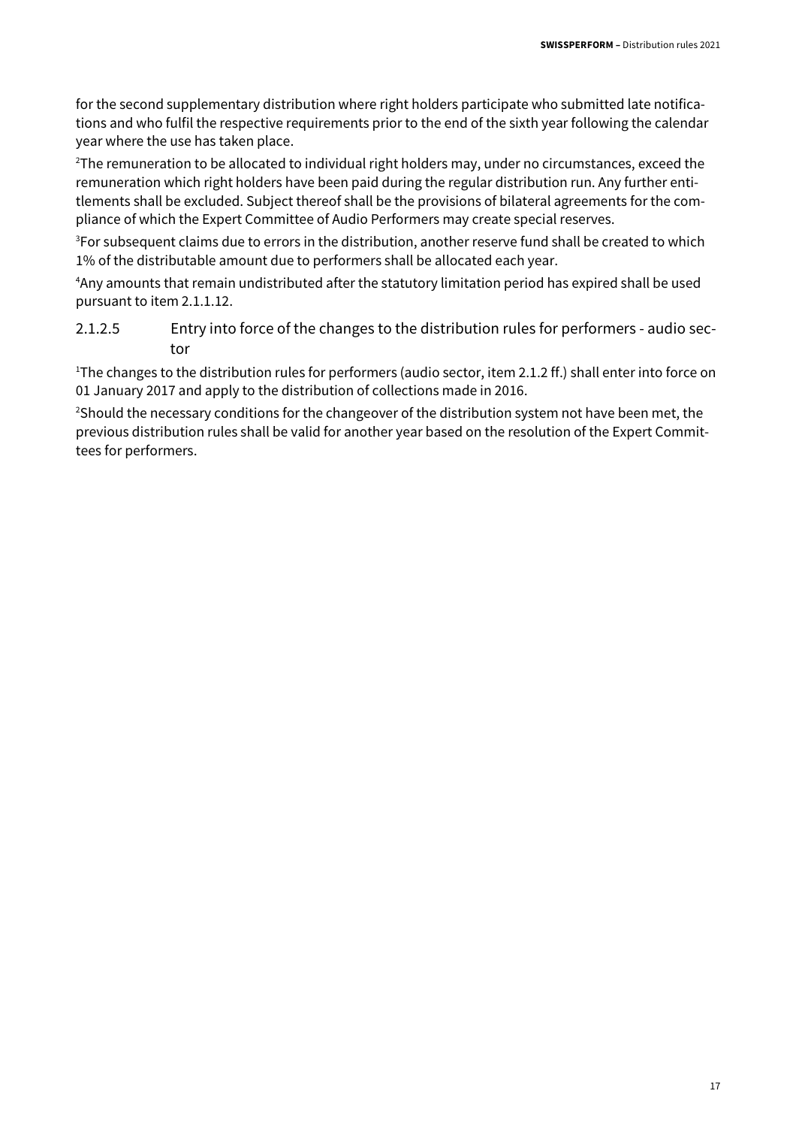for the second supplementary distribution where right holders participate who submitted late notifications and who fulfil the respective requirements prior to the end of the sixth year following the calendar year where the use has taken place.

<sup>2</sup>The remuneration to be allocated to individual right holders may, under no circumstances, exceed the remuneration which right holders have been paid during the regular distribution run. Any further entitlements shall be excluded. Subject thereof shall be the provisions of bilateral agreements for the compliance of which the Expert Committee of Audio Performers may create special reserves.

<sup>3</sup>For subsequent claims due to errors in the distribution, another reserve fund shall be created to which 1% of the distributable amount due to performers shall be allocated each year.

<sup>4</sup>Any amounts that remain undistributed after the statutory limitation period has expired shall be used pursuant to item 2.1.1.12.

2.1.2.5 Entry into force of the changes to the distribution rules for performers - audio sector

<sup>1</sup>The changes to the distribution rules for performers (audio sector, item 2.1.2 ff.) shall enter into force on 01 January 2017 and apply to the distribution of collections made in 2016.

<sup>2</sup>Should the necessary conditions for the changeover of the distribution system not have been met, the previous distribution rules shall be valid for another year based on the resolution of the Expert Committees for performers.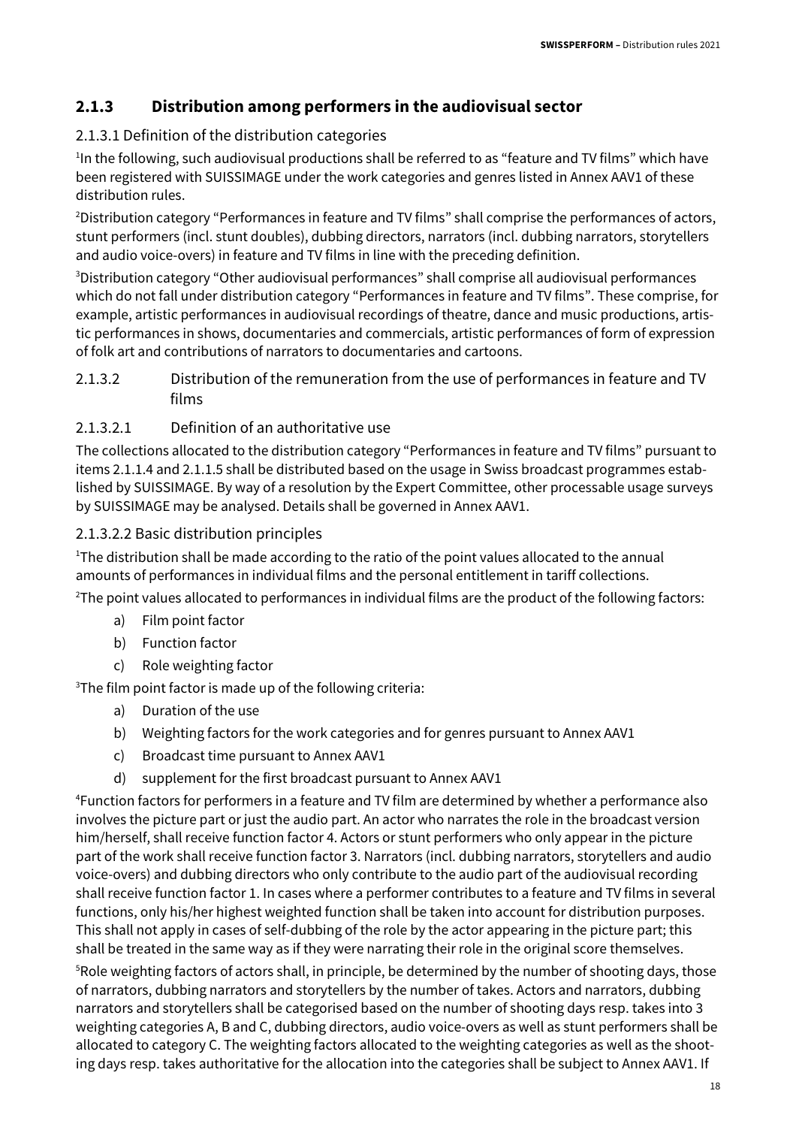#### **2.1.3 Distribution among performers in the audiovisual sector**

#### 2.1.3.1 Definition of the distribution categories

<sup>1</sup>In the following, such audiovisual productions shall be referred to as "feature and TV films" which have been registered with SUISSIMAGE under the work categories and genres listed in Annex AAV1 of these distribution rules.

<sup>2</sup>Distribution category "Performances in feature and TV films" shall comprise the performances of actors, stunt performers (incl. stunt doubles), dubbing directors, narrators (incl. dubbing narrators, storytellers and audio voice-overs) in feature and TV films in line with the preceding definition.

<sup>3</sup>Distribution category "Other audiovisual performances" shall comprise all audiovisual performances which do not fall under distribution category "Performances in feature and TV films". These comprise, for example, artistic performances in audiovisual recordings of theatre, dance and music productions, artistic performances in shows, documentaries and commercials, artistic performances of form of expression of folk art and contributions of narrators to documentaries and cartoons.

2.1.3.2 Distribution of the remuneration from the use of performances in feature and TV films

#### 2.1.3.2.1 Definition of an authoritative use

The collections allocated to the distribution category "Performances in feature and TV films" pursuant to items 2.1.1.4 and 2.1.1.5 shall be distributed based on the usage in Swiss broadcast programmes established by SUISSIMAGE. By way of a resolution by the Expert Committee, other processable usage surveys by SUISSIMAGE may be analysed. Details shall be governed in Annex AAV1.

#### 2.1.3.2.2 Basic distribution principles

<sup>1</sup>The distribution shall be made according to the ratio of the point values allocated to the annual amounts of performances in individual films and the personal entitlement in tariff collections.

<sup>2</sup>The point values allocated to performances in individual films are the product of the following factors:

- a) Film point factor
- b) Function factor
- c) Role weighting factor

<sup>3</sup>The film point factor is made up of the following criteria:

- a) Duration of the use
- b) Weighting factors for the work categories and for genres pursuant to Annex AAV1
- c) Broadcast time pursuant to Annex AAV1
- d) supplement for the first broadcast pursuant to Annex AAV1

<sup>4</sup>Function factors for performers in a feature and TV film are determined by whether a performance also involves the picture part or just the audio part. An actor who narrates the role in the broadcast version him/herself, shall receive function factor 4. Actors or stunt performers who only appear in the picture part of the work shall receive function factor 3. Narrators (incl. dubbing narrators, storytellers and audio voice-overs) and dubbing directors who only contribute to the audio part of the audiovisual recording shall receive function factor 1. In cases where a performer contributes to a feature and TV films in several functions, only his/her highest weighted function shall be taken into account for distribution purposes. This shall not apply in cases of self-dubbing of the role by the actor appearing in the picture part; this shall be treated in the same way as if they were narrating their role in the original score themselves.

<sup>5</sup>Role weighting factors of actors shall, in principle, be determined by the number of shooting days, those of narrators, dubbing narrators and storytellers by the number of takes. Actors and narrators, dubbing narrators and storytellers shall be categorised based on the number of shooting days resp. takes into 3 weighting categories A, B and C, dubbing directors, audio voice-overs as well as stunt performers shall be allocated to category C. The weighting factors allocated to the weighting categories as well as the shooting days resp. takes authoritative for the allocation into the categories shall be subject to Annex AAV1. If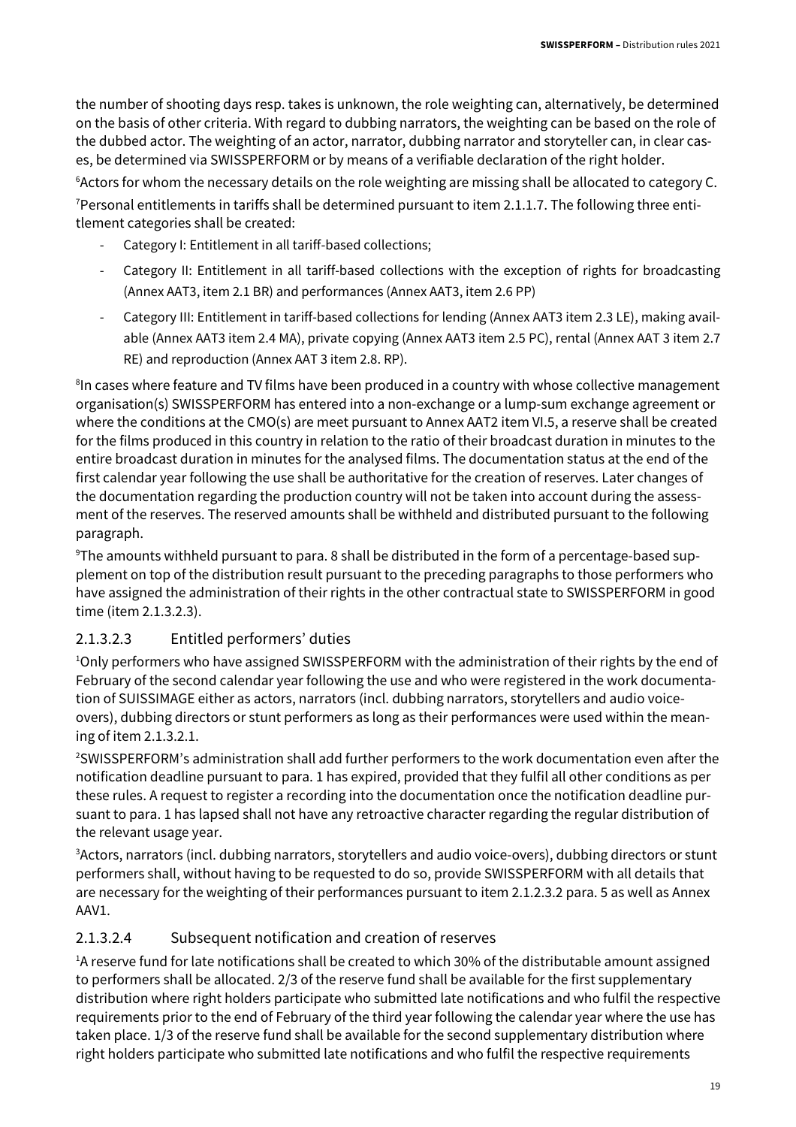the number of shooting days resp. takes is unknown, the role weighting can, alternatively, be determined on the basis of other criteria. With regard to dubbing narrators, the weighting can be based on the role of the dubbed actor. The weighting of an actor, narrator, dubbing narrator and storyteller can, in clear cases, be determined via SWISSPERFORM or by means of a verifiable declaration of the right holder.

<sup>6</sup> Actors for whom the necessary details on the role weighting are missing shall be allocated to category C. <sup>7</sup>Personal entitlements in tariffs shall be determined pursuant to item 2.1.1.7. The following three entitlement categories shall be created:

- Category I: Entitlement in all tariff-based collections;
- Category II: Entitlement in all tariff-based collections with the exception of rights for broadcasting (Annex AAT3, item 2.1 BR) and performances (Annex AAT3, item 2.6 PP)
- Category III: Entitlement in tariff-based collections for lending (Annex AAT3 item 2.3 LE), making available (Annex AAT3 item 2.4 MA), private copying (Annex AAT3 item 2.5 PC), rental (Annex AAT 3 item 2.7 RE) and reproduction (Annex AAT 3 item 2.8. RP).

<sup>8</sup>In cases where feature and TV films have been produced in a country with whose collective management organisation(s) SWISSPERFORM has entered into a non-exchange or a lump-sum exchange agreement or where the conditions at the CMO(s) are meet pursuant to Annex AAT2 item VI.5, a reserve shall be created for the films produced in this country in relation to the ratio of their broadcast duration in minutes to the entire broadcast duration in minutes for the analysed films. The documentation status at the end of the first calendar year following the use shall be authoritative for the creation of reserves. Later changes of the documentation regarding the production country will not be taken into account during the assessment of the reserves. The reserved amounts shall be withheld and distributed pursuant to the following paragraph.

9The amounts withheld pursuant to para. 8 shall be distributed in the form of a percentage-based supplement on top of the distribution result pursuant to the preceding paragraphs to those performers who have assigned the administration of their rights in the other contractual state to SWISSPERFORM in good time (item 2.1.3.2.3).

#### 2.1.3.2.3 Entitled performers' duties

<sup>1</sup>Only performers who have assigned SWISSPERFORM with the administration of their rights by the end of February of the second calendar year following the use and who were registered in the work documentation of SUISSIMAGE either as actors, narrators (incl. dubbing narrators, storytellers and audio voiceovers), dubbing directors or stunt performers as long as their performances were used within the meaning of item 2.1.3.2.1.

<sup>2</sup>SWISSPERFORM's administration shall add further performers to the work documentation even after the notification deadline pursuant to para. 1 has expired, provided that they fulfil all other conditions as per these rules. A request to register a recording into the documentation once the notification deadline pursuant to para. 1 has lapsed shall not have any retroactive character regarding the regular distribution of the relevant usage year.

3 Actors, narrators (incl. dubbing narrators, storytellers and audio voice-overs), dubbing directors or stunt performers shall, without having to be requested to do so, provide SWISSPERFORM with all details that are necessary for the weighting of their performances pursuant to item 2.1.2.3.2 para. 5 as well as Annex AAV1.

#### 2.1.3.2.4 Subsequent notification and creation of reserves

<sup>1</sup>A reserve fund for late notifications shall be created to which 30% of the distributable amount assigned to performers shall be allocated. 2/3 of the reserve fund shall be available for the first supplementary distribution where right holders participate who submitted late notifications and who fulfil the respective requirements prior to the end of February of the third year following the calendar year where the use has taken place. 1/3 of the reserve fund shall be available for the second supplementary distribution where right holders participate who submitted late notifications and who fulfil the respective requirements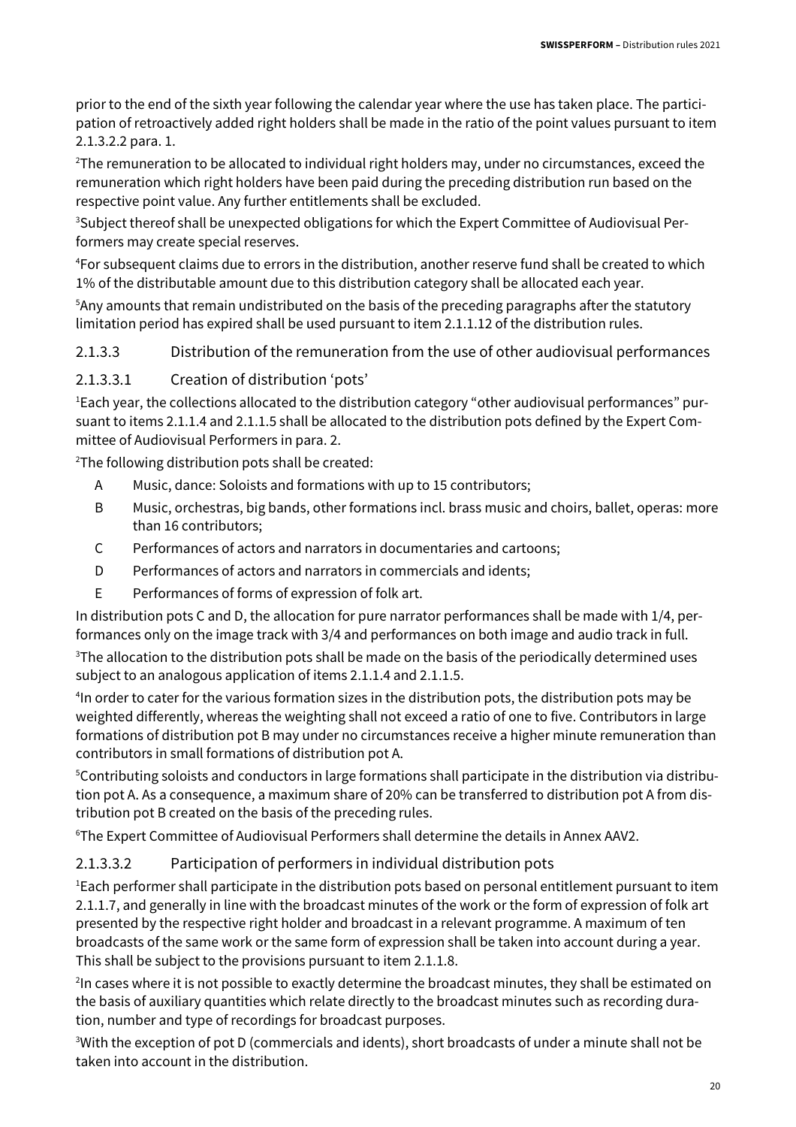prior to the end of the sixth year following the calendar year where the use has taken place. The participation of retroactively added right holders shall be made in the ratio of the point values pursuant to item 2.1.3.2.2 para. 1.

<sup>2</sup>The remuneration to be allocated to individual right holders may, under no circumstances, exceed the remuneration which right holders have been paid during the preceding distribution run based on the respective point value. Any further entitlements shall be excluded.

<sup>3</sup>Subject thereof shall be unexpected obligations for which the Expert Committee of Audiovisual Performers may create special reserves.

<sup>4</sup>For subsequent claims due to errors in the distribution, another reserve fund shall be created to which 1% of the distributable amount due to this distribution category shall be allocated each year.

<sup>5</sup>Any amounts that remain undistributed on the basis of the preceding paragraphs after the statutory limitation period has expired shall be used pursuant to item 2.1.1.12 of the distribution rules.

#### 2.1.3.3 Distribution of the remuneration from the use of other audiovisual performances

#### 2.1.3.3.1 Creation of distribution 'pots'

1Each year, the collections allocated to the distribution category "other audiovisual performances" pursuant to items 2.1.1.4 and 2.1.1.5 shall be allocated to the distribution pots defined by the Expert Committee of Audiovisual Performers in para. 2.

<sup>2</sup>The following distribution pots shall be created:

- A Music, dance: Soloists and formations with up to 15 contributors;
- B Music, orchestras, big bands, other formations incl. brass music and choirs, ballet, operas: more than 16 contributors;
- C Performances of actors and narrators in documentaries and cartoons;
- D Performances of actors and narrators in commercials and idents;
- E Performances of forms of expression of folk art.

In distribution pots C and D, the allocation for pure narrator performances shall be made with 1/4, performances only on the image track with 3/4 and performances on both image and audio track in full.

 $3$ The allocation to the distribution pots shall be made on the basis of the periodically determined uses subject to an analogous application of items 2.1.1.4 and 2.1.1.5.

4 In order to cater for the various formation sizes in the distribution pots, the distribution pots may be weighted differently, whereas the weighting shall not exceed a ratio of one to five. Contributors in large formations of distribution pot B may under no circumstances receive a higher minute remuneration than contributors in small formations of distribution pot A.

5Contributing soloists and conductors in large formations shall participate in the distribution via distribution pot A. As a consequence, a maximum share of 20% can be transferred to distribution pot A from distribution pot B created on the basis of the preceding rules.

<sup>6</sup>The Expert Committee of Audiovisual Performers shall determine the details in Annex AAV2.

#### 2.1.3.3.2 Participation of performers in individual distribution pots

<sup>1</sup>Each performer shall participate in the distribution pots based on personal entitlement pursuant to item 2.1.1.7, and generally in line with the broadcast minutes of the work or the form of expression of folk art presented by the respective right holder and broadcast in a relevant programme. A maximum of ten broadcasts of the same work or the same form of expression shall be taken into account during a year. This shall be subject to the provisions pursuant to item 2.1.1.8.

<sup>2</sup>In cases where it is not possible to exactly determine the broadcast minutes, they shall be estimated on the basis of auxiliary quantities which relate directly to the broadcast minutes such as recording duration, number and type of recordings for broadcast purposes.

<sup>3</sup>With the exception of pot D (commercials and idents), short broadcasts of under a minute shall not be taken into account in the distribution.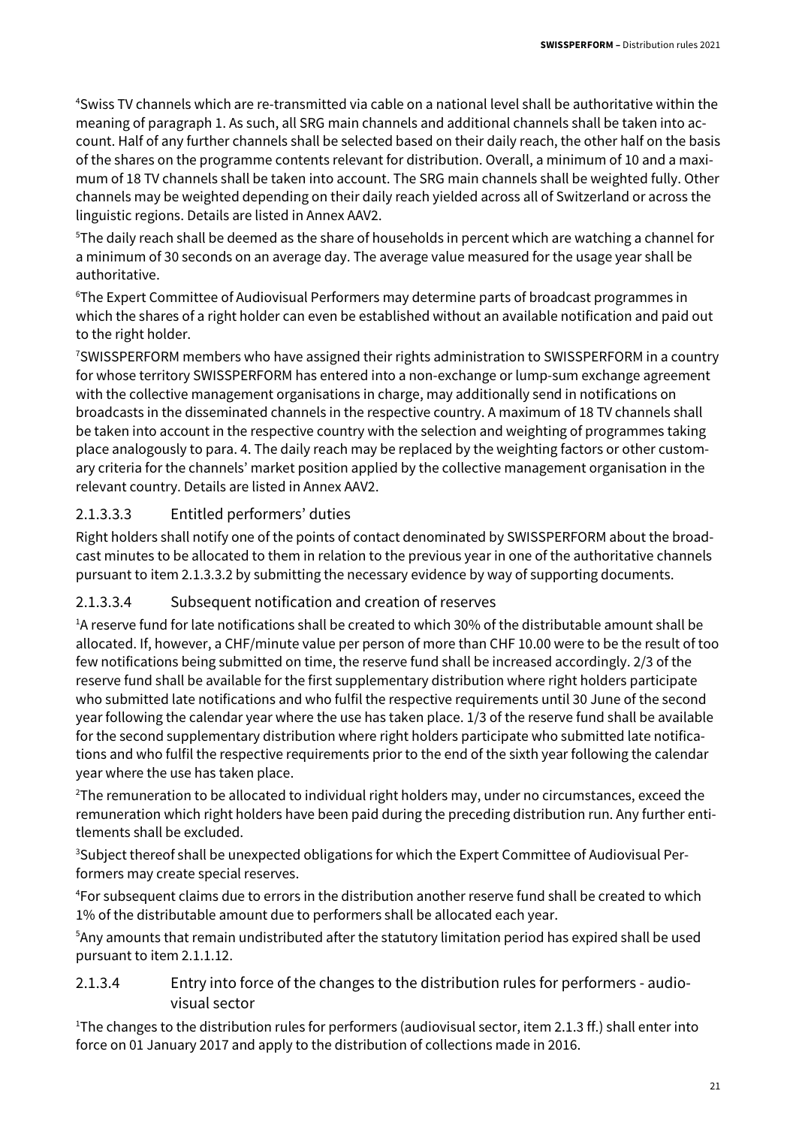<sup>4</sup>Swiss TV channels which are re-transmitted via cable on a national level shall be authoritative within the meaning of paragraph 1. As such, all SRG main channels and additional channels shall be taken into account. Half of any further channels shall be selected based on their daily reach, the other half on the basis of the shares on the programme contents relevant for distribution. Overall, a minimum of 10 and a maximum of 18 TV channels shall be taken into account. The SRG main channels shall be weighted fully. Other channels may be weighted depending on their daily reach yielded across all of Switzerland or across the linguistic regions. Details are listed in Annex AAV2.

<sup>5</sup>The daily reach shall be deemed as the share of households in percent which are watching a channel for a minimum of 30 seconds on an average day. The average value measured for the usage year shall be authoritative.

<sup>6</sup>The Expert Committee of Audiovisual Performers may determine parts of broadcast programmes in which the shares of a right holder can even be established without an available notification and paid out to the right holder.

<sup>7</sup>SWISSPERFORM members who have assigned their rights administration to SWISSPERFORM in a country for whose territory SWISSPERFORM has entered into a non-exchange or lump-sum exchange agreement with the collective management organisations in charge, may additionally send in notifications on broadcasts in the disseminated channels in the respective country. A maximum of 18 TV channels shall be taken into account in the respective country with the selection and weighting of programmes taking place analogously to para. 4. The daily reach may be replaced by the weighting factors or other customary criteria for the channels' market position applied by the collective management organisation in the relevant country. Details are listed in Annex AAV2.

#### 2.1.3.3.3 Entitled performers' duties

Right holders shall notify one of the points of contact denominated by SWISSPERFORM about the broadcast minutes to be allocated to them in relation to the previous year in one of the authoritative channels pursuant to item 2.1.3.3.2 by submitting the necessary evidence by way of supporting documents.

#### 2.1.3.3.4 Subsequent notification and creation of reserves

<sup>1</sup>A reserve fund for late notifications shall be created to which 30% of the distributable amount shall be allocated. If, however, a CHF/minute value per person of more than CHF 10.00 were to be the result of too few notifications being submitted on time, the reserve fund shall be increased accordingly. 2/3 of the reserve fund shall be available for the first supplementary distribution where right holders participate who submitted late notifications and who fulfil the respective requirements until 30 June of the second year following the calendar year where the use has taken place. 1/3 of the reserve fund shall be available for the second supplementary distribution where right holders participate who submitted late notifications and who fulfil the respective requirements prior to the end of the sixth year following the calendar year where the use has taken place.

<sup>2</sup>The remuneration to be allocated to individual right holders may, under no circumstances, exceed the remuneration which right holders have been paid during the preceding distribution run. Any further entitlements shall be excluded.

<sup>3</sup>Subject thereof shall be unexpected obligations for which the Expert Committee of Audiovisual Performers may create special reserves.

<sup>4</sup>For subsequent claims due to errors in the distribution another reserve fund shall be created to which 1% of the distributable amount due to performers shall be allocated each year.

<sup>5</sup>Any amounts that remain undistributed after the statutory limitation period has expired shall be used pursuant to item 2.1.1.12.

2.1.3.4 Entry into force of the changes to the distribution rules for performers - audiovisual sector

<sup>1</sup>The changes to the distribution rules for performers (audiovisual sector, item 2.1.3 ff.) shall enter into force on 01 January 2017 and apply to the distribution of collections made in 2016.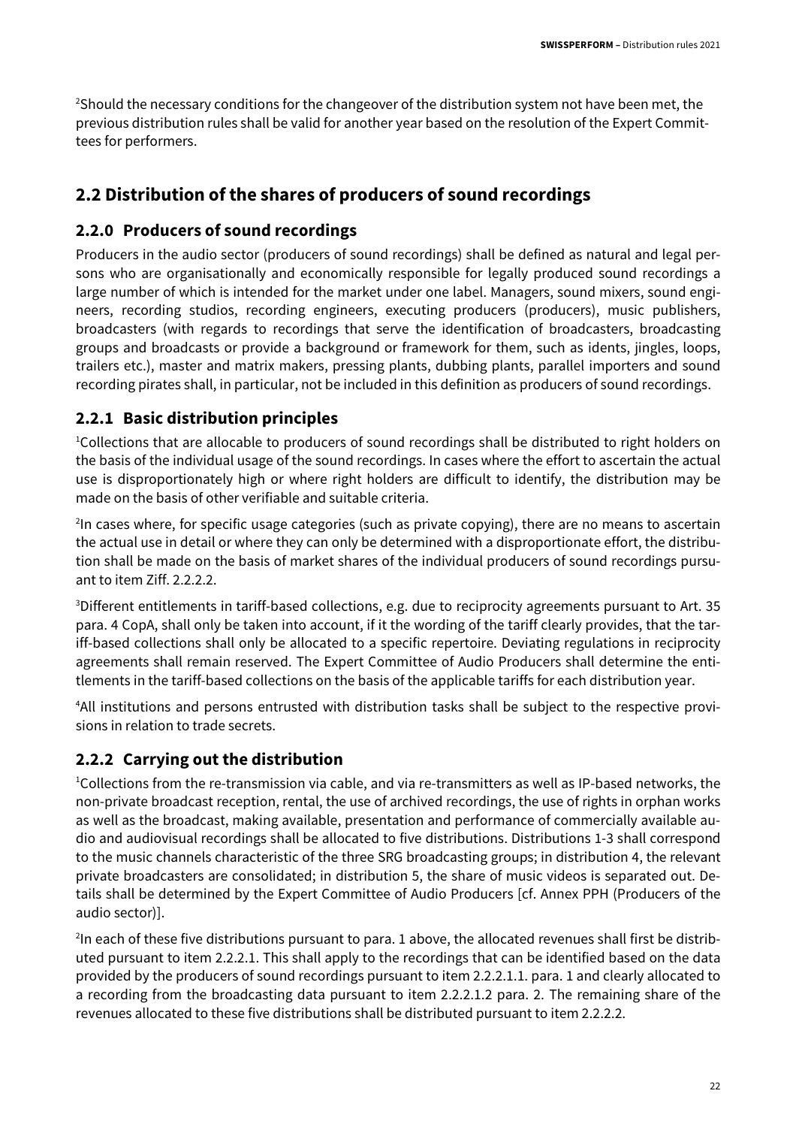<sup>2</sup>Should the necessary conditions for the changeover of the distribution system not have been met, the previous distribution rules shall be valid for another year based on the resolution of the Expert Committees for performers.

#### **2.2 Distribution of the shares of producers of sound recordings**

#### **2.2.0 Producers of sound recordings**

Producers in the audio sector (producers of sound recordings) shall be defined as natural and legal persons who are organisationally and economically responsible for legally produced sound recordings a large number of which is intended for the market under one label. Managers, sound mixers, sound engineers, recording studios, recording engineers, executing producers (producers), music publishers, broadcasters (with regards to recordings that serve the identification of broadcasters, broadcasting groups and broadcasts or provide a background or framework for them, such as idents, jingles, loops, trailers etc.), master and matrix makers, pressing plants, dubbing plants, parallel importers and sound recording pirates shall, in particular, not be included in this definition as producers of sound recordings.

#### **2.2.1 Basic distribution principles**

<sup>1</sup>Collections that are allocable to producers of sound recordings shall be distributed to right holders on the basis of the individual usage of the sound recordings. In cases where the effort to ascertain the actual use is disproportionately high or where right holders are difficult to identify, the distribution may be made on the basis of other verifiable and suitable criteria.

<sup>2</sup>In cases where, for specific usage categories (such as private copying), there are no means to ascertain the actual use in detail or where they can only be determined with a disproportionate effort, the distribution shall be made on the basis of market shares of the individual producers of sound recordings pursuant to item Ziff. 2.2.2.2.

<sup>3</sup>Different entitlements in tariff-based collections, e.g. due to reciprocity agreements pursuant to Art. 35 para. 4 CopA, shall only be taken into account, if it the wording of the tariff clearly provides, that the tariff-based collections shall only be allocated to a specific repertoire. Deviating regulations in reciprocity agreements shall remain reserved. The Expert Committee of Audio Producers shall determine the entitlements in the tariff-based collections on the basis of the applicable tariffs for each distribution year.

4All institutions and persons entrusted with distribution tasks shall be subject to the respective provisions in relation to trade secrets.

#### **2.2.2 Carrying out the distribution**

<sup>1</sup>Collections from the re-transmission via cable, and via re-transmitters as well as IP-based networks, the non-private broadcast reception, rental, the use of archived recordings, the use of rights in orphan works as well as the broadcast, making available, presentation and performance of commercially available audio and audiovisual recordings shall be allocated to five distributions. Distributions 1-3 shall correspond to the music channels characteristic of the three SRG broadcasting groups; in distribution 4, the relevant private broadcasters are consolidated; in distribution 5, the share of music videos is separated out. Details shall be determined by the Expert Committee of Audio Producers [cf. Annex PPH (Producers of the audio sector)].

 $^{2}$ In each of these five distributions pursuant to para. 1 above, the allocated revenues shall first be distributed pursuant to item 2.2.2.1. This shall apply to the recordings that can be identified based on the data provided by the producers of sound recordings pursuant to item 2.2.2.1.1. para. 1 and clearly allocated to a recording from the broadcasting data pursuant to item 2.2.2.1.2 para. 2. The remaining share of the revenues allocated to these five distributions shall be distributed pursuant to item 2.2.2.2.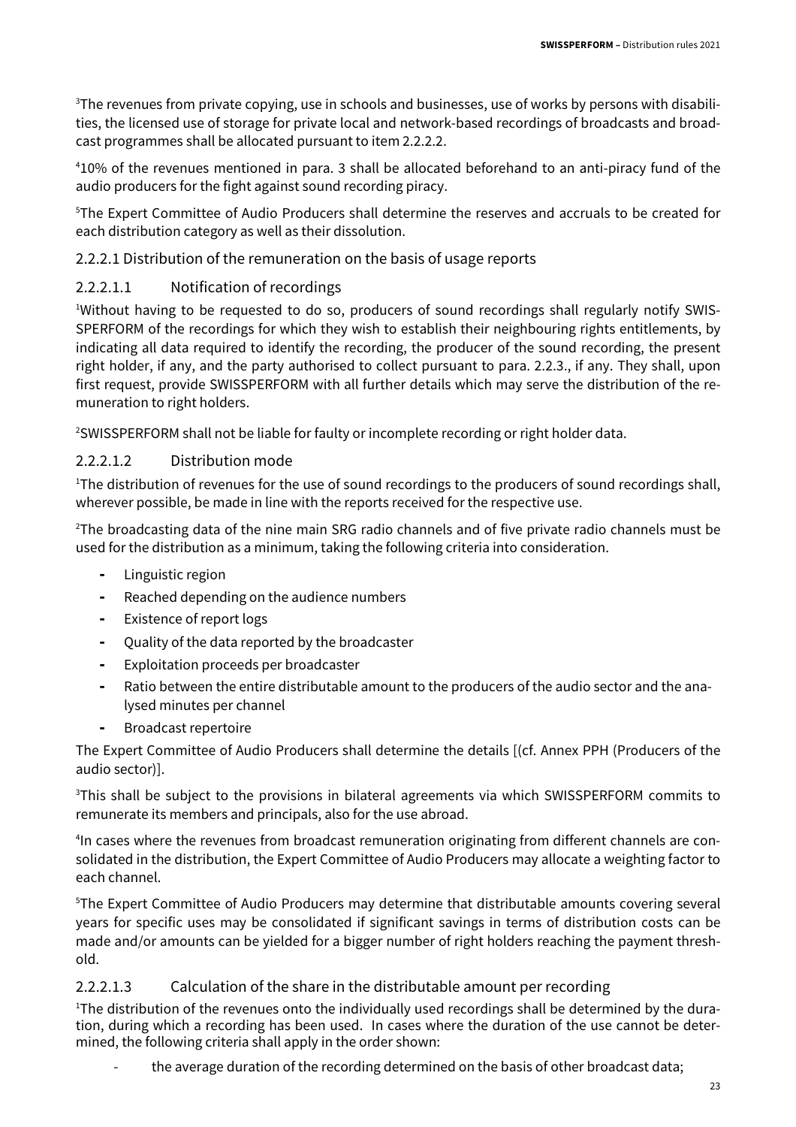<sup>3</sup>The revenues from private copying, use in schools and businesses, use of works by persons with disabilities, the licensed use of storage for private local and network-based recordings of broadcasts and broadcast programmes shall be allocated pursuant to item 2.2.2.2.

<sup>4</sup>10% of the revenues mentioned in para. 3 shall be allocated beforehand to an anti-piracy fund of the audio producers for the fight against sound recording piracy.

<sup>5</sup>The Expert Committee of Audio Producers shall determine the reserves and accruals to be created for each distribution category as well as their dissolution.

#### 2.2.2.1 Distribution of the remuneration on the basis of usage reports

#### 2.2.2.1.1 Notification of recordings

<sup>1</sup>Without having to be requested to do so, producers of sound recordings shall regularly notify SWIS-SPERFORM of the recordings for which they wish to establish their neighbouring rights entitlements, by indicating all data required to identify the recording, the producer of the sound recording, the present right holder, if any, and the party authorised to collect pursuant to para. 2.2.3., if any. They shall, upon first request, provide SWISSPERFORM with all further details which may serve the distribution of the remuneration to right holders.

<sup>2</sup>SWISSPERFORM shall not be liable for faulty or incomplete recording or right holder data.

#### 2.2.2.1.2 Distribution mode

<sup>1</sup>The distribution of revenues for the use of sound recordings to the producers of sound recordings shall, wherever possible, be made in line with the reports received for the respective use.

 $2$ The broadcasting data of the nine main SRG radio channels and of five private radio channels must be used for the distribution as a minimum, taking the following criteria into consideration.

- Linguistic region
- Reached depending on the audience numbers
- Existence of report logs
- Quality of the data reported by the broadcaster
- Exploitation proceeds per broadcaster
- Ratio between the entire distributable amount to the producers of the audio sector and the analysed minutes per channel
- Broadcast repertoire

The Expert Committee of Audio Producers shall determine the details [(cf. Annex PPH (Producers of the audio sector)].

<sup>3</sup>This shall be subject to the provisions in bilateral agreements via which SWISSPERFORM commits to remunerate its members and principals, also for the use abroad.

4 In cases where the revenues from broadcast remuneration originating from different channels are consolidated in the distribution, the Expert Committee of Audio Producers may allocate a weighting factor to each channel.

<sup>5</sup>The Expert Committee of Audio Producers may determine that distributable amounts covering several years for specific uses may be consolidated if significant savings in terms of distribution costs can be made and/or amounts can be yielded for a bigger number of right holders reaching the payment threshold.

#### 2.2.2.1.3 Calculation of the share in the distributable amount per recording

<sup>1</sup>The distribution of the revenues onto the individually used recordings shall be determined by the duration, during which a recording has been used. In cases where the duration of the use cannot be determined, the following criteria shall apply in the order shown:

the average duration of the recording determined on the basis of other broadcast data;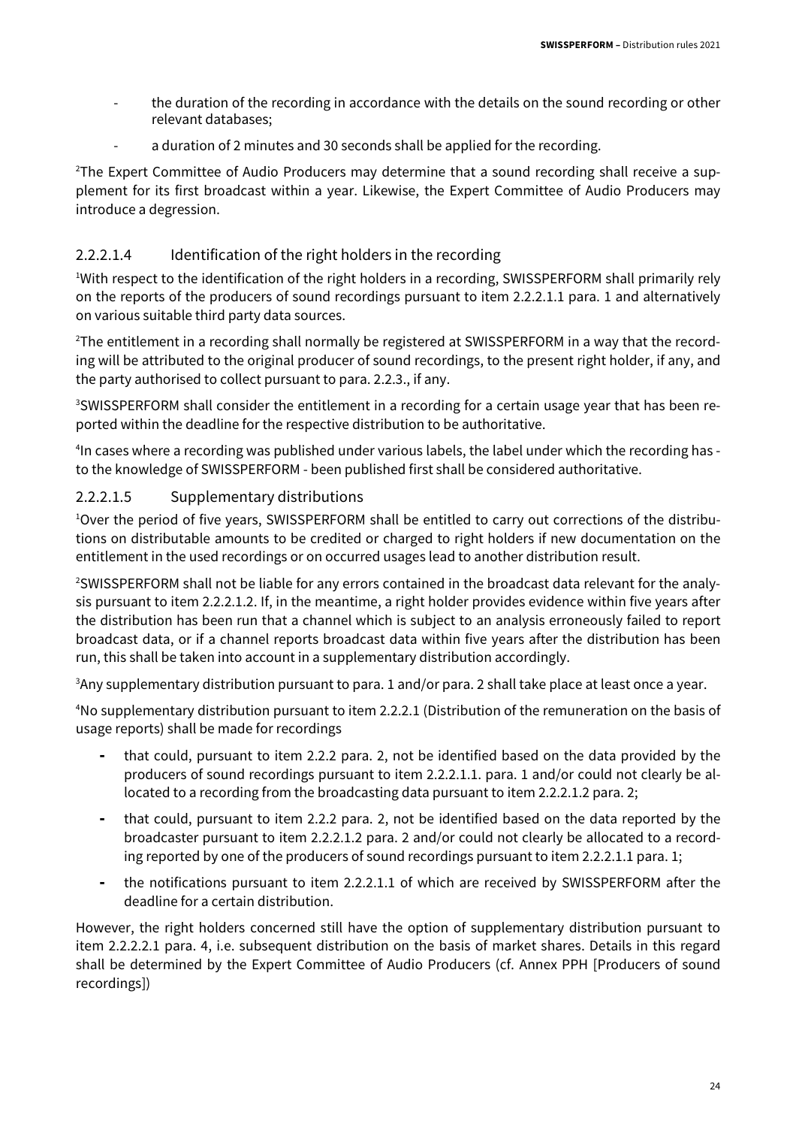- the duration of the recording in accordance with the details on the sound recording or other relevant databases;
- a duration of 2 minutes and 30 seconds shall be applied for the recording.

2The Expert Committee of Audio Producers may determine that a sound recording shall receive a supplement for its first broadcast within a year. Likewise, the Expert Committee of Audio Producers may introduce a degression.

#### 2.2.2.1.4 Identification of the right holders in the recording

<sup>1</sup>With respect to the identification of the right holders in a recording, SWISSPERFORM shall primarily rely on the reports of the producers of sound recordings pursuant to item 2.2.2.1.1 para. 1 and alternatively on various suitable third party data sources.

2The entitlement in a recording shall normally be registered at SWISSPERFORM in a way that the recording will be attributed to the original producer of sound recordings, to the present right holder, if any, and the party authorised to collect pursuant to para. 2.2.3., if any.

<sup>3</sup>SWISSPERFORM shall consider the entitlement in a recording for a certain usage year that has been reported within the deadline for the respective distribution to be authoritative.

4 In cases where a recording was published under various labels, the label under which the recording has to the knowledge of SWISSPERFORM - been published first shall be considered authoritative.

#### 2.2.2.1.5 Supplementary distributions

1Over the period of five years, SWISSPERFORM shall be entitled to carry out corrections of the distributions on distributable amounts to be credited or charged to right holders if new documentation on the entitlement in the used recordings or on occurred usages lead to another distribution result.

<sup>2</sup>SWISSPERFORM shall not be liable for any errors contained in the broadcast data relevant for the analysis pursuant to item 2.2.2.1.2. If, in the meantime, a right holder provides evidence within five years after the distribution has been run that a channel which is subject to an analysis erroneously failed to report broadcast data, or if a channel reports broadcast data within five years after the distribution has been run, this shall be taken into account in a supplementary distribution accordingly.

<sup>3</sup>Any supplementary distribution pursuant to para. 1 and/or para. 2 shall take place at least once a year.

<sup>4</sup>No supplementary distribution pursuant to item 2.2.2.1 (Distribution of the remuneration on the basis of usage reports) shall be made for recordings

- that could, pursuant to item 2.2.2 para. 2, not be identified based on the data provided by the producers of sound recordings pursuant to item 2.2.2.1.1. para. 1 and/or could not clearly be allocated to a recording from the broadcasting data pursuant to item 2.2.2.1.2 para. 2;
- that could, pursuant to item 2.2.2 para. 2, not be identified based on the data reported by the broadcaster pursuant to item 2.2.2.1.2 para. 2 and/or could not clearly be allocated to a recording reported by one of the producers of sound recordings pursuant to item 2.2.2.1.1 para. 1;
- the notifications pursuant to item 2.2.2.1.1 of which are received by SWISSPERFORM after the deadline for a certain distribution.

However, the right holders concerned still have the option of supplementary distribution pursuant to item 2.2.2.2.1 para. 4, i.e. subsequent distribution on the basis of market shares. Details in this regard shall be determined by the Expert Committee of Audio Producers (cf. Annex PPH [Producers of sound recordings])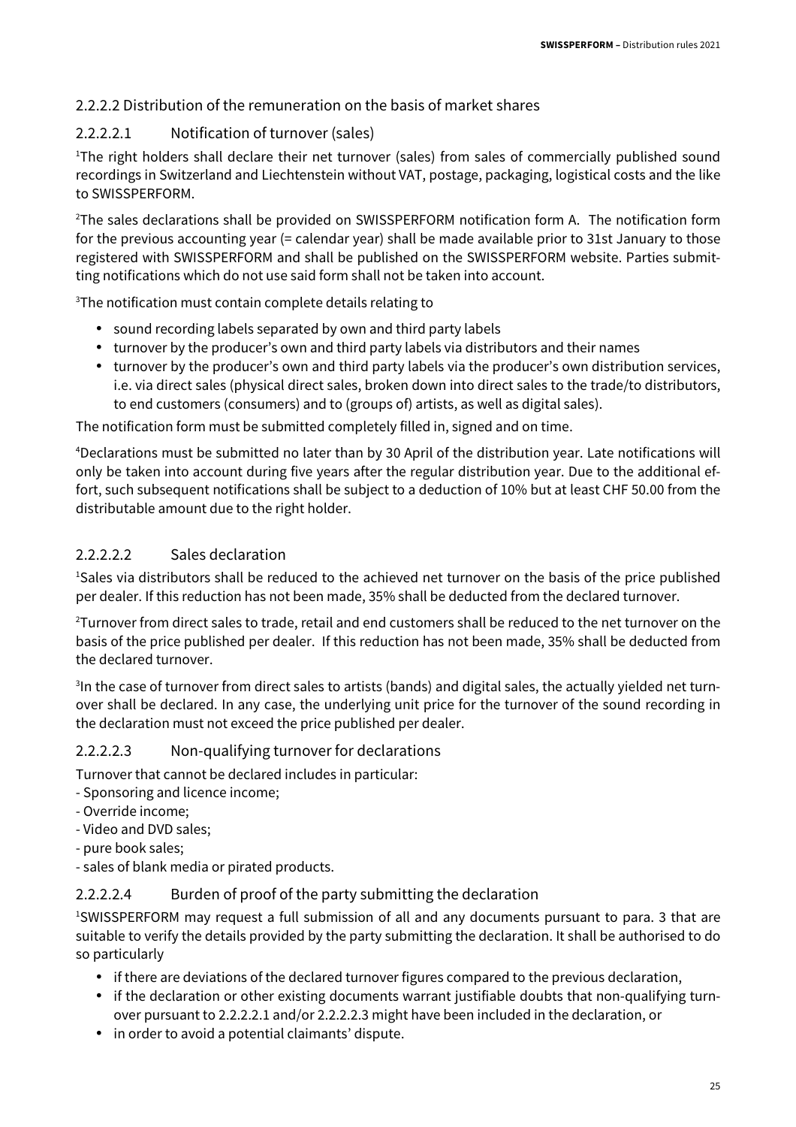#### 2.2.2.2 Distribution of the remuneration on the basis of market shares

#### 2.2.2.2.1 Notification of turnover (sales)

<sup>1</sup>The right holders shall declare their net turnover (sales) from sales of commercially published sound recordings in Switzerland and Liechtenstein without VAT, postage, packaging, logistical costs and the like to SWISSPERFORM.

<sup>2</sup>The sales declarations shall be provided on SWISSPERFORM notification form A. The notification form for the previous accounting year (= calendar year) shall be made available prior to 31st January to those registered with SWISSPERFORM and shall be published on the SWISSPERFORM website. Parties submitting notifications which do not use said form shall not be taken into account.

<sup>3</sup>The notification must contain complete details relating to

- sound recording labels separated by own and third party labels
- turnover by the producer's own and third party labels via distributors and their names
- turnover by the producer's own and third party labels via the producer's own distribution services, i.e. via direct sales (physical direct sales, broken down into direct sales to the trade/to distributors, to end customers (consumers) and to (groups of) artists, as well as digital sales).

The notification form must be submitted completely filled in, signed and on time.

<sup>4</sup>Declarations must be submitted no later than by 30 April of the distribution year. Late notifications will only be taken into account during five years after the regular distribution year. Due to the additional effort, such subsequent notifications shall be subject to a deduction of 10% but at least CHF 50.00 from the distributable amount due to the right holder.

#### 2.2.2.2.2 Sales declaration

<sup>1</sup>Sales via distributors shall be reduced to the achieved net turnover on the basis of the price published per dealer. If this reduction has not been made, 35% shall be deducted from the declared turnover.

<sup>2</sup>Turnover from direct sales to trade, retail and end customers shall be reduced to the net turnover on the basis of the price published per dealer. If this reduction has not been made, 35% shall be deducted from the declared turnover.

 $3$ In the case of turnover from direct sales to artists (bands) and digital sales, the actually yielded net turnover shall be declared. In any case, the underlying unit price for the turnover of the sound recording in the declaration must not exceed the price published per dealer.

#### 2.2.2.2.3 Non-qualifying turnover for declarations

Turnover that cannot be declared includes in particular:

- Sponsoring and licence income;
- Override income;
- Video and DVD sales;
- pure book sales;
- sales of blank media or pirated products.

#### 2.2.2.2.4 Burden of proof of the party submitting the declaration

<sup>1</sup>SWISSPERFORM may request a full submission of all and any documents pursuant to para. 3 that are suitable to verify the details provided by the party submitting the declaration. It shall be authorised to do so particularly

- if there are deviations of the declared turnover figures compared to the previous declaration,
- if the declaration or other existing documents warrant justifiable doubts that non-qualifying turnover pursuant to 2.2.2.2.1 and/or 2.2.2.2.3 might have been included in the declaration, or
- in order to avoid a potential claimants' dispute.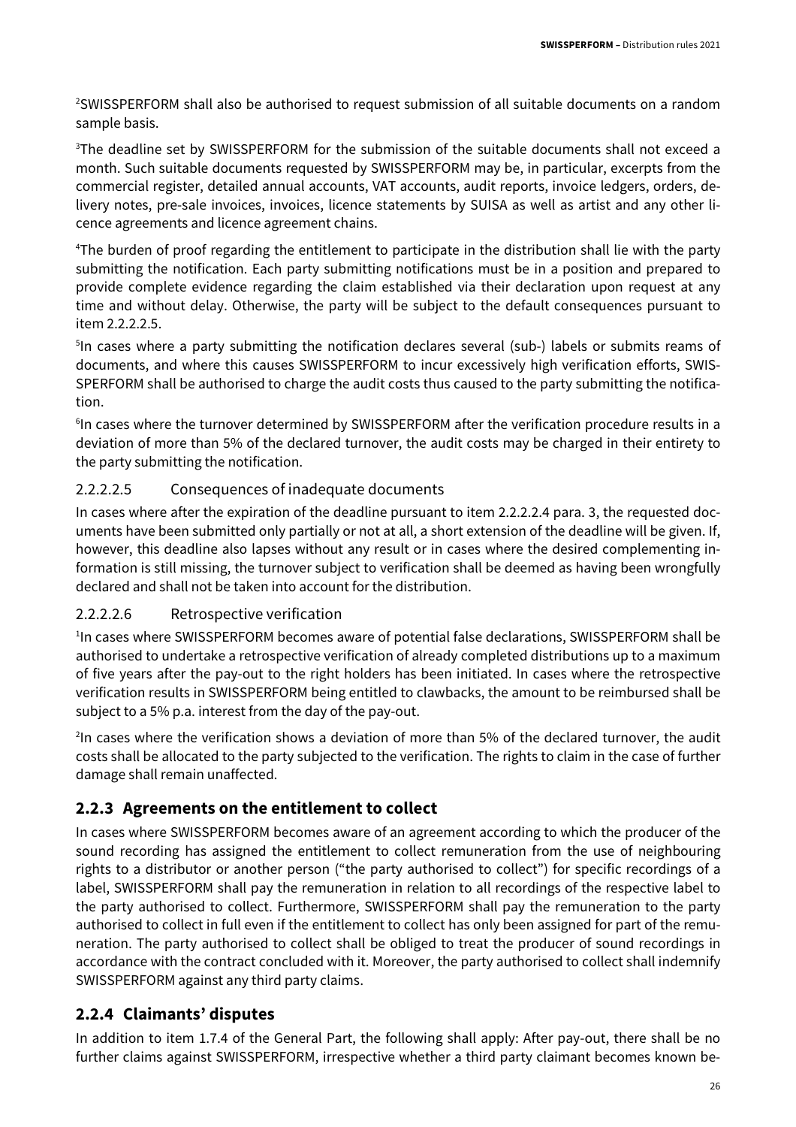<sup>2</sup>SWISSPERFORM shall also be authorised to request submission of all suitable documents on a random sample basis.

<sup>3</sup>The deadline set by SWISSPERFORM for the submission of the suitable documents shall not exceed a month. Such suitable documents requested by SWISSPERFORM may be, in particular, excerpts from the commercial register, detailed annual accounts, VAT accounts, audit reports, invoice ledgers, orders, delivery notes, pre-sale invoices, invoices, licence statements by SUISA as well as artist and any other licence agreements and licence agreement chains.

<sup>4</sup>The burden of proof regarding the entitlement to participate in the distribution shall lie with the party submitting the notification. Each party submitting notifications must be in a position and prepared to provide complete evidence regarding the claim established via their declaration upon request at any time and without delay. Otherwise, the party will be subject to the default consequences pursuant to item 2.2.2.2.5.

<sup>5</sup>In cases where a party submitting the notification declares several (sub-) labels or submits reams of documents, and where this causes SWISSPERFORM to incur excessively high verification efforts, SWIS-SPERFORM shall be authorised to charge the audit costs thus caused to the party submitting the notification.

<sup>6</sup>In cases where the turnover determined by SWISSPERFORM after the verification procedure results in a deviation of more than 5% of the declared turnover, the audit costs may be charged in their entirety to the party submitting the notification.

#### 2.2.2.2.5 Consequences of inadequate documents

In cases where after the expiration of the deadline pursuant to item 2.2.2.2.4 para. 3, the requested documents have been submitted only partially or not at all, a short extension of the deadline will be given. If, however, this deadline also lapses without any result or in cases where the desired complementing information is still missing, the turnover subject to verification shall be deemed as having been wrongfully declared and shall not be taken into account for the distribution.

#### 2.2.2.2.6 Retrospective verification

<sup>1</sup>In cases where SWISSPERFORM becomes aware of potential false declarations, SWISSPERFORM shall be authorised to undertake a retrospective verification of already completed distributions up to a maximum of five years after the pay-out to the right holders has been initiated. In cases where the retrospective verification results in SWISSPERFORM being entitled to clawbacks, the amount to be reimbursed shall be subject to a 5% p.a. interest from the day of the pay-out.

2 In cases where the verification shows a deviation of more than 5% of the declared turnover, the audit costs shall be allocated to the party subjected to the verification. The rights to claim in the case of further damage shall remain unaffected.

#### **2.2.3 Agreements on the entitlement to collect**

In cases where SWISSPERFORM becomes aware of an agreement according to which the producer of the sound recording has assigned the entitlement to collect remuneration from the use of neighbouring rights to a distributor or another person ("the party authorised to collect") for specific recordings of a label, SWISSPERFORM shall pay the remuneration in relation to all recordings of the respective label to the party authorised to collect. Furthermore, SWISSPERFORM shall pay the remuneration to the party authorised to collect in full even if the entitlement to collect has only been assigned for part of the remuneration. The party authorised to collect shall be obliged to treat the producer of sound recordings in accordance with the contract concluded with it. Moreover, the party authorised to collect shall indemnify SWISSPERFORM against any third party claims.

#### **2.2.4 Claimants' disputes**

In addition to item 1.7.4 of the General Part, the following shall apply: After pay-out, there shall be no further claims against SWISSPERFORM, irrespective whether a third party claimant becomes known be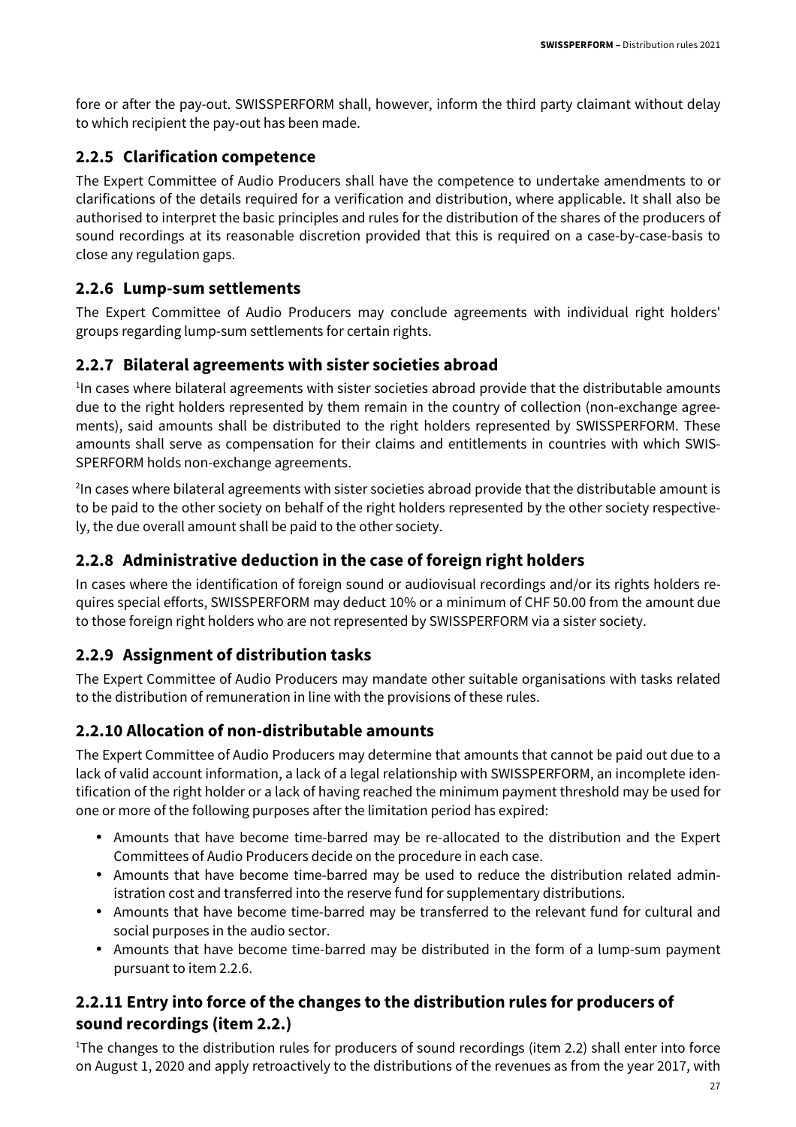fore or after the pay-out. SWISSPERFORM shall, however, inform the third party claimant without delay to which recipient the pay-out has been made.

#### **2.2.5 Clarification competence**

The Expert Committee of Audio Producers shall have the competence to undertake amendments to or clarifications of the details required for a verification and distribution, where applicable. It shall also be authorised to interpret the basic principles and rules for the distribution of the shares of the producers of sound recordings at its reasonable discretion provided that this is required on a case-by-case-basis to close any regulation gaps.

#### **2.2.6 Lump-sum settlements**

The Expert Committee of Audio Producers may conclude agreements with individual right holders' groups regarding lump-sum settlements for certain rights.

#### **2.2.7 Bilateral agreements with sister societies abroad**

<sup>1</sup>In cases where bilateral agreements with sister societies abroad provide that the distributable amounts due to the right holders represented by them remain in the country of collection (non-exchange agreements), said amounts shall be distributed to the right holders represented by SWISSPERFORM. These amounts shall serve as compensation for their claims and entitlements in countries with which SWIS-SPERFORM holds non-exchange agreements.

<sup>2</sup>In cases where bilateral agreements with sister societies abroad provide that the distributable amount is to be paid to the other society on behalf of the right holders represented by the other society respectively, the due overall amount shall be paid to the other society.

#### **2.2.8 Administrative deduction in the case of foreign right holders**

In cases where the identification of foreign sound or audiovisual recordings and/or its rights holders requires special efforts, SWISSPERFORM may deduct 10% or a minimum of CHF 50.00 from the amount due to those foreign right holders who are not represented by SWISSPERFORM via a sister society.

#### **2.2.9 Assignment of distribution tasks**

The Expert Committee of Audio Producers may mandate other suitable organisations with tasks related to the distribution of remuneration in line with the provisions of these rules.

#### **2.2.10 Allocation of non-distributable amounts**

The Expert Committee of Audio Producers may determine that amounts that cannot be paid out due to a lack of valid account information, a lack of a legal relationship with SWISSPERFORM, an incomplete identification of the right holder or a lack of having reached the minimum payment threshold may be used for one or more of the following purposes after the limitation period has expired:

- Amounts that have become time-barred may be re-allocated to the distribution and the Expert Committees of Audio Producers decide on the procedure in each case.
- Amounts that have become time-barred may be used to reduce the distribution related administration cost and transferred into the reserve fund for supplementary distributions.
- Amounts that have become time-barred may be transferred to the relevant fund for cultural and social purposes in the audio sector.
- Amounts that have become time-barred may be distributed in the form of a lump-sum payment pursuant to item 2.2.6.

#### **2.2.11 Entry into force of the changes to the distribution rules for producers of sound recordings (item 2.2.)**

<sup>1</sup>The changes to the distribution rules for producers of sound recordings (item 2.2) shall enter into force on August 1, 2020 and apply retroactively to the distributions of the revenues as from the year 2017, with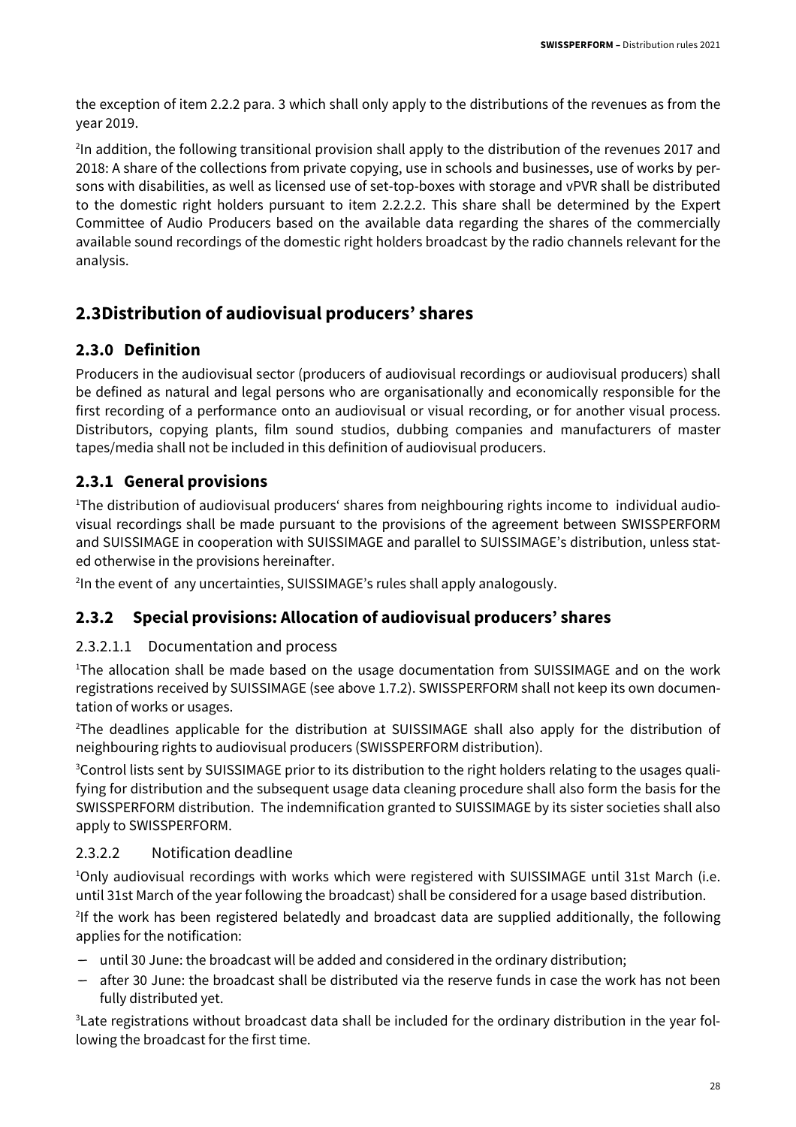the exception of item 2.2.2 para. 3 which shall only apply to the distributions of the revenues as from the year 2019.

<sup>2</sup>In addition, the following transitional provision shall apply to the distribution of the revenues 2017 and 2018: A share of the collections from private copying, use in schools and businesses, use of works by persons with disabilities, as well as licensed use of set-top-boxes with storage and vPVR shall be distributed to the domestic right holders pursuant to item 2.2.2.2. This share shall be determined by the Expert Committee of Audio Producers based on the available data regarding the shares of the commercially available sound recordings of the domestic right holders broadcast by the radio channels relevant for the analysis.

#### **2.3Distribution of audiovisual producers' shares**

#### **2.3.0 Definition**

Producers in the audiovisual sector (producers of audiovisual recordings or audiovisual producers) shall be defined as natural and legal persons who are organisationally and economically responsible for the first recording of a performance onto an audiovisual or visual recording, or for another visual process. Distributors, copying plants, film sound studios, dubbing companies and manufacturers of master tapes/media shall not be included in this definition of audiovisual producers.

#### **2.3.1 General provisions**

<sup>1</sup>The distribution of audiovisual producers' shares from neighbouring rights income to individual audiovisual recordings shall be made pursuant to the provisions of the agreement between SWISSPERFORM and SUISSIMAGE in cooperation with SUISSIMAGE and parallel to SUISSIMAGE's distribution, unless stated otherwise in the provisions hereinafter.

2 In the event of any uncertainties, SUISSIMAGE's rules shall apply analogously.

#### **2.3.2 Special provisions: Allocation of audiovisual producers' shares**

#### 2.3.2.1.1 Documentation and process

<sup>1</sup>The allocation shall be made based on the usage documentation from SUISSIMAGE and on the work registrations received by SUISSIMAGE (see above 1.7.2). SWISSPERFORM shall not keep its own documentation of works or usages.

<sup>2</sup>The deadlines applicable for the distribution at SUISSIMAGE shall also apply for the distribution of neighbouring rights to audiovisual producers (SWISSPERFORM distribution).

3Control lists sent by SUISSIMAGE prior to its distribution to the right holders relating to the usages qualifying for distribution and the subsequent usage data cleaning procedure shall also form the basis for the SWISSPERFORM distribution. The indemnification granted to SUISSIMAGE by its sister societies shall also apply to SWISSPERFORM.

#### 2.3.2.2 Notification deadline

<sup>1</sup>Only audiovisual recordings with works which were registered with SUISSIMAGE until 31st March (i.e. until 31st March of the year following the broadcast) shall be considered for a usage based distribution.

<sup>2</sup>If the work has been registered belatedly and broadcast data are supplied additionally, the following applies for the notification:

- until 30 June: the broadcast will be added and considered in the ordinary distribution;
- after 30 June: the broadcast shall be distributed via the reserve funds in case the work has not been fully distributed yet.

3Late registrations without broadcast data shall be included for the ordinary distribution in the year following the broadcast for the first time.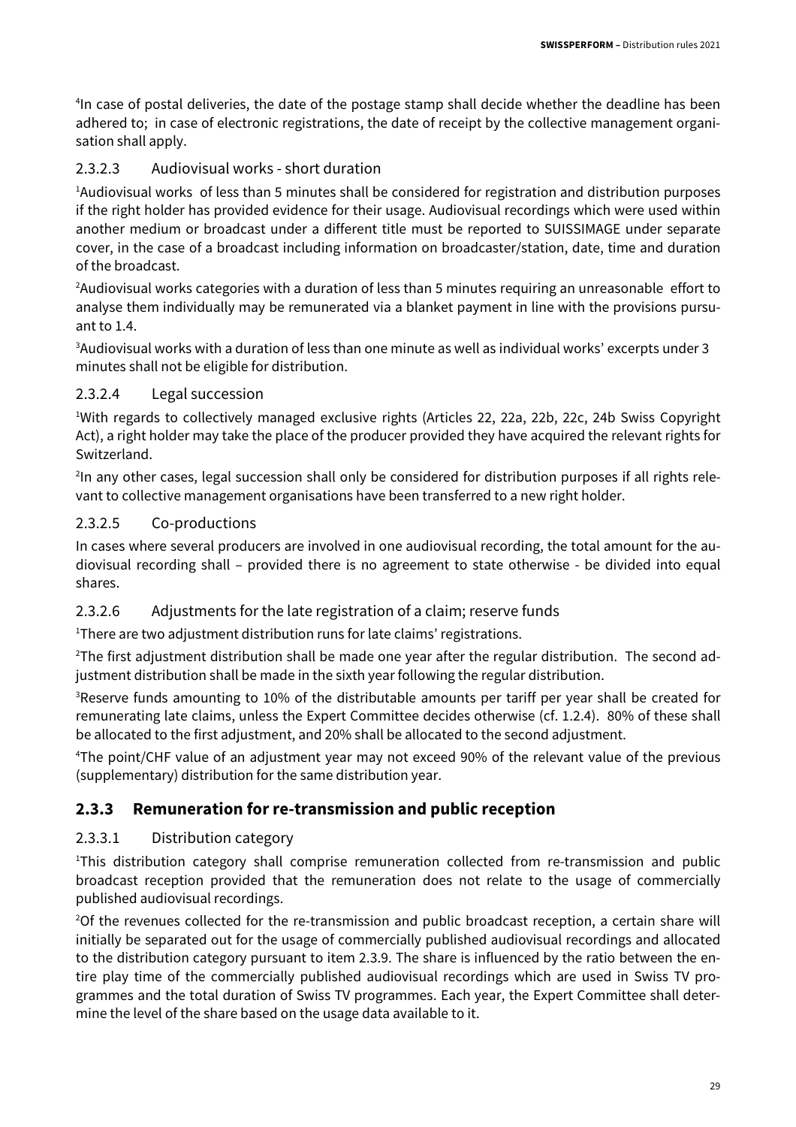<sup>4</sup>In case of postal deliveries, the date of the postage stamp shall decide whether the deadline has been adhered to; in case of electronic registrations, the date of receipt by the collective management organisation shall apply.

#### 2.3.2.3 Audiovisual works - short duration

<sup>1</sup>Audiovisual works of less than 5 minutes shall be considered for registration and distribution purposes if the right holder has provided evidence for their usage. Audiovisual recordings which were used within another medium or broadcast under a different title must be reported to SUISSIMAGE under separate cover, in the case of a broadcast including information on broadcaster/station, date, time and duration of the broadcast.

<sup>2</sup>Audiovisual works categories with a duration of less than 5 minutes requiring an unreasonable effort to analyse them individually may be remunerated via a blanket payment in line with the provisions pursuant to 1.4.

<sup>3</sup>Audiovisual works with a duration of less than one minute as well as individual works' excerpts under 3 minutes shall not be eligible for distribution.

#### 2.3.2.4 Legal succession

<sup>1</sup>With regards to collectively managed exclusive rights (Articles 22, 22a, 22b, 22c, 24b Swiss Copyright Act), a right holder may take the place of the producer provided they have acquired the relevant rights for Switzerland.

<sup>2</sup>In any other cases, legal succession shall only be considered for distribution purposes if all rights relevant to collective management organisations have been transferred to a new right holder.

#### 2.3.2.5 Co-productions

In cases where several producers are involved in one audiovisual recording, the total amount for the audiovisual recording shall – provided there is no agreement to state otherwise - be divided into equal shares.

#### 2.3.2.6 Adjustments for the late registration of a claim; reserve funds

<sup>1</sup>There are two adjustment distribution runs for late claims' registrations.

 $2$ The first adjustment distribution shall be made one year after the regular distribution. The second adjustment distribution shall be made in the sixth year following the regular distribution.

<sup>3</sup>Reserve funds amounting to 10% of the distributable amounts per tariff per year shall be created for remunerating late claims, unless the Expert Committee decides otherwise (cf. 1.2.4). 80% of these shall be allocated to the first adjustment, and 20% shall be allocated to the second adjustment.

<sup>4</sup>The point/CHF value of an adjustment year may not exceed 90% of the relevant value of the previous (supplementary) distribution for the same distribution year.

#### **2.3.3 Remuneration for re-transmission and public reception**

#### 2.3.3.1 Distribution category

<sup>1</sup>This distribution category shall comprise remuneration collected from re-transmission and public broadcast reception provided that the remuneration does not relate to the usage of commercially published audiovisual recordings.

<sup>2</sup>Of the revenues collected for the re-transmission and public broadcast reception, a certain share will initially be separated out for the usage of commercially published audiovisual recordings and allocated to the distribution category pursuant to item 2.3.9. The share is influenced by the ratio between the entire play time of the commercially published audiovisual recordings which are used in Swiss TV programmes and the total duration of Swiss TV programmes. Each year, the Expert Committee shall determine the level of the share based on the usage data available to it.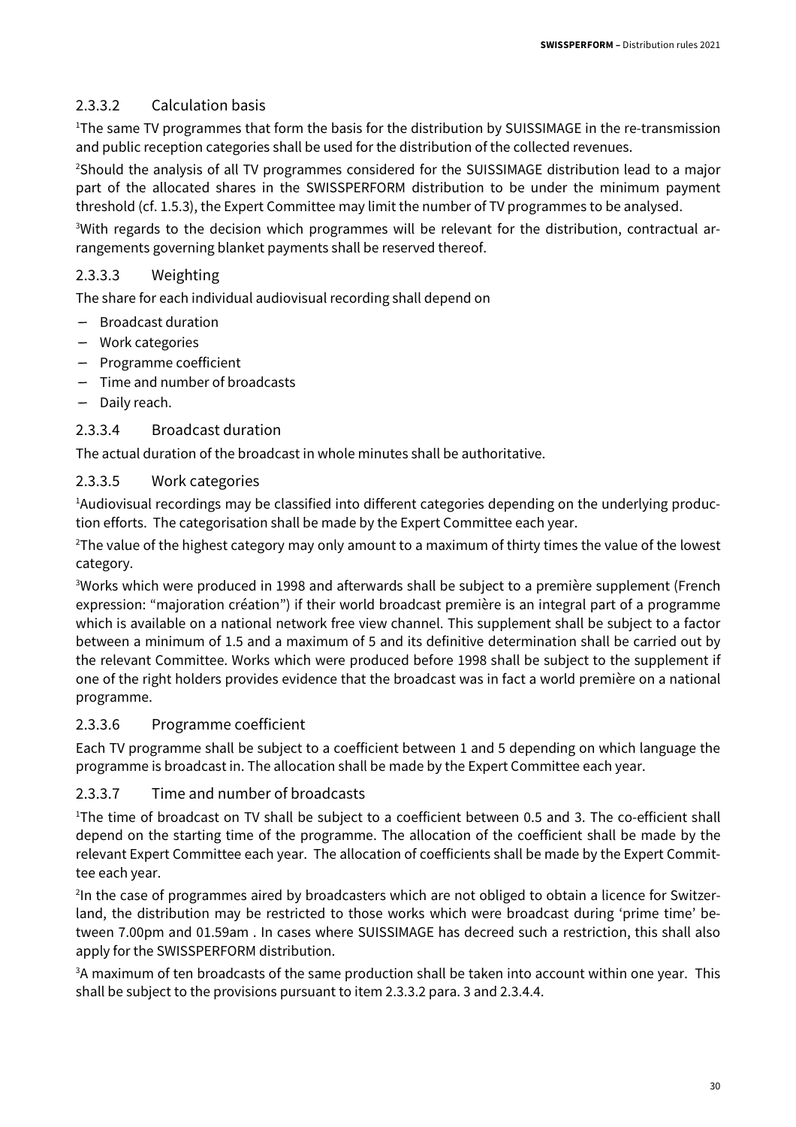#### 2.3.3.2 Calculation basis

<sup>1</sup>The same TV programmes that form the basis for the distribution by SUISSIMAGE in the re-transmission and public reception categories shall be used for the distribution of the collected revenues.

<sup>2</sup>Should the analysis of all TV programmes considered for the SUISSIMAGE distribution lead to a major part of the allocated shares in the SWISSPERFORM distribution to be under the minimum payment threshold (cf. 1.5.3), the Expert Committee may limit the number of TV programmes to be analysed.

3With regards to the decision which programmes will be relevant for the distribution, contractual arrangements governing blanket payments shall be reserved thereof.

#### 2.3.3.3 Weighting

The share for each individual audiovisual recording shall depend on

- Broadcast duration
- Work categories
- Programme coefficient
- Time and number of broadcasts
- Daily reach.

#### 2.3.3.4 Broadcast duration

The actual duration of the broadcast in whole minutes shall be authoritative.

#### 2.3.3.5 Work categories

<sup>1</sup>Audiovisual recordings may be classified into different categories depending on the underlying production efforts. The categorisation shall be made by the Expert Committee each year.

<sup>2</sup>The value of the highest category may only amount to a maximum of thirty times the value of the lowest category.

<sup>3</sup>Works which were produced in 1998 and afterwards shall be subject to a première supplement (French expression: "majoration création") if their world broadcast première is an integral part of a programme which is available on a national network free view channel. This supplement shall be subject to a factor between a minimum of 1.5 and a maximum of 5 and its definitive determination shall be carried out by the relevant Committee. Works which were produced before 1998 shall be subject to the supplement if one of the right holders provides evidence that the broadcast was in fact a world première on a national programme.

#### 2.3.3.6 Programme coefficient

Each TV programme shall be subject to a coefficient between 1 and 5 depending on which language the programme is broadcast in. The allocation shall be made by the Expert Committee each year.

#### 2.3.3.7 Time and number of broadcasts

<sup>1</sup>The time of broadcast on TV shall be subject to a coefficient between 0.5 and 3. The co-efficient shall depend on the starting time of the programme. The allocation of the coefficient shall be made by the relevant Expert Committee each year. The allocation of coefficients shall be made by the Expert Committee each year.

<sup>2</sup>In the case of programmes aired by broadcasters which are not obliged to obtain a licence for Switzerland, the distribution may be restricted to those works which were broadcast during 'prime time' between 7.00pm and 01.59am . In cases where SUISSIMAGE has decreed such a restriction, this shall also apply for the SWISSPERFORM distribution.

<sup>3</sup>A maximum of ten broadcasts of the same production shall be taken into account within one year. This shall be subject to the provisions pursuant to item 2.3.3.2 para. 3 and 2.3.4.4.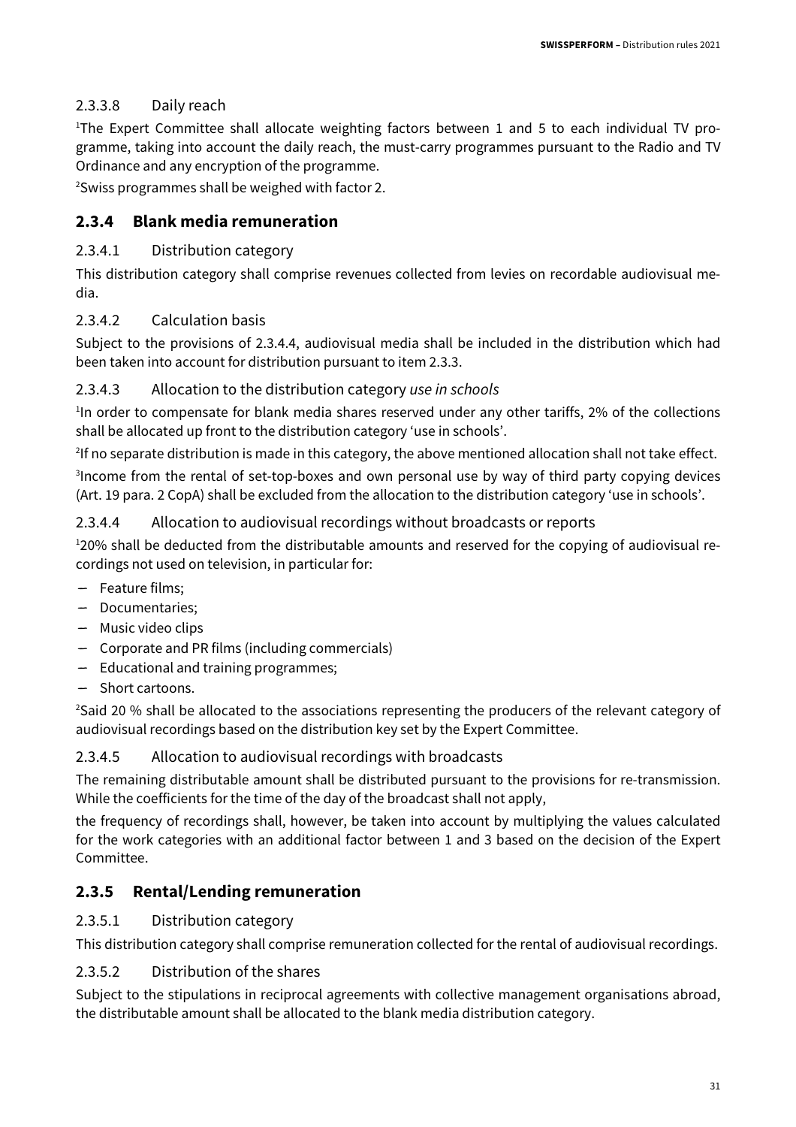#### 2.3.3.8 Daily reach

<sup>1</sup>The Expert Committee shall allocate weighting factors between 1 and 5 to each individual TV programme, taking into account the daily reach, the must-carry programmes pursuant to the Radio and TV Ordinance and any encryption of the programme.

<sup>2</sup>Swiss programmes shall be weighed with factor 2.

#### **2.3.4 Blank media remuneration**

#### 2.3.4.1 Distribution category

This distribution category shall comprise revenues collected from levies on recordable audiovisual media.

#### 2.3.4.2 Calculation basis

Subject to the provisions of 2.3.4.4, audiovisual media shall be included in the distribution which had been taken into account for distribution pursuant to item 2.3.3.

#### 2.3.4.3 Allocation to the distribution category use in schools

<sup>1</sup>In order to compensate for blank media shares reserved under any other tariffs, 2% of the collections shall be allocated up front to the distribution category 'use in schools'.

<sup>2</sup>If no separate distribution is made in this category, the above mentioned allocation shall not take effect.

<sup>3</sup>Income from the rental of set-top-boxes and own personal use by way of third party copying devices (Art. 19 para. 2 CopA) shall be excluded from the allocation to the distribution category 'use in schools'.

#### 2.3.4.4 Allocation to audiovisual recordings without broadcasts or reports

120% shall be deducted from the distributable amounts and reserved for the copying of audiovisual recordings not used on television, in particular for:

- Feature films;
- Documentaries;
- Music video clips
- Corporate and PR films (including commercials)
- Educational and training programmes;
- Short cartoons.

<sup>2</sup>Said 20 % shall be allocated to the associations representing the producers of the relevant category of audiovisual recordings based on the distribution key set by the Expert Committee.

#### 2.3.4.5 Allocation to audiovisual recordings with broadcasts

The remaining distributable amount shall be distributed pursuant to the provisions for re-transmission. While the coefficients for the time of the day of the broadcast shall not apply,

the frequency of recordings shall, however, be taken into account by multiplying the values calculated for the work categories with an additional factor between 1 and 3 based on the decision of the Expert Committee.

#### **2.3.5 Rental/Lending remuneration**

#### 2.3.5.1 Distribution category

This distribution category shall comprise remuneration collected for the rental of audiovisual recordings.

#### 2.3.5.2 Distribution of the shares

Subject to the stipulations in reciprocal agreements with collective management organisations abroad, the distributable amount shall be allocated to the blank media distribution category.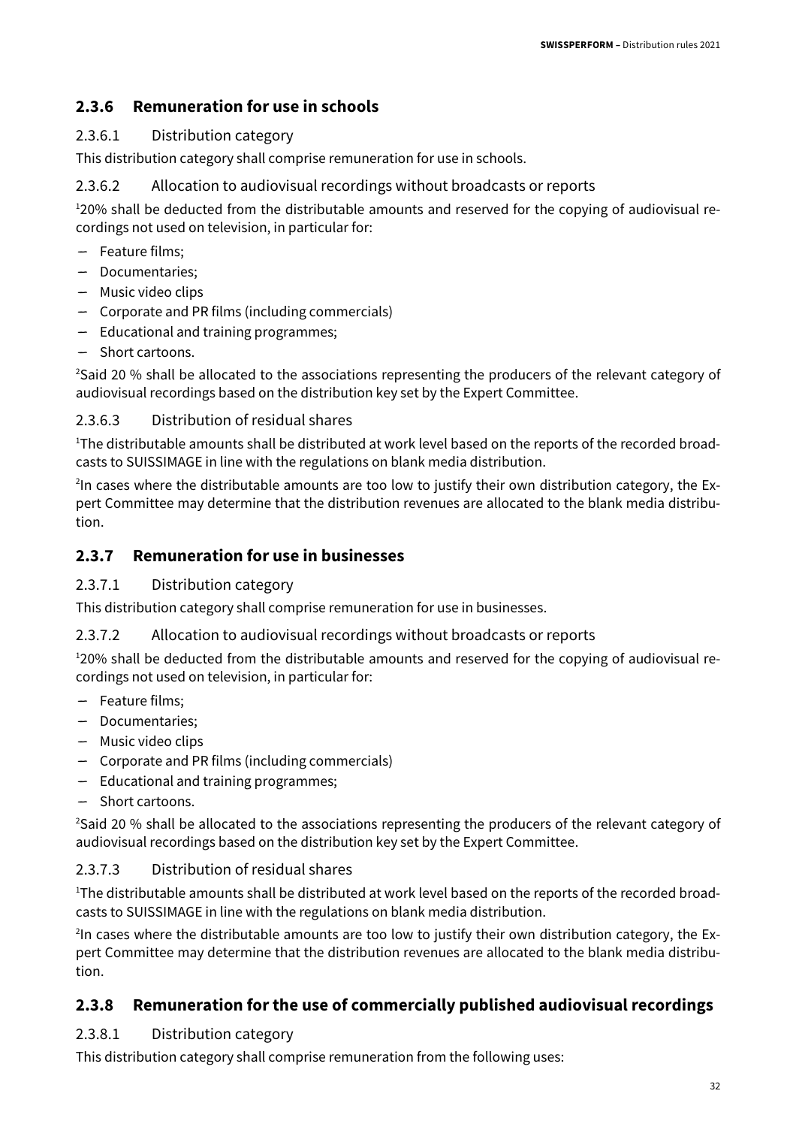#### **2.3.6 Remuneration for use in schools**

#### 2.3.6.1 Distribution category

This distribution category shall comprise remuneration for use in schools.

#### 2.3.6.2 Allocation to audiovisual recordings without broadcasts or reports

120% shall be deducted from the distributable amounts and reserved for the copying of audiovisual recordings not used on television, in particular for:

- Feature films;
- Documentaries;
- Music video clips
- Corporate and PR films (including commercials)
- Educational and training programmes;
- Short cartoons.

<sup>2</sup>Said 20 % shall be allocated to the associations representing the producers of the relevant category of audiovisual recordings based on the distribution key set by the Expert Committee.

#### 2.3.6.3 Distribution of residual shares

<sup>1</sup>The distributable amounts shall be distributed at work level based on the reports of the recorded broadcasts to SUISSIMAGE in line with the regulations on blank media distribution.

<sup>2</sup>In cases where the distributable amounts are too low to justify their own distribution category, the Expert Committee may determine that the distribution revenues are allocated to the blank media distribution.

#### **2.3.7 Remuneration for use in businesses**

#### 2.3.7.1 Distribution category

This distribution category shall comprise remuneration for use in businesses.

#### 2.3.7.2 Allocation to audiovisual recordings without broadcasts or reports

<sup>1</sup>20% shall be deducted from the distributable amounts and reserved for the copying of audiovisual recordings not used on television, in particular for:

- Feature films;
- Documentaries;
- Music video clips
- Corporate and PR films (including commercials)
- Educational and training programmes;
- Short cartoons.

<sup>2</sup>Said 20 % shall be allocated to the associations representing the producers of the relevant category of audiovisual recordings based on the distribution key set by the Expert Committee.

#### 2.3.7.3 Distribution of residual shares

<sup>1</sup>The distributable amounts shall be distributed at work level based on the reports of the recorded broadcasts to SUISSIMAGE in line with the regulations on blank media distribution.

<sup>2</sup>In cases where the distributable amounts are too low to justify their own distribution category, the Expert Committee may determine that the distribution revenues are allocated to the blank media distribution.

#### **2.3.8 Remuneration for the use of commercially published audiovisual recordings**

#### 2.3.8.1 Distribution category

This distribution category shall comprise remuneration from the following uses: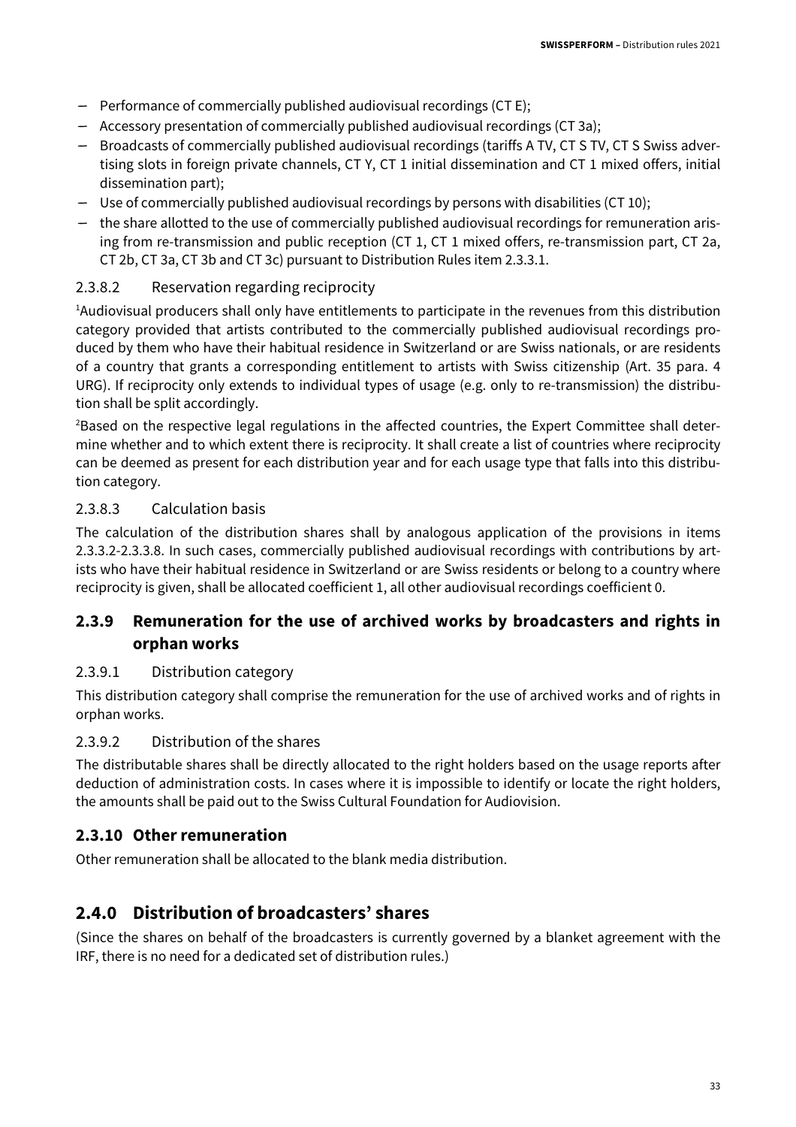- Performance of commercially published audiovisual recordings (CT E);
- Accessory presentation of commercially published audiovisual recordings (CT 3a);
- Broadcasts of commercially published audiovisual recordings (tariffs A TV, CT S TV, CT S Swiss advertising slots in foreign private channels, CT Y, CT 1 initial dissemination and CT 1 mixed offers, initial dissemination part);
- Use of commercially published audiovisual recordings by persons with disabilities (CT 10);
- the share allotted to the use of commercially published audiovisual recordings for remuneration arising from re-transmission and public reception (CT 1, CT 1 mixed offers, re-transmission part, CT 2a, CT 2b, CT 3a, CT 3b and CT 3c) pursuant to Distribution Rules item 2.3.3.1.

#### 2.3.8.2 Reservation regarding reciprocity

<sup>1</sup>Audiovisual producers shall only have entitlements to participate in the revenues from this distribution category provided that artists contributed to the commercially published audiovisual recordings produced by them who have their habitual residence in Switzerland or are Swiss nationals, or are residents of a country that grants a corresponding entitlement to artists with Swiss citizenship (Art. 35 para. 4 URG). If reciprocity only extends to individual types of usage (e.g. only to re-transmission) the distribution shall be split accordingly.

<sup>2</sup>Based on the respective legal regulations in the affected countries, the Expert Committee shall determine whether and to which extent there is reciprocity. It shall create a list of countries where reciprocity can be deemed as present for each distribution year and for each usage type that falls into this distribution category.

#### 2.3.8.3 Calculation basis

The calculation of the distribution shares shall by analogous application of the provisions in items 2.3.3.2-2.3.3.8. In such cases, commercially published audiovisual recordings with contributions by artists who have their habitual residence in Switzerland or are Swiss residents or belong to a country where reciprocity is given, shall be allocated coefficient 1, all other audiovisual recordings coefficient 0.

#### **2.3.9 Remuneration for the use of archived works by broadcasters and rights in orphan works**

#### 2.3.9.1 Distribution category

This distribution category shall comprise the remuneration for the use of archived works and of rights in orphan works.

#### 2.3.9.2 Distribution of the shares

The distributable shares shall be directly allocated to the right holders based on the usage reports after deduction of administration costs. In cases where it is impossible to identify or locate the right holders, the amounts shall be paid out to the Swiss Cultural Foundation for Audiovision.

#### **2.3.10 Other remuneration**

Other remuneration shall be allocated to the blank media distribution.

#### **2.4.0 Distribution of broadcasters' shares**

(Since the shares on behalf of the broadcasters is currently governed by a blanket agreement with the IRF, there is no need for a dedicated set of distribution rules.)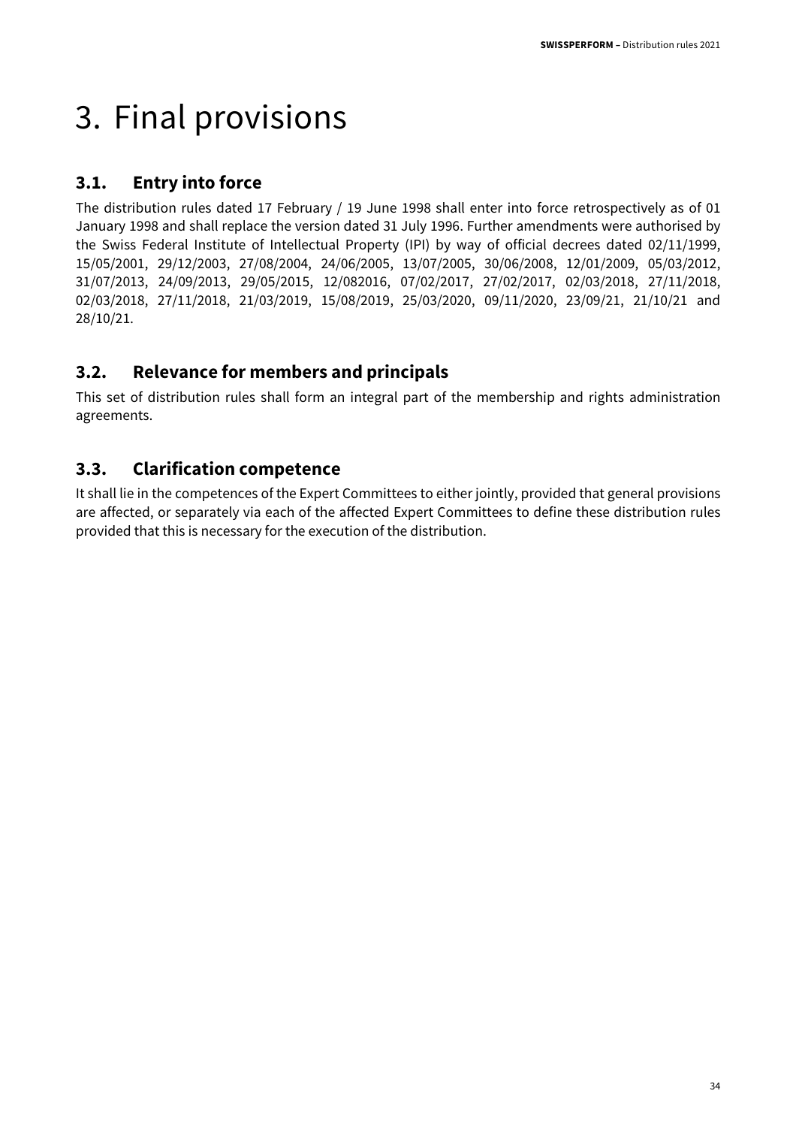## 3. Final provisions

#### **3.1. Entry into force**

The distribution rules dated 17 February / 19 June 1998 shall enter into force retrospectively as of 01 January 1998 and shall replace the version dated 31 July 1996. Further amendments were authorised by the Swiss Federal Institute of Intellectual Property (IPI) by way of official decrees dated 02/11/1999, 15/05/2001, 29/12/2003, 27/08/2004, 24/06/2005, 13/07/2005, 30/06/2008, 12/01/2009, 05/03/2012, 31/07/2013, 24/09/2013, 29/05/2015, 12/082016, 07/02/2017, 27/02/2017, 02/03/2018, 27/11/2018, 02/03/2018, 27/11/2018, 21/03/2019, 15/08/2019, 25/03/2020, 09/11/2020, 23/09/21, 21/10/21 and 28/10/21.

#### **3.2. Relevance for members and principals**

This set of distribution rules shall form an integral part of the membership and rights administration agreements.

#### **3.3. Clarification competence**

It shall lie in the competences of the Expert Committees to either jointly, provided that general provisions are affected, or separately via each of the affected Expert Committees to define these distribution rules provided that this is necessary for the execution of the distribution.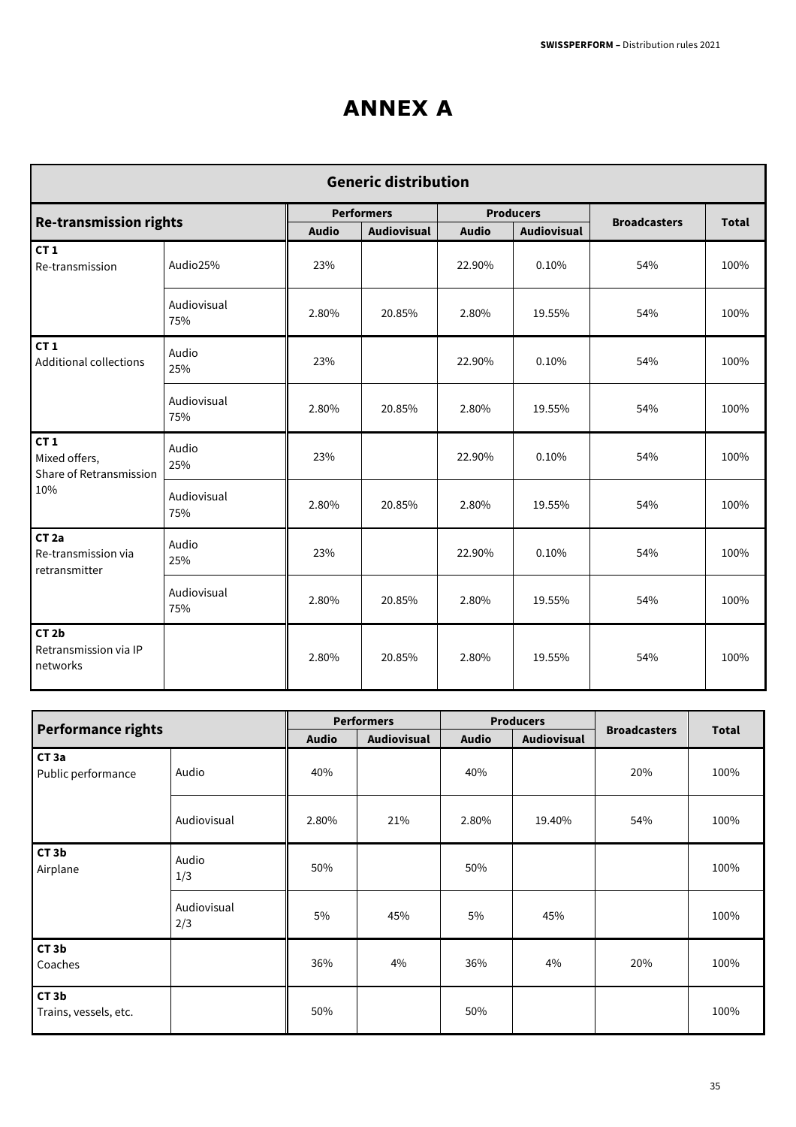## **ANNEX A**

| <b>Generic distribution</b>                                 |                    |              |                   |                  |             |                     |              |  |  |  |
|-------------------------------------------------------------|--------------------|--------------|-------------------|------------------|-------------|---------------------|--------------|--|--|--|
| <b>Re-transmission rights</b>                               |                    |              | <b>Performers</b> | <b>Producers</b> |             | <b>Broadcasters</b> | <b>Total</b> |  |  |  |
|                                                             |                    | <b>Audio</b> | Audiovisual       | <b>Audio</b>     | Audiovisual |                     |              |  |  |  |
| CT <sub>1</sub><br>Re-transmission                          | Audio25%           | 23%          |                   | 22.90%           | 0.10%       | 54%                 | 100%         |  |  |  |
|                                                             | Audiovisual<br>75% | 2.80%        | 20.85%            | 2.80%            | 19.55%      | 54%                 | 100%         |  |  |  |
| CT <sub>1</sub><br><b>Additional collections</b>            | Audio<br>25%       | 23%          |                   | 22.90%           | 0.10%       | 54%                 | 100%         |  |  |  |
|                                                             | Audiovisual<br>75% | 2.80%        | 20.85%            | 2.80%            | 19.55%      | 54%                 | 100%         |  |  |  |
| CT <sub>1</sub><br>Mixed offers,<br>Share of Retransmission | Audio<br>25%       | 23%          |                   | 22.90%           | 0.10%       | 54%                 | 100%         |  |  |  |
| 10%                                                         | Audiovisual<br>75% | 2.80%        | 20.85%            | 2.80%            | 19.55%      | 54%                 | 100%         |  |  |  |
| CT <sub>2a</sub><br>Re-transmission via<br>retransmitter    | Audio<br>25%       | 23%          |                   | 22.90%           | 0.10%       | 54%                 | 100%         |  |  |  |
|                                                             | Audiovisual<br>75% | 2.80%        | 20.85%            | 2.80%            | 19.55%      | 54%                 | 100%         |  |  |  |
| CT <sub>2b</sub><br>Retransmission via IP<br>networks       |                    | 2.80%        | 20.85%            | 2.80%            | 19.55%      | 54%                 | 100%         |  |  |  |

|                                            |                    |              | <b>Performers</b> |              | <b>Producers</b>   |                     |              |
|--------------------------------------------|--------------------|--------------|-------------------|--------------|--------------------|---------------------|--------------|
| <b>Performance rights</b>                  |                    | <b>Audio</b> | Audiovisual       | <b>Audio</b> | <b>Audiovisual</b> | <b>Broadcasters</b> | <b>Total</b> |
| CT <sub>3a</sub><br>Public performance     | Audio              | 40%          |                   | 40%          |                    | 20%                 | 100%         |
|                                            | Audiovisual        | 2.80%        | 21%               | 2.80%        | 19.40%             | 54%                 | 100%         |
| CT3b<br>Airplane                           | Audio<br>1/3       | 50%          |                   | 50%          |                    |                     | 100%         |
|                                            | Audiovisual<br>2/3 | 5%           | 45%               | 5%           | 45%                |                     | 100%         |
| CT3b<br>Coaches                            |                    | 36%          | 4%                | 36%          | 4%                 | 20%                 | 100%         |
| CT <sub>3</sub> b<br>Trains, vessels, etc. |                    | 50%          |                   | 50%          |                    |                     | 100%         |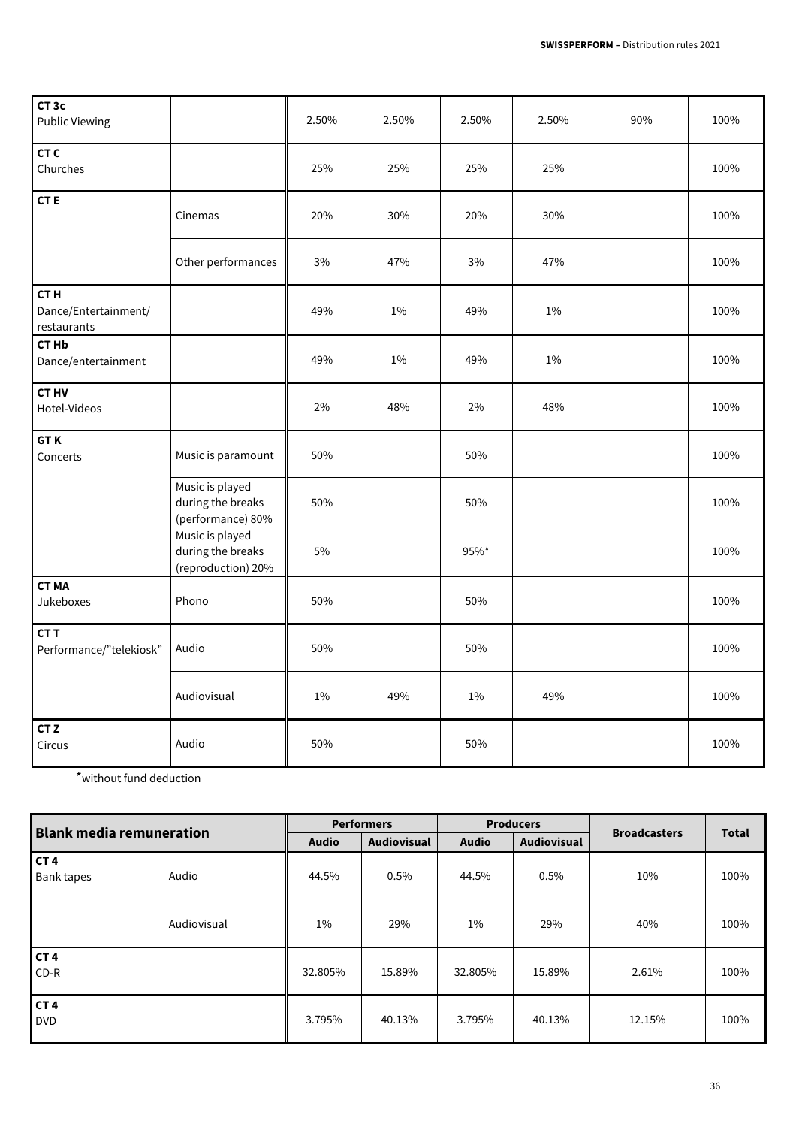| CT <sub>3c</sub><br><b>Public Viewing</b>              |                                                            | 2.50% | 2.50% | 2.50% | 2.50% | 90% | 100% |
|--------------------------------------------------------|------------------------------------------------------------|-------|-------|-------|-------|-----|------|
| CT <sub>C</sub><br>Churches                            |                                                            | 25%   | 25%   | 25%   | 25%   |     | 100% |
| <b>CTE</b>                                             | Cinemas                                                    | 20%   | 30%   | 20%   | 30%   |     | 100% |
|                                                        | Other performances                                         | 3%    | 47%   | 3%    | 47%   |     | 100% |
| CT <sub>H</sub><br>Dance/Entertainment/<br>restaurants |                                                            | 49%   | $1\%$ | 49%   | 1%    |     | 100% |
| <b>CTHb</b><br>Dance/entertainment                     |                                                            | 49%   | $1\%$ | 49%   | $1\%$ |     | 100% |
| <b>CTHV</b><br>Hotel-Videos                            |                                                            | 2%    | 48%   | 2%    | 48%   |     | 100% |
| <b>GTK</b><br>Concerts                                 | Music is paramount                                         | 50%   |       | 50%   |       |     | 100% |
|                                                        | Music is played<br>during the breaks<br>(performance) 80%  | 50%   |       | 50%   |       |     | 100% |
|                                                        | Music is played<br>during the breaks<br>(reproduction) 20% | 5%    |       | 95%*  |       |     | 100% |
| <b>CTMA</b><br>Jukeboxes                               | Phono                                                      | 50%   |       | 50%   |       |     | 100% |
| CT <sub>T</sub><br>Performance/"telekiosk"             | Audio                                                      | 50%   |       | 50%   |       |     | 100% |
|                                                        | Audiovisual                                                | 1%    | 49%   | 1%    | 49%   |     | 100% |
| CT <sub>Z</sub><br>Circus                              | Audio                                                      | 50%   |       | 50%   |       |     | 100% |

\*without fund deduction

| <b>Blank media remuneration</b> |             | <b>Performers</b> |                    | <b>Producers</b> |                    | <b>Broadcasters</b> | <b>Total</b> |
|---------------------------------|-------------|-------------------|--------------------|------------------|--------------------|---------------------|--------------|
|                                 |             | <b>Audio</b>      | <b>Audiovisual</b> | <b>Audio</b>     | <b>Audiovisual</b> |                     |              |
| CT <sub>4</sub><br>Bank tapes   | Audio       | 44.5%             | 0.5%               | 44.5%            | 0.5%               | 10%                 | 100%         |
|                                 | Audiovisual | $1\%$             | 29%                | $1\%$            | 29%                | 40%                 | 100%         |
| CT <sub>4</sub><br>$CD-R$       |             | 32.805%           | 15.89%             | 32.805%          | 15.89%             | 2.61%               | 100%         |
| CT <sub>4</sub><br><b>DVD</b>   |             | 3.795%            | 40.13%             | 3.795%           | 40.13%             | 12.15%              | 100%         |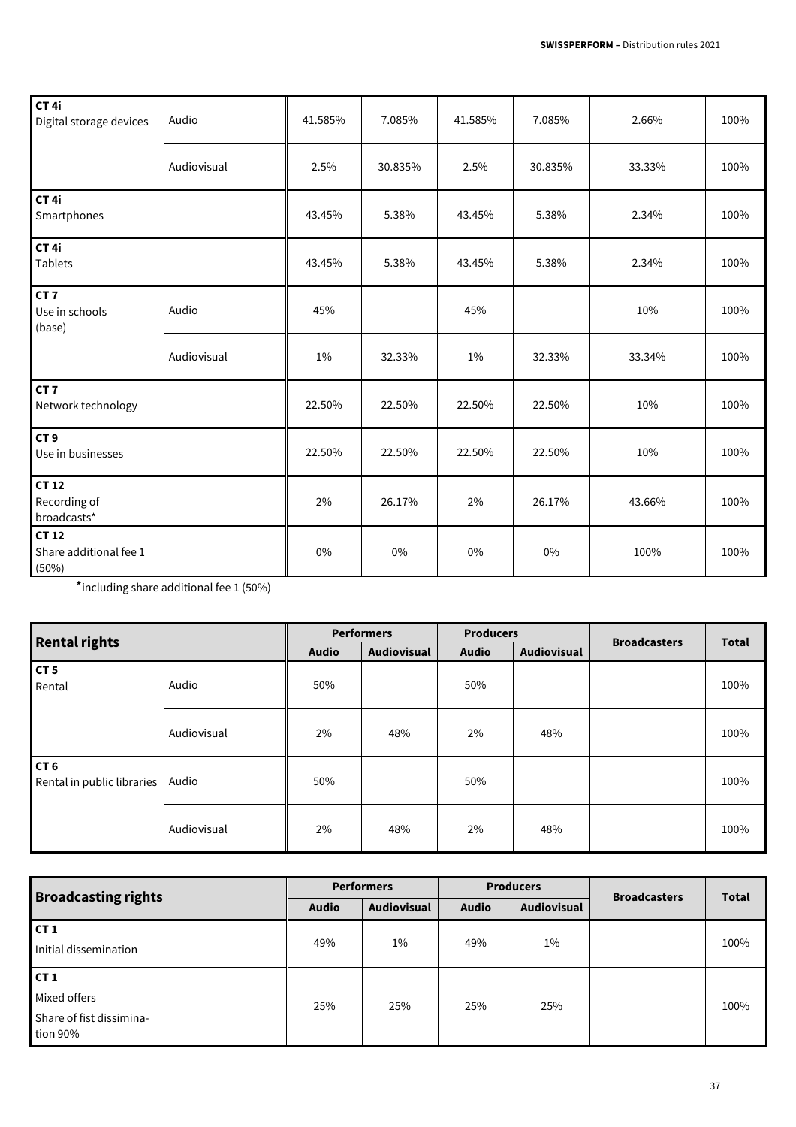| CT <sub>4i</sub><br>Digital storage devices    | Audio       | 41.585% | 7.085%  | 41.585% | 7.085%  | 2.66%  | 100% |
|------------------------------------------------|-------------|---------|---------|---------|---------|--------|------|
|                                                | Audiovisual | 2.5%    | 30.835% | 2.5%    | 30.835% | 33.33% | 100% |
| CT <sub>4i</sub><br>Smartphones                |             | 43.45%  | 5.38%   | 43.45%  | 5.38%   | 2.34%  | 100% |
| CT <sub>4i</sub><br><b>Tablets</b>             |             | 43.45%  | 5.38%   | 43.45%  | 5.38%   | 2.34%  | 100% |
| CT <sub>7</sub><br>Use in schools<br>(base)    | Audio       | 45%     |         | 45%     |         | 10%    | 100% |
|                                                | Audiovisual | 1%      | 32.33%  | 1%      | 32.33%  | 33.34% | 100% |
| CT <sub>7</sub><br>Network technology          |             | 22.50%  | 22.50%  | 22.50%  | 22.50%  | 10%    | 100% |
| CT <sub>9</sub><br>Use in businesses           |             | 22.50%  | 22.50%  | 22.50%  | 22.50%  | 10%    | 100% |
| <b>CT12</b><br>Recording of<br>broadcasts*     |             | 2%      | 26.17%  | 2%      | 26.17%  | 43.66% | 100% |
| <b>CT12</b><br>Share additional fee 1<br>(50%) |             | $0\%$   | 0%      | $0\%$   | $0\%$   | 100%   | 100% |

\*including share additional fee 1 (50%)

| <b>Rental rights</b>                          |             | <b>Performers</b> |             | <b>Producers</b> |             |                     |              |
|-----------------------------------------------|-------------|-------------------|-------------|------------------|-------------|---------------------|--------------|
|                                               |             | <b>Audio</b>      | Audiovisual | <b>Audio</b>     | Audiovisual | <b>Broadcasters</b> | <b>Total</b> |
| CT <sub>5</sub><br>Rental                     | Audio       | 50%               |             | 50%              |             |                     | 100%         |
|                                               | Audiovisual | 2%                | 48%         | 2%               | 48%         |                     | 100%         |
| CT <sub>6</sub><br>Rental in public libraries | Audio       | 50%               |             | 50%              |             |                     | 100%         |
|                                               | Audiovisual | 2%                | 48%         | 2%               | 48%         |                     | 100%         |

| <b>Broadcasting rights</b>                                  | <b>Performers</b> |                    | <b>Producers</b> |                    | <b>Broadcasters</b> | <b>Total</b> |
|-------------------------------------------------------------|-------------------|--------------------|------------------|--------------------|---------------------|--------------|
|                                                             | <b>Audio</b>      | <b>Audiovisual</b> | <b>Audio</b>     | <b>Audiovisual</b> |                     |              |
| ct1<br>Initial dissemination                                | 49%               | $1\%$              | 49%              | $1\%$              |                     | 100%         |
| ct1<br>Mixed offers<br>Share of fist dissimina-<br>tion 90% | 25%               | 25%                | 25%              | 25%                |                     | 100%         |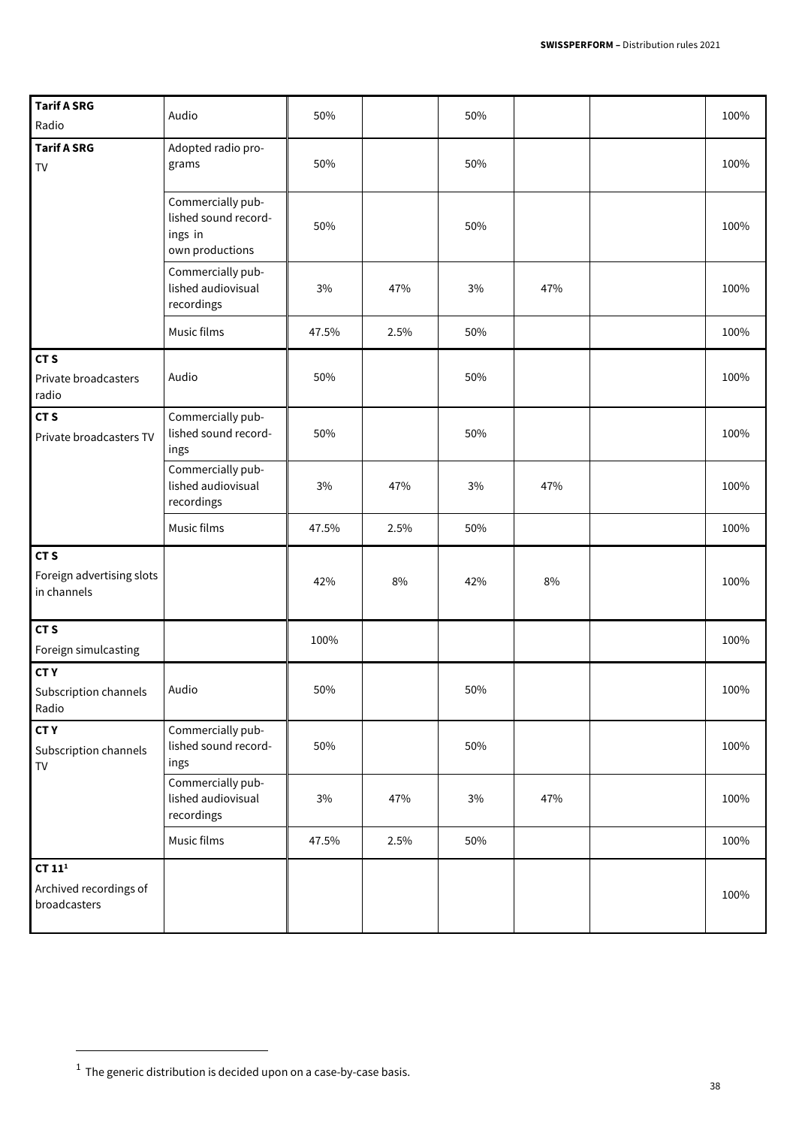| <b>Tarif A SRG</b><br>Radio                                 | Audio                                                                   | 50%   |      | 50%   |     | 100% |
|-------------------------------------------------------------|-------------------------------------------------------------------------|-------|------|-------|-----|------|
| <b>Tarif A SRG</b><br>TV                                    | Adopted radio pro-<br>grams                                             | 50%   |      | 50%   |     | 100% |
|                                                             | Commercially pub-<br>lished sound record-<br>ings in<br>own productions | 50%   |      | 50%   |     | 100% |
|                                                             | Commercially pub-<br>lished audiovisual<br>recordings                   | 3%    | 47%  | $3\%$ | 47% | 100% |
|                                                             | Music films                                                             | 47.5% | 2.5% | 50%   |     | 100% |
| CT <sub>S</sub><br>Private broadcasters<br>radio            | Audio                                                                   | 50%   |      | 50%   |     | 100% |
| CT <sub>S</sub><br>Private broadcasters TV                  | Commercially pub-<br>lished sound record-<br>ings                       | 50%   |      | 50%   |     | 100% |
|                                                             | Commercially pub-<br>lished audiovisual<br>recordings                   | 3%    | 47%  | 3%    | 47% | 100% |
|                                                             | Music films                                                             | 47.5% | 2.5% | 50%   |     | 100% |
| CT <sub>S</sub><br>Foreign advertising slots<br>in channels |                                                                         | 42%   | 8%   | 42%   | 8%  | 100% |
| CT <sub>S</sub><br>Foreign simulcasting                     |                                                                         | 100%  |      |       |     | 100% |
| <b>CTY</b><br>Subscription channels<br>Radio                | Audio                                                                   | 50%   |      | 50%   |     | 100% |
| <b>CTY</b><br>Subscription channels<br>${\sf TV}$           | Commercially pub-<br>lished sound record-<br>ings                       | 50%   |      | 50%   |     | 100% |
|                                                             | Commercially pub-<br>lished audiovisual<br>recordings                   | $3\%$ | 47%  | $3\%$ | 47% | 100% |
|                                                             | Music films                                                             | 47.5% | 2.5% | 50%   |     | 100% |
| CT $111$<br>Archived recordings of<br>broadcasters          |                                                                         |       |      |       |     | 100% |

 $\overline{a}$ 

 $^1$  The generic distribution is decided upon on a case-by-case basis.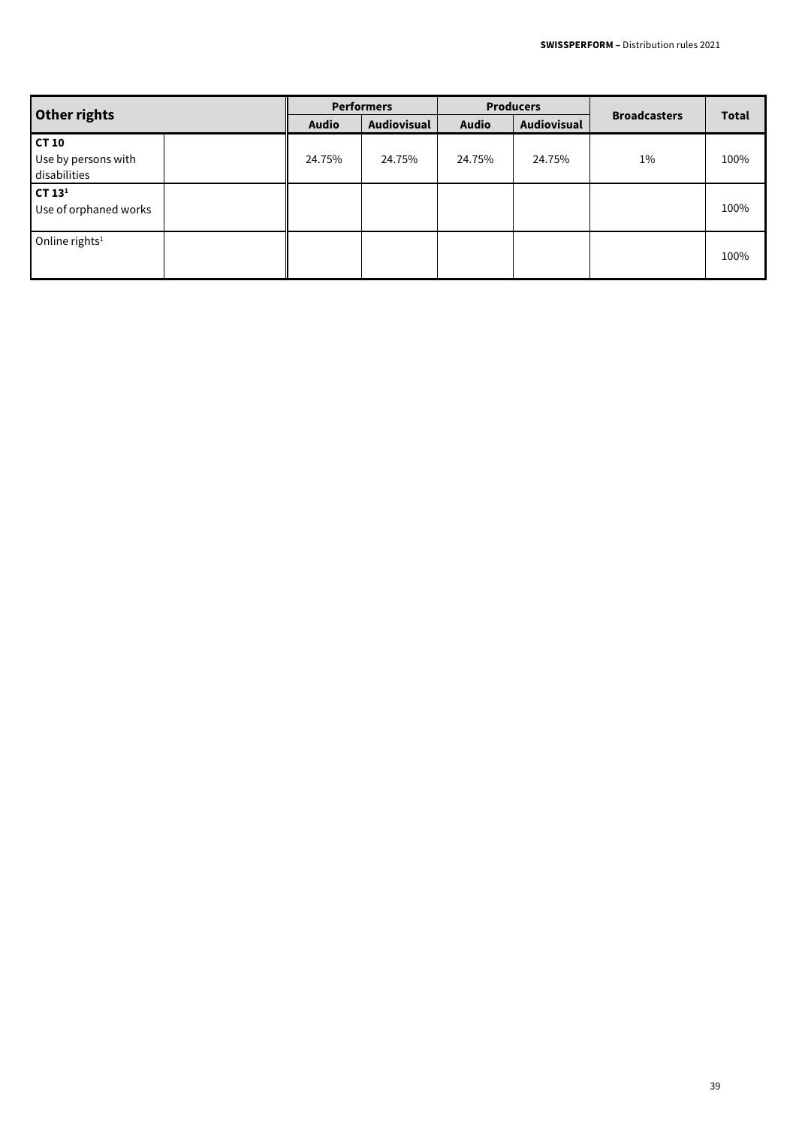| Other rights                                 | <b>Performers</b> |             | <b>Producers</b> |             |                     |              |
|----------------------------------------------|-------------------|-------------|------------------|-------------|---------------------|--------------|
|                                              | <b>Audio</b>      | Audiovisual | <b>Audio</b>     | Audiovisual | <b>Broadcasters</b> | <b>Total</b> |
| CT 10<br>Use by persons with<br>disabilities | 24.75%            | 24.75%      | 24.75%           | 24.75%      | $1\%$               | 100%         |
| CT $131$<br>Use of orphaned works            |                   |             |                  |             |                     | 100%         |
| Online rights <sup>1</sup>                   |                   |             |                  |             |                     | 100%         |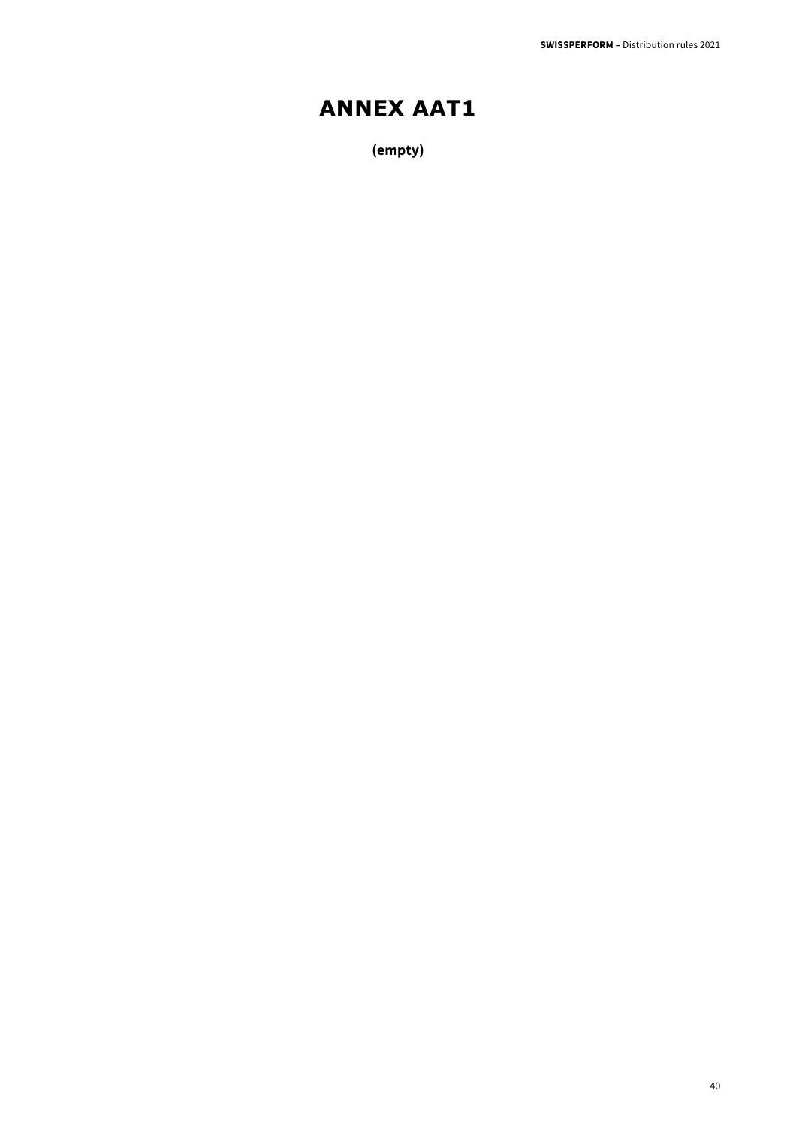## **ANNEX AAT1**

**(empty)**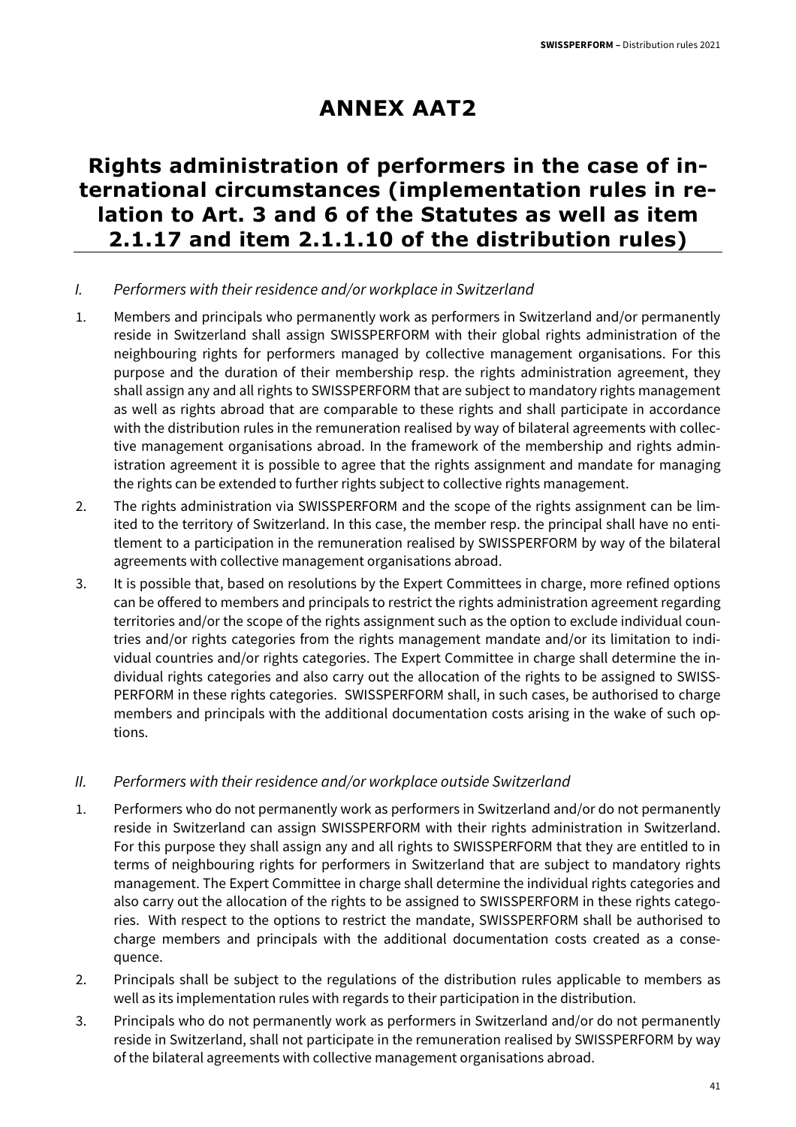## **ANNEX AAT2**

### **Rights administration of performers in the case of international circumstances (implementation rules in relation to Art. 3 and 6 of the Statutes as well as item 2.1.17 and item 2.1.1.10 of the distribution rules)**

#### I. Performers with their residence and/or workplace in Switzerland

- 1. Members and principals who permanently work as performers in Switzerland and/or permanently reside in Switzerland shall assign SWISSPERFORM with their global rights administration of the neighbouring rights for performers managed by collective management organisations. For this purpose and the duration of their membership resp. the rights administration agreement, they shall assign any and all rights to SWISSPERFORM that are subject to mandatory rights management as well as rights abroad that are comparable to these rights and shall participate in accordance with the distribution rules in the remuneration realised by way of bilateral agreements with collective management organisations abroad. In the framework of the membership and rights administration agreement it is possible to agree that the rights assignment and mandate for managing the rights can be extended to further rights subject to collective rights management.
- 2. The rights administration via SWISSPERFORM and the scope of the rights assignment can be limited to the territory of Switzerland. In this case, the member resp. the principal shall have no entitlement to a participation in the remuneration realised by SWISSPERFORM by way of the bilateral agreements with collective management organisations abroad.
- 3. It is possible that, based on resolutions by the Expert Committees in charge, more refined options can be offered to members and principals to restrict the rights administration agreement regarding territories and/or the scope of the rights assignment such as the option to exclude individual countries and/or rights categories from the rights management mandate and/or its limitation to individual countries and/or rights categories. The Expert Committee in charge shall determine the individual rights categories and also carry out the allocation of the rights to be assigned to SWISS-PERFORM in these rights categories. SWISSPERFORM shall, in such cases, be authorised to charge members and principals with the additional documentation costs arising in the wake of such options.

#### II. Performers with their residence and/or workplace outside Switzerland

- 1. Performers who do not permanently work as performers in Switzerland and/or do not permanently reside in Switzerland can assign SWISSPERFORM with their rights administration in Switzerland. For this purpose they shall assign any and all rights to SWISSPERFORM that they are entitled to in terms of neighbouring rights for performers in Switzerland that are subject to mandatory rights management. The Expert Committee in charge shall determine the individual rights categories and also carry out the allocation of the rights to be assigned to SWISSPERFORM in these rights categories. With respect to the options to restrict the mandate, SWISSPERFORM shall be authorised to charge members and principals with the additional documentation costs created as a consequence.
- 2. Principals shall be subject to the regulations of the distribution rules applicable to members as well as its implementation rules with regards to their participation in the distribution.
- 3. Principals who do not permanently work as performers in Switzerland and/or do not permanently reside in Switzerland, shall not participate in the remuneration realised by SWISSPERFORM by way of the bilateral agreements with collective management organisations abroad.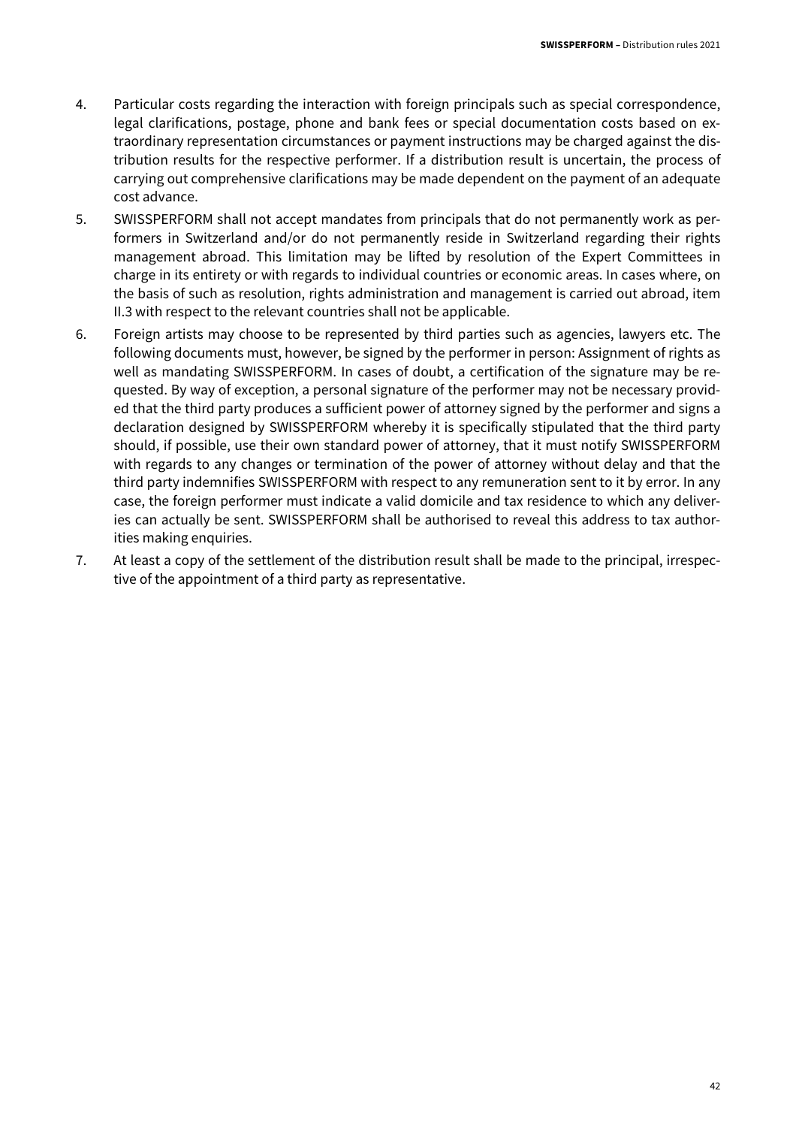- 4. Particular costs regarding the interaction with foreign principals such as special correspondence, legal clarifications, postage, phone and bank fees or special documentation costs based on extraordinary representation circumstances or payment instructions may be charged against the distribution results for the respective performer. If a distribution result is uncertain, the process of carrying out comprehensive clarifications may be made dependent on the payment of an adequate cost advance.
- 5. SWISSPERFORM shall not accept mandates from principals that do not permanently work as performers in Switzerland and/or do not permanently reside in Switzerland regarding their rights management abroad. This limitation may be lifted by resolution of the Expert Committees in charge in its entirety or with regards to individual countries or economic areas. In cases where, on the basis of such as resolution, rights administration and management is carried out abroad, item II.3 with respect to the relevant countries shall not be applicable.
- 6. Foreign artists may choose to be represented by third parties such as agencies, lawyers etc. The following documents must, however, be signed by the performer in person: Assignment of rights as well as mandating SWISSPERFORM. In cases of doubt, a certification of the signature may be requested. By way of exception, a personal signature of the performer may not be necessary provided that the third party produces a sufficient power of attorney signed by the performer and signs a declaration designed by SWISSPERFORM whereby it is specifically stipulated that the third party should, if possible, use their own standard power of attorney, that it must notify SWISSPERFORM with regards to any changes or termination of the power of attorney without delay and that the third party indemnifies SWISSPERFORM with respect to any remuneration sent to it by error. In any case, the foreign performer must indicate a valid domicile and tax residence to which any deliveries can actually be sent. SWISSPERFORM shall be authorised to reveal this address to tax authorities making enquiries.
- 7. At least a copy of the settlement of the distribution result shall be made to the principal, irrespective of the appointment of a third party as representative.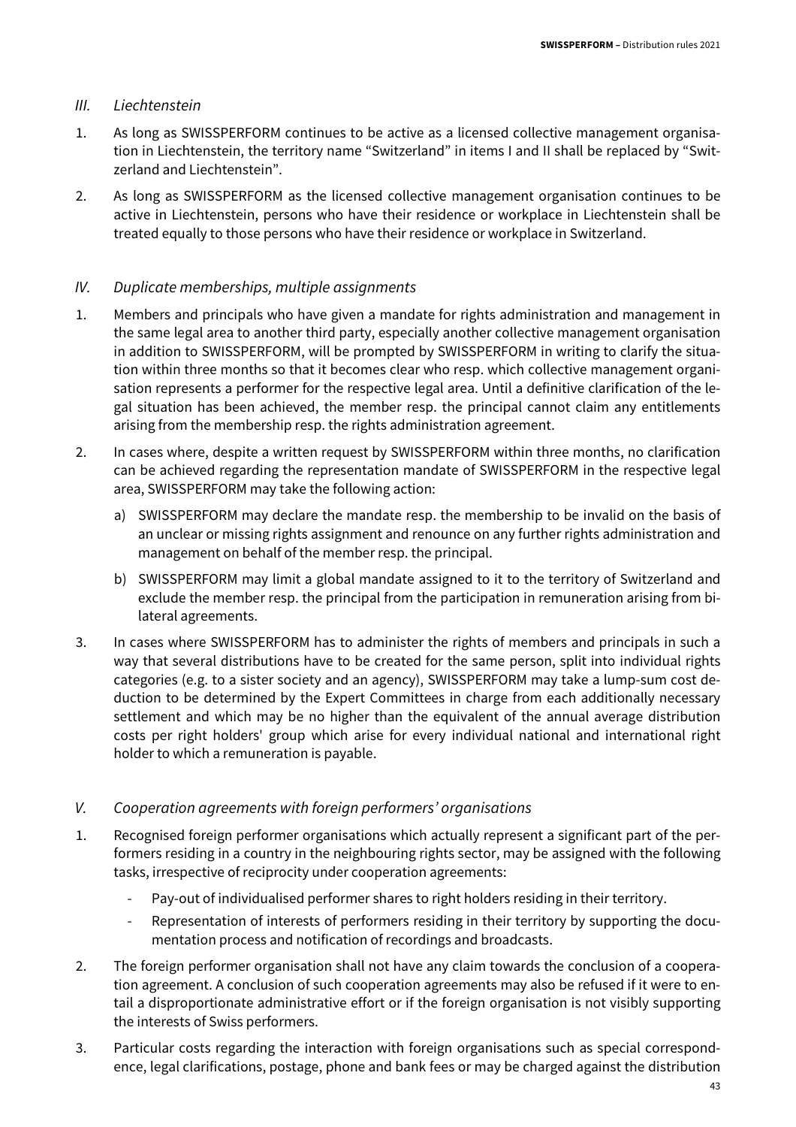#### III. Liechtenstein

- 1. As long as SWISSPERFORM continues to be active as a licensed collective management organisation in Liechtenstein, the territory name "Switzerland" in items I and II shall be replaced by "Switzerland and Liechtenstein".
- 2. As long as SWISSPERFORM as the licensed collective management organisation continues to be active in Liechtenstein, persons who have their residence or workplace in Liechtenstein shall be treated equally to those persons who have their residence or workplace in Switzerland.

#### IV. Duplicate memberships, multiple assignments

- 1. Members and principals who have given a mandate for rights administration and management in the same legal area to another third party, especially another collective management organisation in addition to SWISSPERFORM, will be prompted by SWISSPERFORM in writing to clarify the situation within three months so that it becomes clear who resp. which collective management organisation represents a performer for the respective legal area. Until a definitive clarification of the legal situation has been achieved, the member resp. the principal cannot claim any entitlements arising from the membership resp. the rights administration agreement.
- 2. In cases where, despite a written request by SWISSPERFORM within three months, no clarification can be achieved regarding the representation mandate of SWISSPERFORM in the respective legal area, SWISSPERFORM may take the following action:
	- a) SWISSPERFORM may declare the mandate resp. the membership to be invalid on the basis of an unclear or missing rights assignment and renounce on any further rights administration and management on behalf of the member resp. the principal.
	- b) SWISSPERFORM may limit a global mandate assigned to it to the territory of Switzerland and exclude the member resp. the principal from the participation in remuneration arising from bilateral agreements.
- 3. In cases where SWISSPERFORM has to administer the rights of members and principals in such a way that several distributions have to be created for the same person, split into individual rights categories (e.g. to a sister society and an agency), SWISSPERFORM may take a lump-sum cost deduction to be determined by the Expert Committees in charge from each additionally necessary settlement and which may be no higher than the equivalent of the annual average distribution costs per right holders' group which arise for every individual national and international right holder to which a remuneration is payable.
- V. Cooperation agreements with foreign performers' organisations
- 1. Recognised foreign performer organisations which actually represent a significant part of the performers residing in a country in the neighbouring rights sector, may be assigned with the following tasks, irrespective of reciprocity under cooperation agreements:
	- Pay-out of individualised performer shares to right holders residing in their territory.
	- Representation of interests of performers residing in their territory by supporting the documentation process and notification of recordings and broadcasts.
- 2. The foreign performer organisation shall not have any claim towards the conclusion of a cooperation agreement. A conclusion of such cooperation agreements may also be refused if it were to entail a disproportionate administrative effort or if the foreign organisation is not visibly supporting the interests of Swiss performers.
- 3. Particular costs regarding the interaction with foreign organisations such as special correspondence, legal clarifications, postage, phone and bank fees or may be charged against the distribution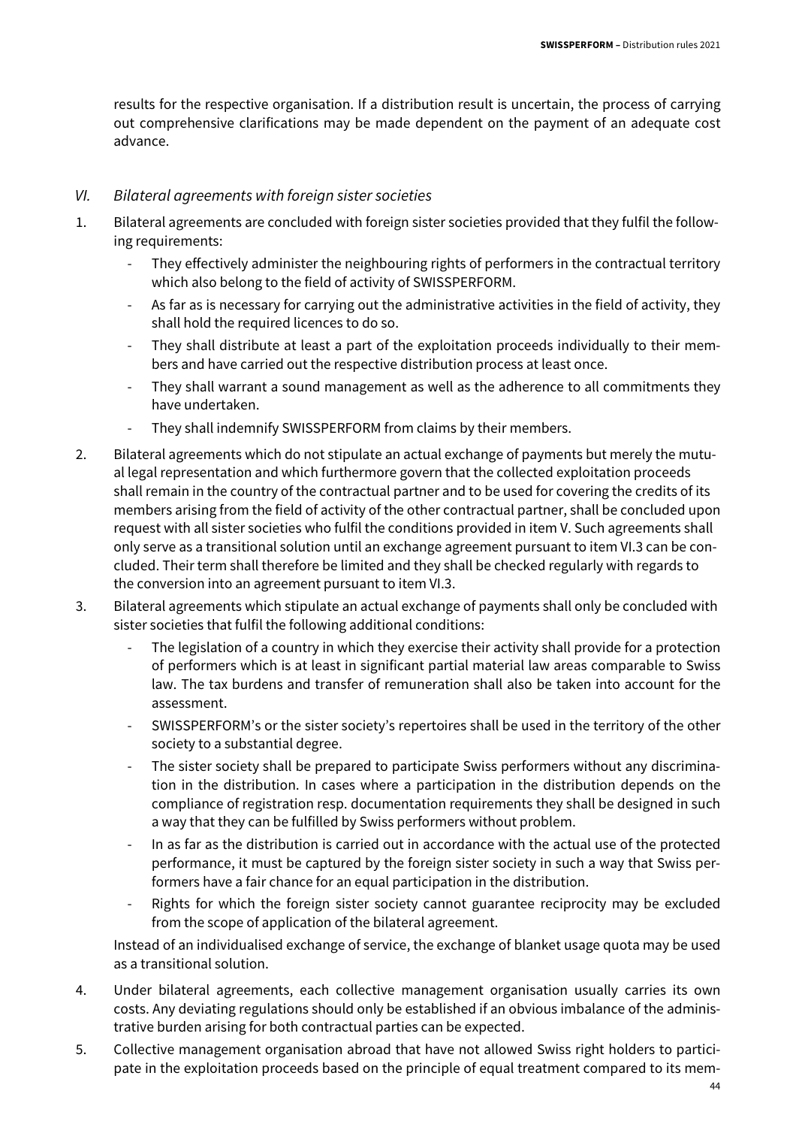results for the respective organisation. If a distribution result is uncertain, the process of carrying out comprehensive clarifications may be made dependent on the payment of an adequate cost advance.

#### VI. Bilateral agreements with foreign sister societies

- 1. Bilateral agreements are concluded with foreign sister societies provided that they fulfil the following requirements:
	- They effectively administer the neighbouring rights of performers in the contractual territory which also belong to the field of activity of SWISSPERFORM.
	- As far as is necessary for carrying out the administrative activities in the field of activity, they shall hold the required licences to do so.
	- They shall distribute at least a part of the exploitation proceeds individually to their members and have carried out the respective distribution process at least once.
	- They shall warrant a sound management as well as the adherence to all commitments they have undertaken.
	- They shall indemnify SWISSPERFORM from claims by their members.
- 2. Bilateral agreements which do not stipulate an actual exchange of payments but merely the mutual legal representation and which furthermore govern that the collected exploitation proceeds shall remain in the country of the contractual partner and to be used for covering the credits of its members arising from the field of activity of the other contractual partner, shall be concluded upon request with all sister societies who fulfil the conditions provided in item V. Such agreements shall only serve as a transitional solution until an exchange agreement pursuant to item VI.3 can be concluded. Their term shall therefore be limited and they shall be checked regularly with regards to the conversion into an agreement pursuant to item VI.3.
- 3. Bilateral agreements which stipulate an actual exchange of payments shall only be concluded with sister societies that fulfil the following additional conditions:
	- The legislation of a country in which they exercise their activity shall provide for a protection of performers which is at least in significant partial material law areas comparable to Swiss law. The tax burdens and transfer of remuneration shall also be taken into account for the assessment.
	- SWISSPERFORM's or the sister society's repertoires shall be used in the territory of the other society to a substantial degree.
	- The sister society shall be prepared to participate Swiss performers without any discrimination in the distribution. In cases where a participation in the distribution depends on the compliance of registration resp. documentation requirements they shall be designed in such a way that they can be fulfilled by Swiss performers without problem.
	- In as far as the distribution is carried out in accordance with the actual use of the protected performance, it must be captured by the foreign sister society in such a way that Swiss performers have a fair chance for an equal participation in the distribution.
	- Rights for which the foreign sister society cannot guarantee reciprocity may be excluded from the scope of application of the bilateral agreement.

Instead of an individualised exchange of service, the exchange of blanket usage quota may be used as a transitional solution.

- 4. Under bilateral agreements, each collective management organisation usually carries its own costs. Any deviating regulations should only be established if an obvious imbalance of the administrative burden arising for both contractual parties can be expected.
- 5. Collective management organisation abroad that have not allowed Swiss right holders to participate in the exploitation proceeds based on the principle of equal treatment compared to its mem-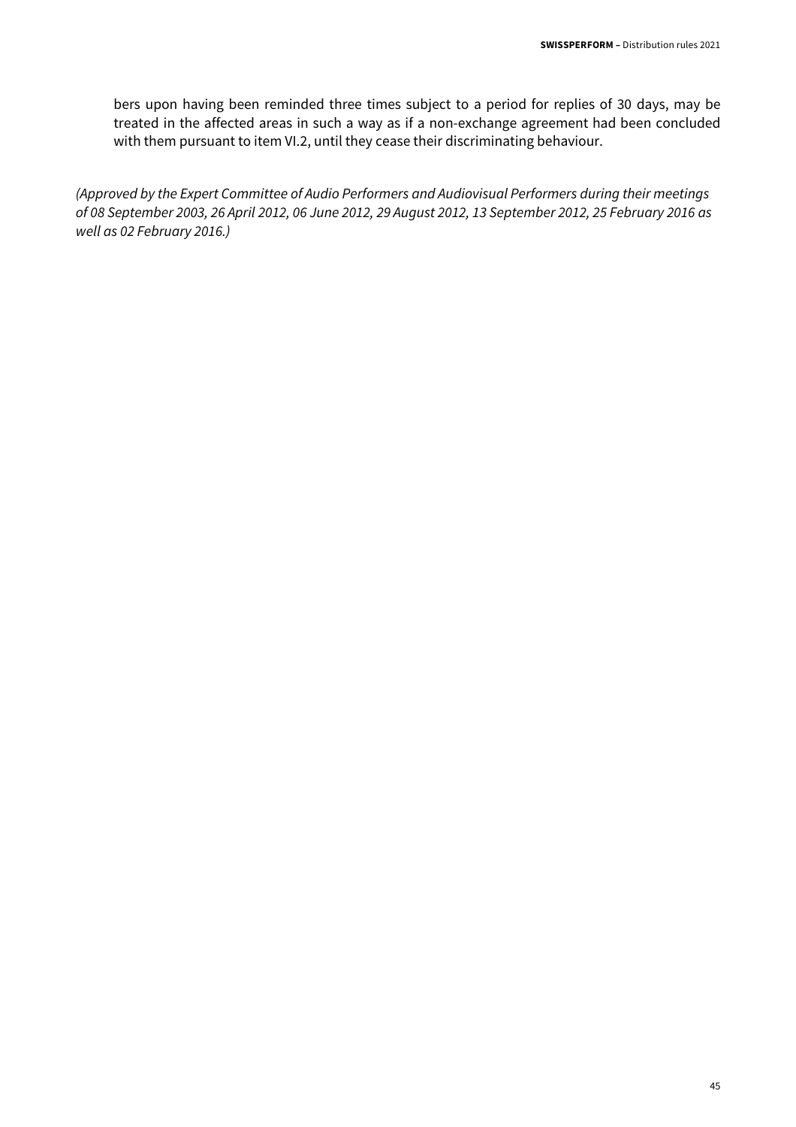bers upon having been reminded three times subject to a period for replies of 30 days, may be treated in the affected areas in such a way as if a non-exchange agreement had been concluded with them pursuant to item VI.2, until they cease their discriminating behaviour.

(Approved by the Expert Committee of Audio Performers and Audiovisual Performers during their meetings of 08 September 2003, 26 April 2012, 06 June 2012, 29 August 2012, 13 September 2012, 25 February 2016 as well as 02 February 2016.)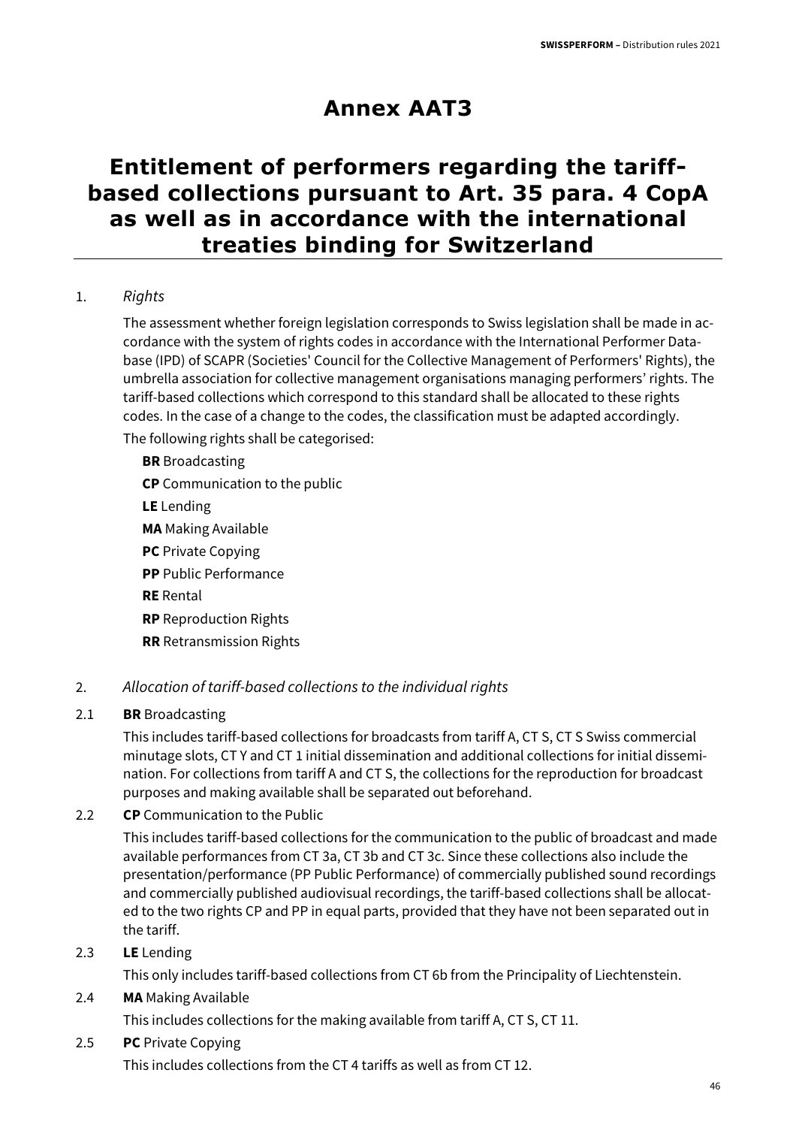## **Annex AAT3**

## **Entitlement of performers regarding the tariffbased collections pursuant to Art. 35 para. 4 CopA as well as in accordance with the international treaties binding for Switzerland**

#### 1. Rights

The assessment whether foreign legislation corresponds to Swiss legislation shall be made in accordance with the system of rights codes in accordance with the International Performer Database (IPD) of SCAPR (Societies' Council for the Collective Management of Performers' Rights), the umbrella association for collective management organisations managing performers' rights. The tariff-based collections which correspond to this standard shall be allocated to these rights codes. In the case of a change to the codes, the classification must be adapted accordingly.

The following rights shall be categorised:

**BR** Broadcasting **CP** Communication to the public **LE** Lending **MA** Making Available **PC** Private Copying **PP** Public Performance **RE** Rental **RP** Reproduction Rights

**RR** Retransmission Rights

#### 2. Allocation of tariff-based collections to the individual rights

#### 2.1 **BR** Broadcasting

This includes tariff-based collections for broadcasts from tariff A, CT S, CT S Swiss commercial minutage slots, CT Y and CT 1 initial dissemination and additional collections for initial dissemination. For collections from tariff A and CT S, the collections for the reproduction for broadcast purposes and making available shall be separated out beforehand.

#### 2.2 **CP** Communication to the Public

This includes tariff-based collections for the communication to the public of broadcast and made available performances from CT 3a, CT 3b and CT 3c. Since these collections also include the presentation/performance (PP Public Performance) of commercially published sound recordings and commercially published audiovisual recordings, the tariff-based collections shall be allocated to the two rights CP and PP in equal parts, provided that they have not been separated out in the tariff.

#### 2.3 **LE** Lending

This only includes tariff-based collections from CT 6b from the Principality of Liechtenstein.

#### 2.4 **MA** Making Available

This includes collections for the making available from tariff A, CT S, CT 11.

#### 2.5 **PC** Private Copying

This includes collections from the CT 4 tariffs as well as from CT 12.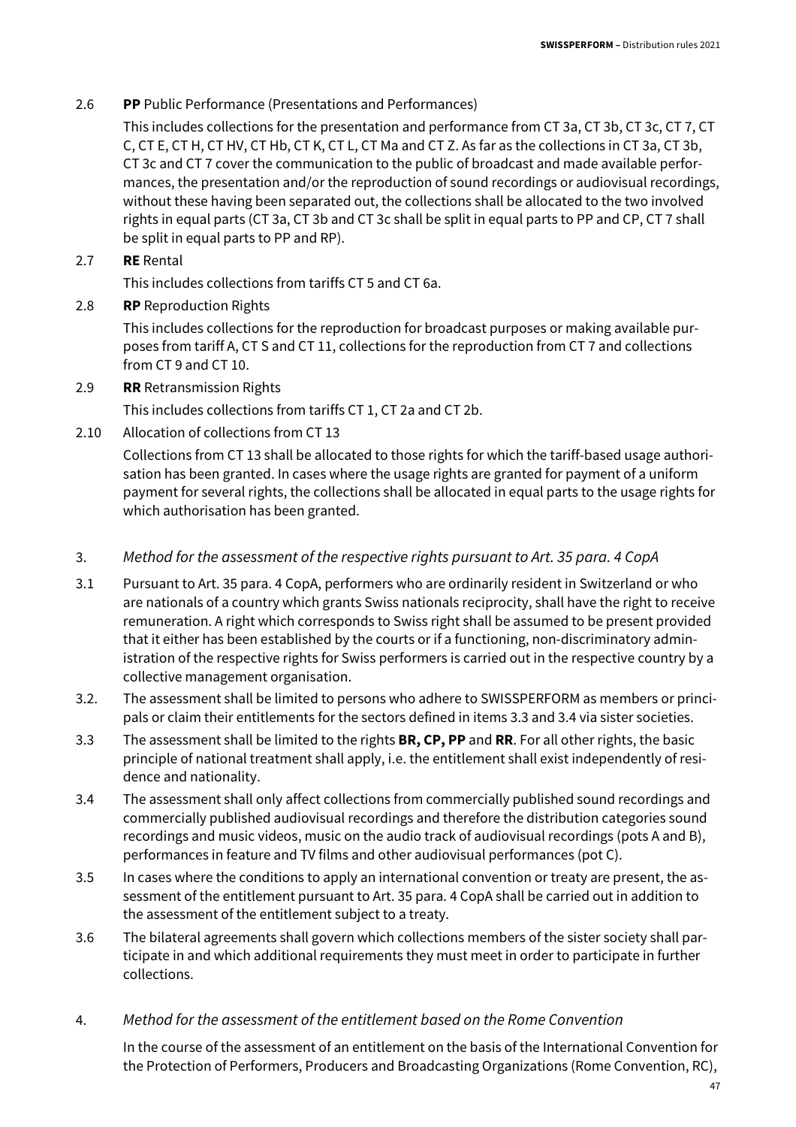#### 2.6 **PP** Public Performance (Presentations and Performances)

This includes collections for the presentation and performance from CT 3a, CT 3b, CT 3c, CT 7, CT C, CT E, CT H, CT HV, CT Hb, CT K, CT L, CT Ma and CT Z. As far as the collections in CT 3a, CT 3b, CT 3c and CT 7 cover the communication to the public of broadcast and made available performances, the presentation and/or the reproduction of sound recordings or audiovisual recordings, without these having been separated out, the collections shall be allocated to the two involved rights in equal parts (CT 3a, CT 3b and CT 3c shall be split in equal parts to PP and CP, CT 7 shall be split in equal parts to PP and RP).

#### 2.7 **RE** Rental

This includes collections from tariffs CT 5 and CT 6a.

2.8 **RP** Reproduction Rights

This includes collections for the reproduction for broadcast purposes or making available purposes from tariff A, CT S and CT 11, collections for the reproduction from CT 7 and collections from CT 9 and CT 10.

2.9 **RR** Retransmission Rights

This includes collections from tariffs CT 1, CT 2a and CT 2b.

2.10 Allocation of collections from CT 13

Collections from CT 13 shall be allocated to those rights for which the tariff-based usage authorisation has been granted. In cases where the usage rights are granted for payment of a uniform payment for several rights, the collections shall be allocated in equal parts to the usage rights for which authorisation has been granted.

- 3. Method for the assessment of the respective rights pursuant to Art. 35 para. 4 CopA
- 3.1 Pursuant to Art. 35 para. 4 CopA, performers who are ordinarily resident in Switzerland or who are nationals of a country which grants Swiss nationals reciprocity, shall have the right to receive remuneration. A right which corresponds to Swiss right shall be assumed to be present provided that it either has been established by the courts or if a functioning, non-discriminatory administration of the respective rights for Swiss performers is carried out in the respective country by a collective management organisation.
- 3.2. The assessment shall be limited to persons who adhere to SWISSPERFORM as members or principals or claim their entitlements for the sectors defined in items 3.3 and 3.4 via sister societies.
- 3.3 The assessment shall be limited to the rights **BR, CP, PP** and **RR**. For all other rights, the basic principle of national treatment shall apply, i.e. the entitlement shall exist independently of residence and nationality.
- 3.4 The assessment shall only affect collections from commercially published sound recordings and commercially published audiovisual recordings and therefore the distribution categories sound recordings and music videos, music on the audio track of audiovisual recordings (pots A and B), performances in feature and TV films and other audiovisual performances (pot C).
- 3.5 In cases where the conditions to apply an international convention or treaty are present, the assessment of the entitlement pursuant to Art. 35 para. 4 CopA shall be carried out in addition to the assessment of the entitlement subject to a treaty.
- 3.6 The bilateral agreements shall govern which collections members of the sister society shall participate in and which additional requirements they must meet in order to participate in further collections.
- 4. Method for the assessment of the entitlement based on the Rome Convention

In the course of the assessment of an entitlement on the basis of the International Convention for the Protection of Performers, Producers and Broadcasting Organizations (Rome Convention, RC),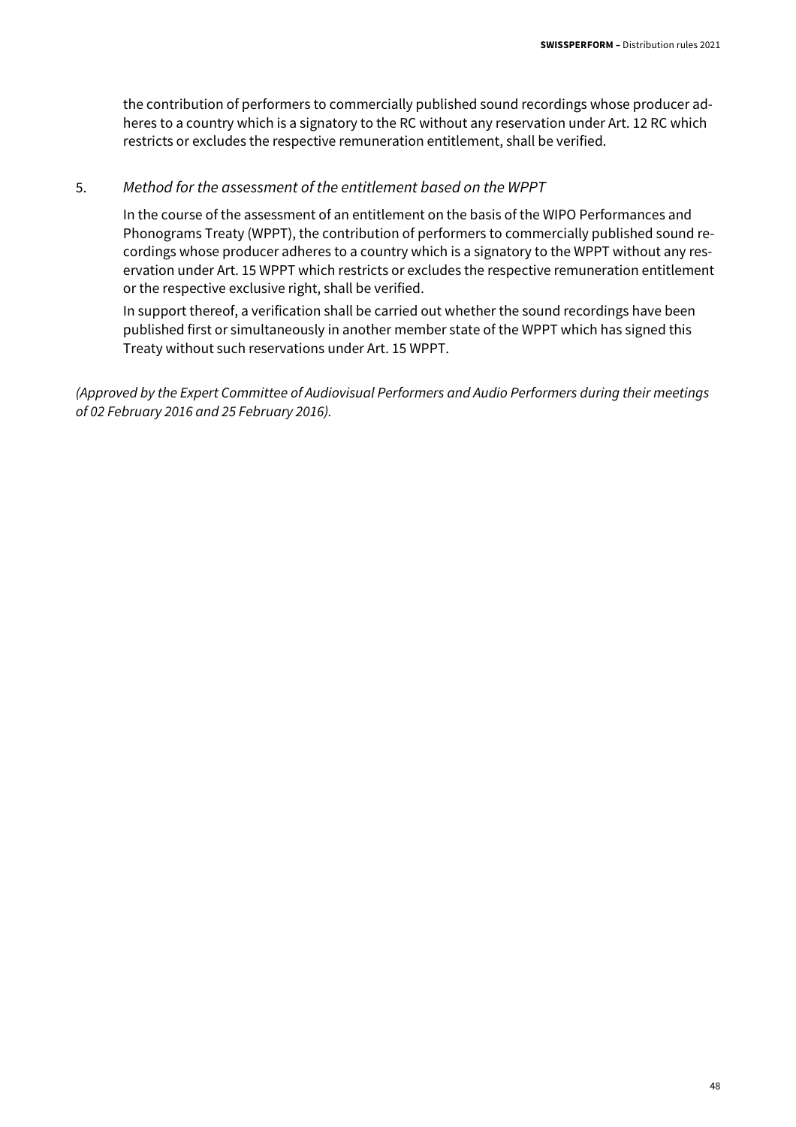the contribution of performers to commercially published sound recordings whose producer adheres to a country which is a signatory to the RC without any reservation under Art. 12 RC which restricts or excludes the respective remuneration entitlement, shall be verified.

#### 5. Method for the assessment of the entitlement based on the WPPT

In the course of the assessment of an entitlement on the basis of the WIPO Performances and Phonograms Treaty (WPPT), the contribution of performers to commercially published sound recordings whose producer adheres to a country which is a signatory to the WPPT without any reservation under Art. 15 WPPT which restricts or excludes the respective remuneration entitlement or the respective exclusive right, shall be verified.

In support thereof, a verification shall be carried out whether the sound recordings have been published first or simultaneously in another member state of the WPPT which has signed this Treaty without such reservations under Art. 15 WPPT.

(Approved by the Expert Committee of Audiovisual Performers and Audio Performers during their meetings of 02 February 2016 and 25 February 2016).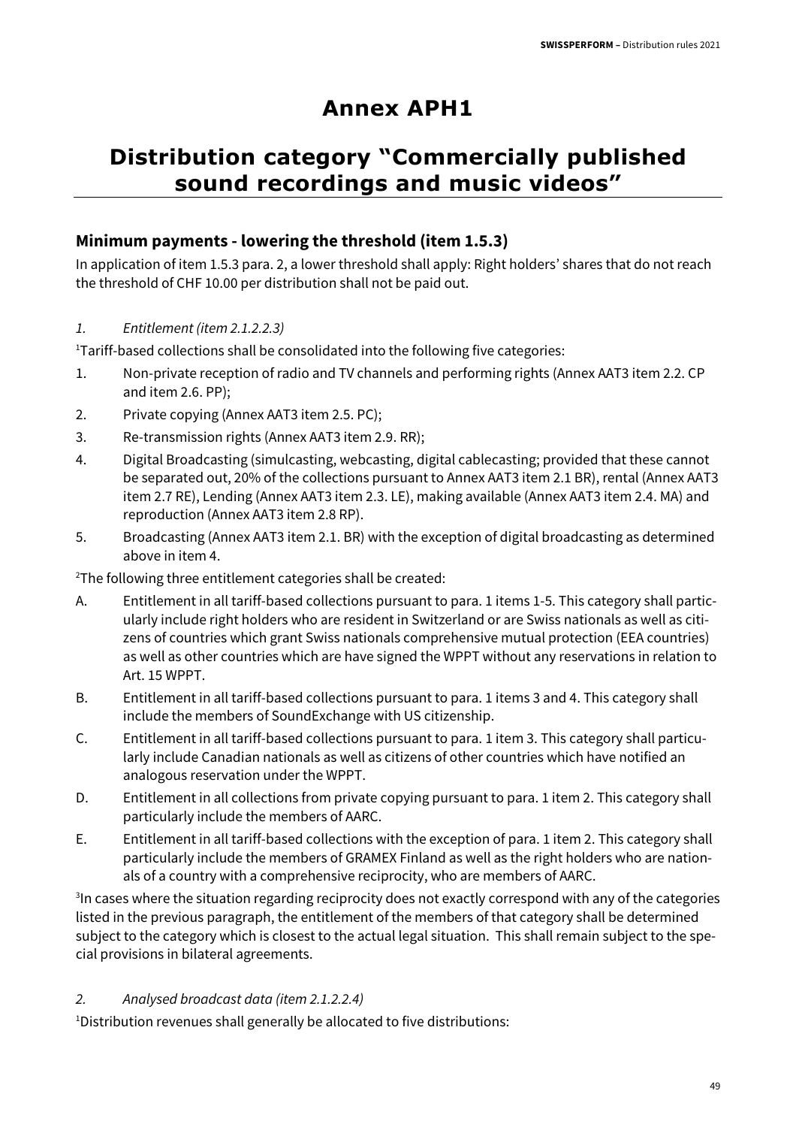## **Annex APH1**

## **Distribution category "Commercially published sound recordings and music videos"**

#### **Minimum payments - lowering the threshold (item 1.5.3)**

In application of item 1.5.3 para. 2, a lower threshold shall apply: Right holders' shares that do not reach the threshold of CHF 10.00 per distribution shall not be paid out.

1. Entitlement (item 2.1.2.2.3)

<sup>1</sup>Tariff-based collections shall be consolidated into the following five categories:

- 1. Non-private reception of radio and TV channels and performing rights (Annex AAT3 item 2.2. CP and item 2.6. PP);
- 2. Private copying (Annex AAT3 item 2.5. PC);
- 3. Re-transmission rights (Annex AAT3 item 2.9. RR);
- 4. Digital Broadcasting (simulcasting, webcasting, digital cablecasting; provided that these cannot be separated out, 20% of the collections pursuant to Annex AAT3 item 2.1 BR), rental (Annex AAT3 item 2.7 RE), Lending (Annex AAT3 item 2.3. LE), making available (Annex AAT3 item 2.4. MA) and reproduction (Annex AAT3 item 2.8 RP).
- 5. Broadcasting (Annex AAT3 item 2.1. BR) with the exception of digital broadcasting as determined above in item 4.

<sup>2</sup>The following three entitlement categories shall be created:

- A. Entitlement in all tariff-based collections pursuant to para. 1 items 1-5. This category shall particularly include right holders who are resident in Switzerland or are Swiss nationals as well as citizens of countries which grant Swiss nationals comprehensive mutual protection (EEA countries) as well as other countries which are have signed the WPPT without any reservations in relation to Art. 15 WPPT.
- B. Entitlement in all tariff-based collections pursuant to para. 1 items 3 and 4. This category shall include the members of SoundExchange with US citizenship.
- C. Entitlement in all tariff-based collections pursuant to para. 1 item 3. This category shall particularly include Canadian nationals as well as citizens of other countries which have notified an analogous reservation under the WPPT.
- D. Entitlement in all collections from private copying pursuant to para. 1 item 2. This category shall particularly include the members of AARC.
- E. Entitlement in all tariff-based collections with the exception of para. 1 item 2. This category shall particularly include the members of GRAMEX Finland as well as the right holders who are nationals of a country with a comprehensive reciprocity, who are members of AARC.

<sup>3</sup>In cases where the situation regarding reciprocity does not exactly correspond with any of the categories listed in the previous paragraph, the entitlement of the members of that category shall be determined subject to the category which is closest to the actual legal situation. This shall remain subject to the special provisions in bilateral agreements.

#### 2. Analysed broadcast data (item 2.1.2.2.4)

<sup>1</sup>Distribution revenues shall generally be allocated to five distributions: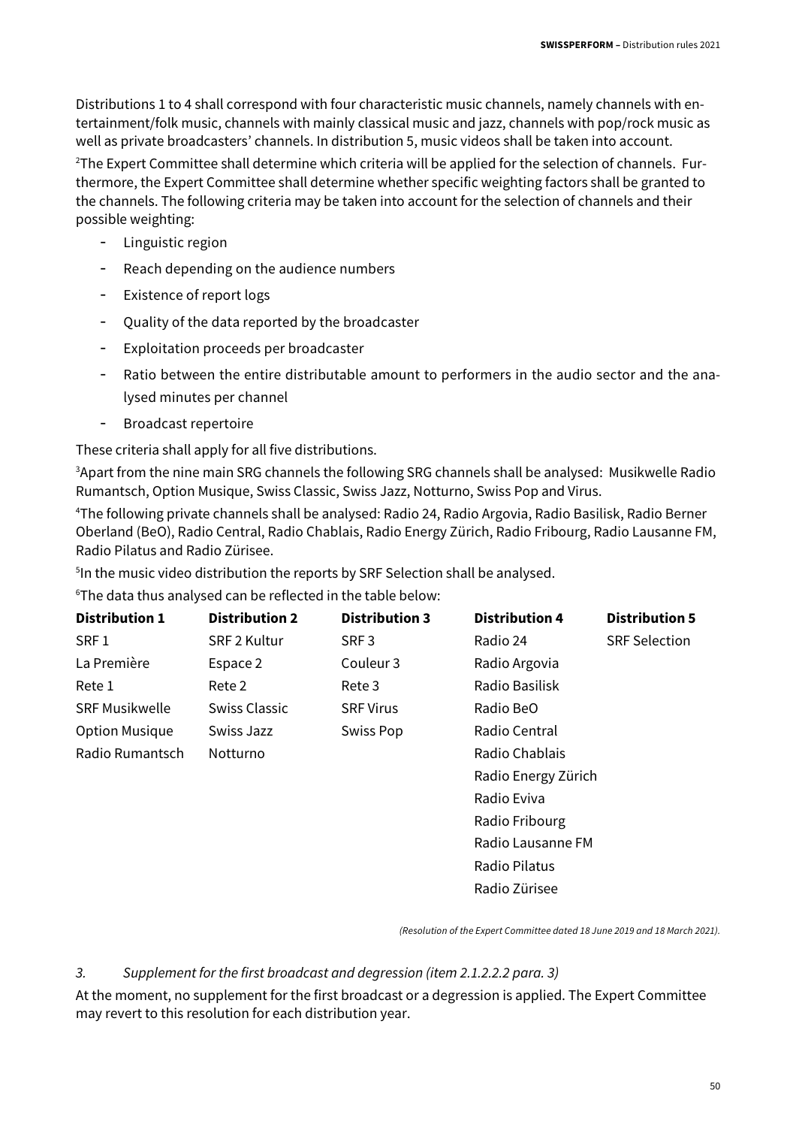Distributions 1 to 4 shall correspond with four characteristic music channels, namely channels with entertainment/folk music, channels with mainly classical music and jazz, channels with pop/rock music as well as private broadcasters' channels. In distribution 5, music videos shall be taken into account.

<sup>2</sup>The Expert Committee shall determine which criteria will be applied for the selection of channels. Furthermore, the Expert Committee shall determine whether specific weighting factors shall be granted to the channels. The following criteria may be taken into account for the selection of channels and their possible weighting:

- Linguistic region
- Reach depending on the audience numbers
- Existence of report logs
- Quality of the data reported by the broadcaster
- Exploitation proceeds per broadcaster
- Ratio between the entire distributable amount to performers in the audio sector and the analysed minutes per channel
- Broadcast repertoire

These criteria shall apply for all five distributions.

<sup>3</sup>Apart from the nine main SRG channels the following SRG channels shall be analysed: Musikwelle Radio Rumantsch, Option Musique, Swiss Classic, Swiss Jazz, Notturno, Swiss Pop and Virus.

<sup>4</sup>The following private channels shall be analysed: Radio 24, Radio Argovia, Radio Basilisk, Radio Berner Oberland (BeO), Radio Central, Radio Chablais, Radio Energy Zürich, Radio Fribourg, Radio Lausanne FM, Radio Pilatus and Radio Zürisee.

<sup>5</sup>In the music video distribution the reports by SRF Selection shall be analysed.

<sup>6</sup>The data thus analysed can be reflected in the table below:

| <b>Distribution 1</b> | <b>Distribution 2</b> | <b>Distribution 3</b> | <b>Distribution 4</b> | <b>Distribution 5</b> |
|-----------------------|-----------------------|-----------------------|-----------------------|-----------------------|
| SRF <sub>1</sub>      | <b>SRF 2 Kultur</b>   | SRF <sub>3</sub>      | Radio 24              | <b>SRF Selection</b>  |
| La Première           | Espace 2              | Couleur <sub>3</sub>  | Radio Argovia         |                       |
| Rete 1                | Rete 2                | Rete 3                | Radio Basilisk        |                       |
| <b>SRF Musikwelle</b> | Swiss Classic         | <b>SRF Virus</b>      | Radio BeO             |                       |
| <b>Option Musique</b> | Swiss Jazz            | <b>Swiss Pop</b>      | Radio Central         |                       |
| Radio Rumantsch       | Notturno              |                       | Radio Chablais        |                       |
|                       |                       |                       | Radio Energy Zürich   |                       |
|                       |                       |                       | Radio Eviva           |                       |
|                       |                       |                       | Radio Fribourg        |                       |

(Resolution of the Expert Committee dated 18 June 2019 and 18 March 2021).

Radio Lausanne FM

 Radio Pilatus Radio Zürisee

#### 3. Supplement for the first broadcast and degression (item 2.1.2.2.2 para. 3)

At the moment, no supplement for the first broadcast or a degression is applied. The Expert Committee may revert to this resolution for each distribution year.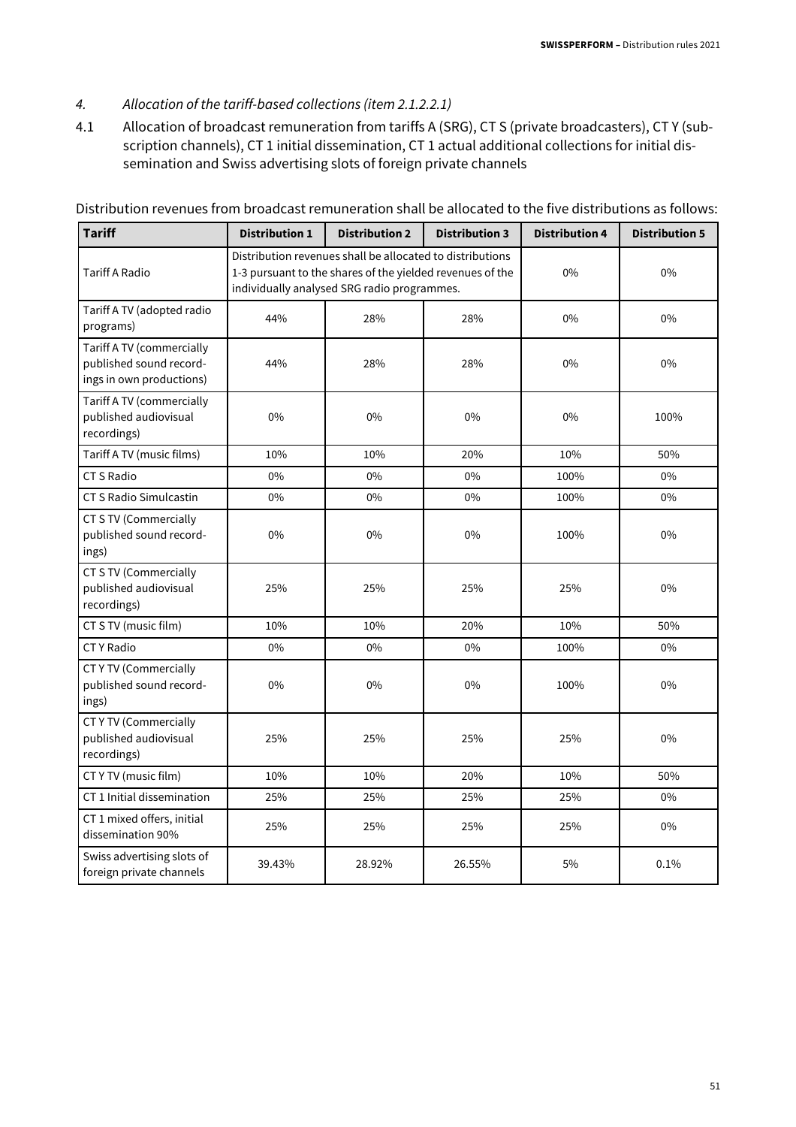#### 4. Allocation of the tariff-based collections (item 2.1.2.2.1)

4.1 Allocation of broadcast remuneration from tariffs A (SRG), CT S (private broadcasters), CT Y (subscription channels), CT 1 initial dissemination, CT 1 actual additional collections for initial dissemination and Swiss advertising slots of foreign private channels

| Tariff                                                                           | <b>Distribution 1</b> | <b>Distribution 2</b>                                                                                                                                                 | <b>Distribution 3</b> | <b>Distribution 4</b> | <b>Distribution 5</b> |
|----------------------------------------------------------------------------------|-----------------------|-----------------------------------------------------------------------------------------------------------------------------------------------------------------------|-----------------------|-----------------------|-----------------------|
| <b>Tariff A Radio</b>                                                            |                       | Distribution revenues shall be allocated to distributions<br>1-3 pursuant to the shares of the yielded revenues of the<br>individually analysed SRG radio programmes. |                       | 0%                    | 0%                    |
| Tariff A TV (adopted radio<br>programs)                                          | 44%                   | 28%                                                                                                                                                                   | 28%                   | $0\%$                 | 0%                    |
| Tariff A TV (commercially<br>published sound record-<br>ings in own productions) | 44%                   | 28%                                                                                                                                                                   | 28%                   | 0%                    | 0%                    |
| Tariff A TV (commercially<br>published audiovisual<br>recordings)                | $0\%$                 | 0%                                                                                                                                                                    | 0%                    | 0%                    | 100%                  |
| Tariff A TV (music films)                                                        | 10%                   | 10%                                                                                                                                                                   | 20%                   | 10%                   | 50%                   |
| <b>CT S Radio</b>                                                                | 0%                    | $0\%$                                                                                                                                                                 | 0%                    | 100%                  | $0\%$                 |
| CT S Radio Simulcastin                                                           | $0\%$                 | 0%                                                                                                                                                                    | 0%                    | 100%                  | $0\%$                 |
| CT S TV (Commercially<br>published sound record-<br>ings)                        | 0%                    | 0%                                                                                                                                                                    | 0%                    | 100%                  | 0%                    |
| CT S TV (Commercially<br>published audiovisual<br>recordings)                    | 25%                   | 25%                                                                                                                                                                   | 25%                   | 25%                   | 0%                    |
| CT S TV (music film)                                                             | 10%                   | 10%                                                                                                                                                                   | 20%                   | 10%                   | 50%                   |
| <b>CTY</b> Radio                                                                 | $0\%$                 | $0\%$                                                                                                                                                                 | 0%                    | 100%                  | $0\%$                 |
| <b>CTYTV (Commercially</b><br>published sound record-<br>ings)                   | $0\%$                 | 0%                                                                                                                                                                    | $0\%$                 | 100%                  | 0%                    |
| <b>CTYTV (Commercially</b><br>published audiovisual<br>recordings)               | 25%                   | 25%                                                                                                                                                                   | 25%                   | 25%                   | 0%                    |
| CT Y TV (music film)                                                             | 10%                   | 10%                                                                                                                                                                   | 20%                   | 10%                   | 50%                   |
| CT 1 Initial dissemination                                                       | 25%                   | 25%                                                                                                                                                                   | 25%                   | 25%                   | 0%                    |
| CT 1 mixed offers, initial<br>dissemination 90%                                  | 25%                   | 25%                                                                                                                                                                   | 25%                   | 25%                   | 0%                    |
| Swiss advertising slots of<br>foreign private channels                           | 39.43%                | 28.92%                                                                                                                                                                | 26.55%                | 5%                    | 0.1%                  |

Distribution revenues from broadcast remuneration shall be allocated to the five distributions as follows: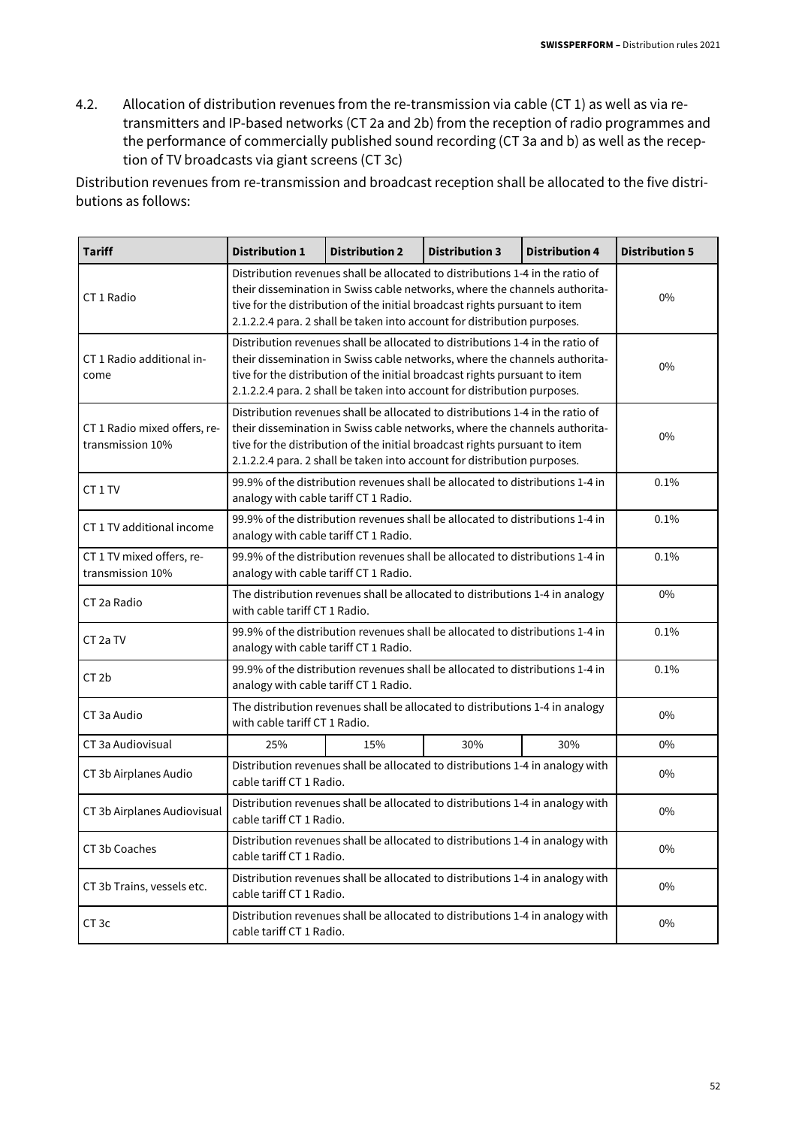4.2. Allocation of distribution revenues from the re-transmission via cable (CT 1) as well as via retransmitters and IP-based networks (CT 2a and 2b) from the reception of radio programmes and the performance of commercially published sound recording (CT 3a and b) as well as the reception of TV broadcasts via giant screens (CT 3c)

Distribution revenues from re-transmission and broadcast reception shall be allocated to the five distributions as follows:

| <b>Tariff</b>                                    | <b>Distribution 1</b>                 | <b>Distribution 2</b>                                                                                                  | <b>Distribution 3</b>                                                                                                                                                                                                                                                                                                 | <b>Distribution 4</b> | <b>Distribution 5</b> |  |  |  |  |
|--------------------------------------------------|---------------------------------------|------------------------------------------------------------------------------------------------------------------------|-----------------------------------------------------------------------------------------------------------------------------------------------------------------------------------------------------------------------------------------------------------------------------------------------------------------------|-----------------------|-----------------------|--|--|--|--|
| CT 1 Radio                                       |                                       |                                                                                                                        | Distribution revenues shall be allocated to distributions 1-4 in the ratio of<br>their dissemination in Swiss cable networks, where the channels authorita-<br>tive for the distribution of the initial broadcast rights pursuant to item<br>2.1.2.2.4 para. 2 shall be taken into account for distribution purposes. |                       | 0%                    |  |  |  |  |
| CT 1 Radio additional in-<br>come                |                                       |                                                                                                                        | Distribution revenues shall be allocated to distributions 1-4 in the ratio of<br>their dissemination in Swiss cable networks, where the channels authorita-<br>tive for the distribution of the initial broadcast rights pursuant to item<br>2.1.2.2.4 para. 2 shall be taken into account for distribution purposes. |                       | $0\%$                 |  |  |  |  |
| CT 1 Radio mixed offers, re-<br>transmission 10% |                                       |                                                                                                                        | Distribution revenues shall be allocated to distributions 1-4 in the ratio of<br>their dissemination in Swiss cable networks, where the channels authorita-<br>tive for the distribution of the initial broadcast rights pursuant to item<br>2.1.2.2.4 para. 2 shall be taken into account for distribution purposes. |                       | 0%                    |  |  |  |  |
| CT <sub>1</sub> TV                               |                                       | 99.9% of the distribution revenues shall be allocated to distributions 1-4 in<br>analogy with cable tariff CT 1 Radio. |                                                                                                                                                                                                                                                                                                                       |                       |                       |  |  |  |  |
| CT 1 TV additional income                        |                                       | 99.9% of the distribution revenues shall be allocated to distributions 1-4 in<br>analogy with cable tariff CT 1 Radio. |                                                                                                                                                                                                                                                                                                                       |                       |                       |  |  |  |  |
| CT 1 TV mixed offers, re-<br>transmission 10%    |                                       | 99.9% of the distribution revenues shall be allocated to distributions 1-4 in<br>analogy with cable tariff CT 1 Radio. |                                                                                                                                                                                                                                                                                                                       |                       |                       |  |  |  |  |
| CT 2a Radio                                      |                                       | The distribution revenues shall be allocated to distributions 1-4 in analogy<br>with cable tariff CT 1 Radio.          |                                                                                                                                                                                                                                                                                                                       |                       |                       |  |  |  |  |
| CT <sub>2a</sub> TV                              | analogy with cable tariff CT 1 Radio. |                                                                                                                        | 99.9% of the distribution revenues shall be allocated to distributions 1-4 in                                                                                                                                                                                                                                         |                       | 0.1%                  |  |  |  |  |
| CT <sub>2b</sub>                                 | analogy with cable tariff CT 1 Radio. |                                                                                                                        | 99.9% of the distribution revenues shall be allocated to distributions 1-4 in                                                                                                                                                                                                                                         |                       | 0.1%                  |  |  |  |  |
| CT 3a Audio                                      | with cable tariff CT 1 Radio.         |                                                                                                                        | The distribution revenues shall be allocated to distributions 1-4 in analogy                                                                                                                                                                                                                                          |                       | $0\%$                 |  |  |  |  |
| CT 3a Audiovisual                                | 25%                                   | 15%                                                                                                                    | 30%                                                                                                                                                                                                                                                                                                                   | 30%                   | $0\%$                 |  |  |  |  |
| CT 3b Airplanes Audio                            | cable tariff CT 1 Radio.              |                                                                                                                        | Distribution revenues shall be allocated to distributions 1-4 in analogy with                                                                                                                                                                                                                                         |                       | 0%                    |  |  |  |  |
| CT 3b Airplanes Audiovisual                      | cable tariff CT 1 Radio.              |                                                                                                                        | Distribution revenues shall be allocated to distributions 1-4 in analogy with                                                                                                                                                                                                                                         |                       | 0%                    |  |  |  |  |
| CT 3b Coaches                                    | cable tariff CT 1 Radio.              |                                                                                                                        | Distribution revenues shall be allocated to distributions 1-4 in analogy with                                                                                                                                                                                                                                         |                       | 0%                    |  |  |  |  |
| CT 3b Trains, vessels etc.                       | cable tariff CT 1 Radio.              |                                                                                                                        | Distribution revenues shall be allocated to distributions 1-4 in analogy with                                                                                                                                                                                                                                         |                       | 0%                    |  |  |  |  |
| CT <sub>3c</sub>                                 | cable tariff CT 1 Radio.              |                                                                                                                        | Distribution revenues shall be allocated to distributions 1-4 in analogy with                                                                                                                                                                                                                                         |                       | 0%                    |  |  |  |  |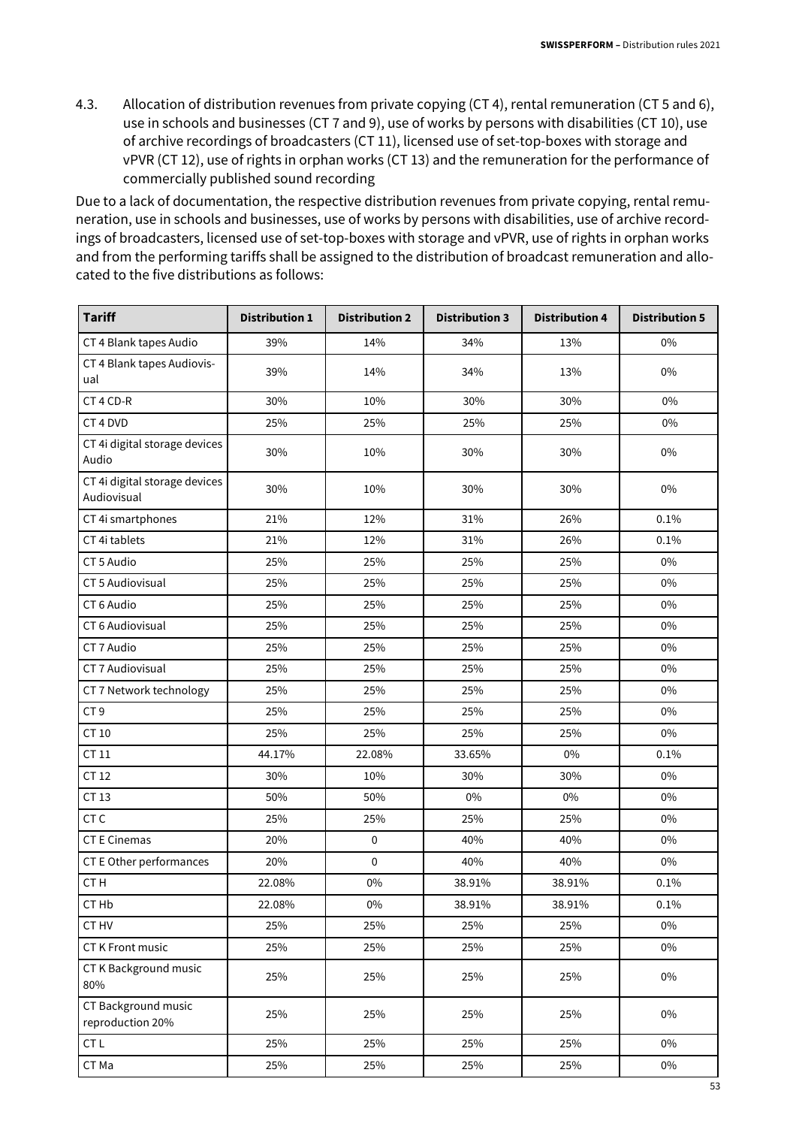4.3. Allocation of distribution revenues from private copying (CT 4), rental remuneration (CT 5 and 6), use in schools and businesses (CT 7 and 9), use of works by persons with disabilities (CT 10), use of archive recordings of broadcasters (CT 11), licensed use of set-top-boxes with storage and vPVR (CT 12), use of rights in orphan works (CT 13) and the remuneration for the performance of commercially published sound recording

Due to a lack of documentation, the respective distribution revenues from private copying, rental remuneration, use in schools and businesses, use of works by persons with disabilities, use of archive recordings of broadcasters, licensed use of set-top-boxes with storage and vPVR, use of rights in orphan works and from the performing tariffs shall be assigned to the distribution of broadcast remuneration and allocated to the five distributions as follows:

| <b>Tariff</b>                                | <b>Distribution 1</b> | <b>Distribution 2</b> | <b>Distribution 3</b> | <b>Distribution 4</b> | <b>Distribution 5</b> |
|----------------------------------------------|-----------------------|-----------------------|-----------------------|-----------------------|-----------------------|
| CT 4 Blank tapes Audio                       | 39%                   | 14%                   | 34%                   | 13%                   | $0\%$                 |
| CT 4 Blank tapes Audiovis-<br>ual            | 39%                   | 14%                   | 34%                   | 13%                   | 0%                    |
| CT 4 CD-R                                    | 30%                   | 10%                   | 30%                   | 30%                   | 0%                    |
| CT 4 DVD                                     | 25%                   | 25%                   | 25%                   | 25%                   | $0\%$                 |
| CT 4i digital storage devices<br>Audio       | 30%                   | 10%                   | 30%                   | 30%                   | 0%                    |
| CT 4i digital storage devices<br>Audiovisual | 30%                   | 10%                   | 30%                   | 30%                   | 0%                    |
| CT 4i smartphones                            | 21%                   | 12%                   | 31%                   | 26%                   | 0.1%                  |
| CT 4i tablets                                | 21%                   | 12%                   | 31%                   | 26%                   | 0.1%                  |
| CT 5 Audio                                   | 25%                   | 25%                   | 25%                   | 25%                   | 0%                    |
| CT 5 Audiovisual                             | 25%                   | 25%                   | 25%                   | 25%                   | 0%                    |
| CT6 Audio                                    | 25%                   | 25%                   | 25%                   | 25%                   | 0%                    |
| CT 6 Audiovisual                             | 25%                   | 25%                   | 25%                   | 25%                   | 0%                    |
| CT 7 Audio                                   | 25%                   | 25%                   | 25%                   | 25%                   | $0\%$                 |
| CT 7 Audiovisual                             | 25%                   | 25%                   | 25%                   | 25%                   | 0%                    |
| CT 7 Network technology                      | 25%                   | 25%                   | 25%                   | 25%                   | 0%                    |
| CT <sub>9</sub>                              | 25%                   | 25%                   | 25%                   | 25%                   | 0%                    |
| CT 10                                        | 25%                   | 25%                   | 25%                   | 25%                   | 0%                    |
| CT 11                                        | 44.17%                | 22.08%                | 33.65%                | $0\%$                 | 0.1%                  |
| CT 12                                        | 30%                   | 10%                   | 30%                   | 30%                   | 0%                    |
| CT 13                                        | 50%                   | 50%                   | $0\%$                 | $0\%$                 | 0%                    |
| CT <sub>C</sub>                              | 25%                   | 25%                   | 25%                   | 25%                   | 0%                    |
| <b>CT E Cinemas</b>                          | 20%                   | $\pmb{0}$             | 40%                   | 40%                   | 0%                    |
| CT E Other performances                      | 20%                   | $\pmb{0}$             | 40%                   | 40%                   | 0%                    |
| CT <sub>H</sub>                              | 22.08%                | $0\%$                 | 38.91%                | 38.91%                | 0.1%                  |
| CT Hb                                        | 22.08%                | $0\%$                 | 38.91%                | 38.91%                | 0.1%                  |
| CT HV                                        | 25%                   | 25%                   | 25%                   | 25%                   | 0%                    |
| <b>CT K Front music</b>                      | 25%                   | 25%                   | 25%                   | 25%                   | 0%                    |
| CT K Background music<br>80%                 | 25%                   | 25%                   | 25%                   | 25%                   | 0%                    |
| CT Background music<br>reproduction 20%      | 25%                   | 25%                   | 25%                   | 25%                   | 0%                    |
| CT L                                         | 25%                   | 25%                   | 25%                   | 25%                   | 0%                    |
| CT Ma                                        | 25%                   | 25%                   | 25%                   | 25%                   | 0%                    |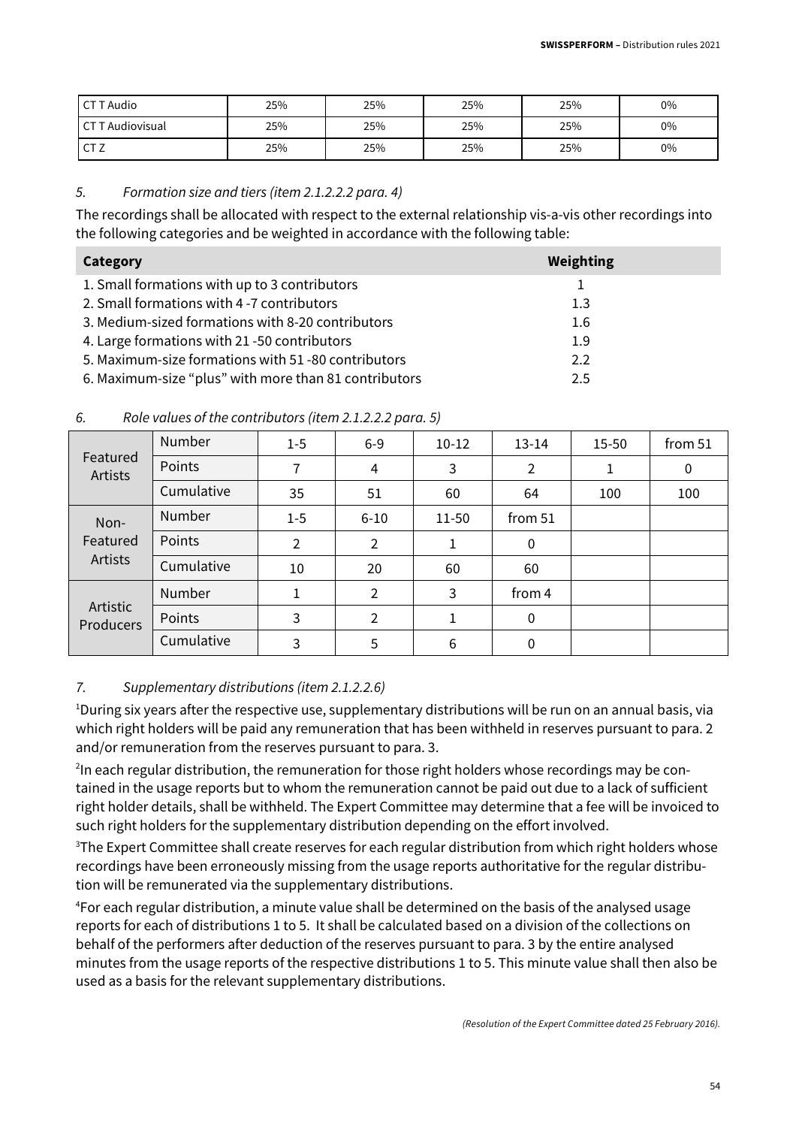| CT T Audio             | 25% | 25% | 25% | 25% | 0%    |
|------------------------|-----|-----|-----|-----|-------|
| <b>CTT Audiovisual</b> | 25% | 25% | 25% | 25% | 0%    |
| CT <sub>Z</sub>        | 25% | 25% | 25% | 25% | $0\%$ |

#### 5. Formation size and tiers (item 2.1.2.2.2 para. 4)

The recordings shall be allocated with respect to the external relationship vis-a-vis other recordings into the following categories and be weighted in accordance with the following table:

| Category                                              | Weighting |
|-------------------------------------------------------|-----------|
| 1. Small formations with up to 3 contributors         |           |
| 2. Small formations with 4-7 contributors             | 1.3       |
| 3. Medium-sized formations with 8-20 contributors     | 1.6       |
| 4. Large formations with 21 -50 contributors          | 1.9       |
| 5. Maximum-size formations with 51-80 contributors    | 2.2       |
| 6. Maximum-size "plus" with more than 81 contributors | 2.5       |

|                              | Number        | $1-5$          | $6-9$    | $10-12$ | $13 - 14$ | 15-50 | from 51 |
|------------------------------|---------------|----------------|----------|---------|-----------|-------|---------|
| Featured<br>Artists          | Points        | 7              | 4        | 3       | 2         |       | 0       |
|                              | Cumulative    | 35             | 51       | 60      | 64        | 100   | 100     |
| Non-                         | <b>Number</b> | $1 - 5$        | $6 - 10$ | 11-50   | from 51   |       |         |
| Featured                     | Points        | $\overline{2}$ | 2        |         | 0         |       |         |
| Artists                      | Cumulative    | 10             | 20       | 60      | 60        |       |         |
|                              | Number        | 1              | 2        | 3       | from 4    |       |         |
| Artistic<br><b>Producers</b> | Points        | 3              | 2        |         | 0         |       |         |
|                              | Cumulative    | 3              | 5        | 6       | 0         |       |         |

#### 6. Role values of the contributors (item 2.1.2.2.2 para. 5)

#### 7. Supplementary distributions (item 2.1.2.2.6)

<sup>1</sup>During six years after the respective use, supplementary distributions will be run on an annual basis, via which right holders will be paid any remuneration that has been withheld in reserves pursuant to para. 2 and/or remuneration from the reserves pursuant to para. 3.

 $^{2}$ In each regular distribution, the remuneration for those right holders whose recordings may be contained in the usage reports but to whom the remuneration cannot be paid out due to a lack of sufficient right holder details, shall be withheld. The Expert Committee may determine that a fee will be invoiced to such right holders for the supplementary distribution depending on the effort involved.

<sup>3</sup>The Expert Committee shall create reserves for each regular distribution from which right holders whose recordings have been erroneously missing from the usage reports authoritative for the regular distribution will be remunerated via the supplementary distributions.

<sup>4</sup>For each regular distribution, a minute value shall be determined on the basis of the analysed usage reports for each of distributions 1 to 5. It shall be calculated based on a division of the collections on behalf of the performers after deduction of the reserves pursuant to para. 3 by the entire analysed minutes from the usage reports of the respective distributions 1 to 5. This minute value shall then also be used as a basis for the relevant supplementary distributions.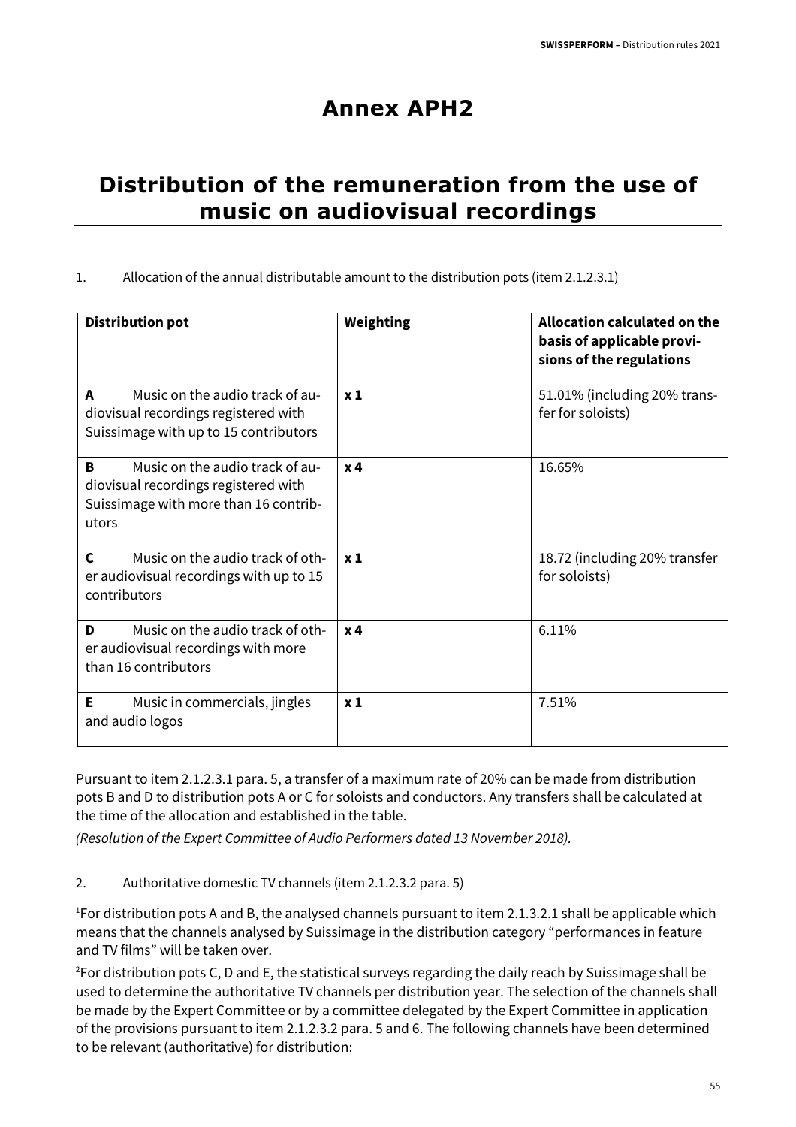## **Annex APH2**

## **Distribution of the remuneration from the use of music on audiovisual recordings**

#### 1. Allocation of the annual distributable amount to the distribution pots (item 2.1.2.3.1)

| <b>Distribution pot</b>                                                                                                        | Weighting      | Allocation calculated on the<br>basis of applicable provi-<br>sions of the regulations |
|--------------------------------------------------------------------------------------------------------------------------------|----------------|----------------------------------------------------------------------------------------|
| Music on the audio track of au-<br>A<br>diovisual recordings registered with<br>Suissimage with up to 15 contributors          | $x_1$          | 51.01% (including 20% trans-<br>fer for soloists)                                      |
| Music on the audio track of au-<br>В<br>diovisual recordings registered with<br>Suissimage with more than 16 contrib-<br>utors | x <sub>4</sub> | 16.65%                                                                                 |
| $\mathsf{C}$<br>Music on the audio track of oth-<br>er audiovisual recordings with up to 15<br>contributors                    | x <sub>1</sub> | 18.72 (including 20% transfer<br>for soloists)                                         |
| Music on the audio track of oth-<br>D<br>er audiovisual recordings with more<br>than 16 contributors                           | x <sub>4</sub> | 6.11%                                                                                  |
| Music in commercials, jingles<br>Е<br>and audio logos                                                                          | x <sub>1</sub> | 7.51%                                                                                  |

Pursuant to item 2.1.2.3.1 para. 5, a transfer of a maximum rate of 20% can be made from distribution pots B and D to distribution pots A or C for soloists and conductors. Any transfers shall be calculated at the time of the allocation and established in the table.

(Resolution of the Expert Committee of Audio Performers dated 13 November 2018).

2. Authoritative domestic TV channels (item 2.1.2.3.2 para. 5)

<sup>1</sup>For distribution pots A and B, the analysed channels pursuant to item 2.1.3.2.1 shall be applicable which means that the channels analysed by Suissimage in the distribution category "performances in feature and TV films" will be taken over.

<sup>2</sup>For distribution pots C, D and E, the statistical surveys regarding the daily reach by Suissimage shall be used to determine the authoritative TV channels per distribution year. The selection of the channels shall be made by the Expert Committee or by a committee delegated by the Expert Committee in application of the provisions pursuant to item 2.1.2.3.2 para. 5 and 6. The following channels have been determined to be relevant (authoritative) for distribution: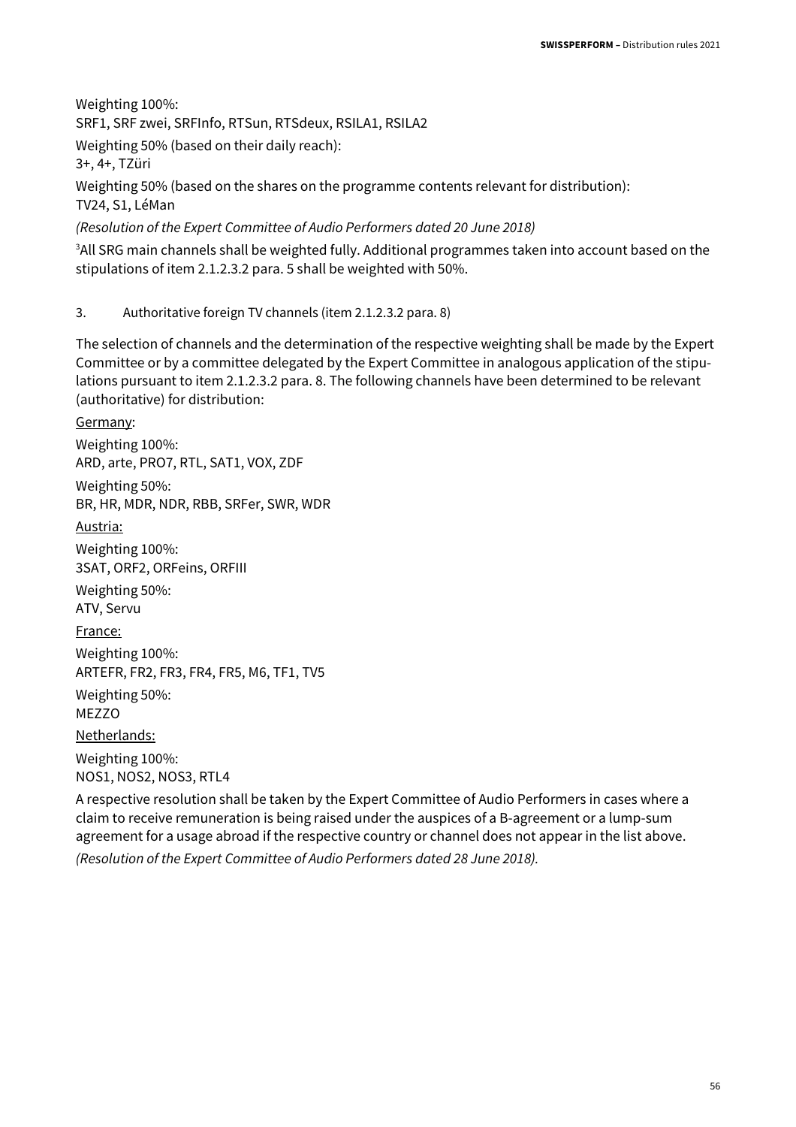Weighting 100%: SRF1, SRF zwei, SRFInfo, RTSun, RTSdeux, RSILA1, RSILA2 Weighting 50% (based on their daily reach): 3+, 4+, TZüri

Weighting 50% (based on the shares on the programme contents relevant for distribution): TV24, S1, LéMan

(Resolution of the Expert Committee of Audio Performers dated 20 June 2018)

<sup>3</sup>All SRG main channels shall be weighted fully. Additional programmes taken into account based on the stipulations of item 2.1.2.3.2 para. 5 shall be weighted with 50%.

3. Authoritative foreign TV channels (item 2.1.2.3.2 para. 8)

The selection of channels and the determination of the respective weighting shall be made by the Expert Committee or by a committee delegated by the Expert Committee in analogous application of the stipulations pursuant to item 2.1.2.3.2 para. 8. The following channels have been determined to be relevant (authoritative) for distribution:

Germany: Weighting 100%: ARD, arte, PRO7, RTL, SAT1, VOX, ZDF Weighting 50%: BR, HR, MDR, NDR, RBB, SRFer, SWR, WDR Austria: Weighting 100%: 3SAT, ORF2, ORFeins, ORFIII Weighting 50%: ATV, Servu France: Weighting 100%: ARTEFR, FR2, FR3, FR4, FR5, M6, TF1, TV5 Weighting 50%: MEZZO Netherlands: Weighting 100%: NOS1, NOS2, NOS3, RTL4

A respective resolution shall be taken by the Expert Committee of Audio Performers in cases where a claim to receive remuneration is being raised under the auspices of a B-agreement or a lump-sum agreement for a usage abroad if the respective country or channel does not appear in the list above.

(Resolution of the Expert Committee of Audio Performers dated 28 June 2018).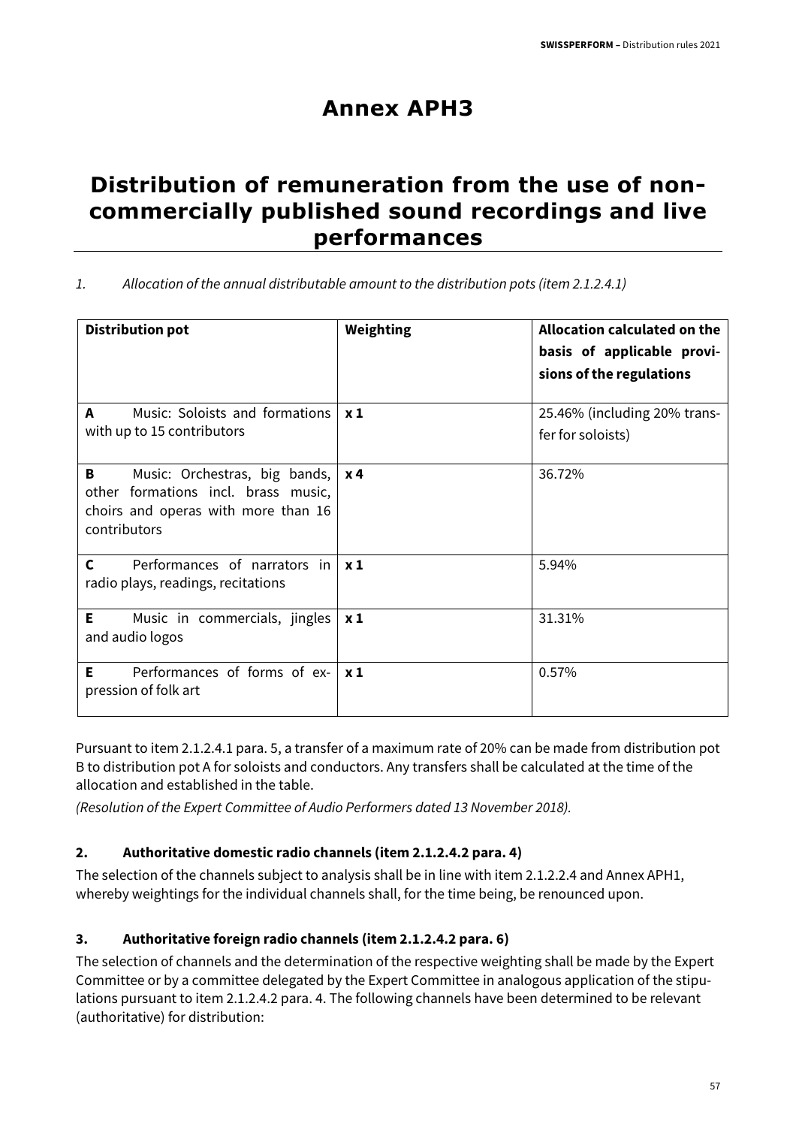## **Annex APH3**

### **Distribution of remuneration from the use of noncommercially published sound recordings and live performances**

| Allocation of the annual distributable amount to the distribution pots (item 2.1.2.4.1) |  |
|-----------------------------------------------------------------------------------------|--|
|                                                                                         |  |

| <b>Distribution pot</b>                                                                                                          | Weighting  | <b>Allocation calculated on the</b><br>basis of applicable provi-<br>sions of the regulations |
|----------------------------------------------------------------------------------------------------------------------------------|------------|-----------------------------------------------------------------------------------------------|
| Music: Soloists and formations $\vert x_1 \vert$<br>A<br>with up to 15 contributors                                              |            | 25.46% (including 20% trans-<br>fer for soloists)                                             |
| Music: Orchestras, big bands,<br>В<br>other formations incl. brass music,<br>choirs and operas with more than 16<br>contributors | <b>x</b> 4 | 36.72%                                                                                        |
| $\mathbf{C}$<br>Performances of narrators in $\vert x1 \rangle$<br>radio plays, readings, recitations                            |            | 5.94%                                                                                         |
| E.<br>Music in commercials, jingles<br>and audio logos                                                                           | $x_1$      | 31.31%                                                                                        |
| E.<br>Performances of forms of ex- $x_1$<br>pression of folk art                                                                 |            | 0.57%                                                                                         |

Pursuant to item 2.1.2.4.1 para. 5, a transfer of a maximum rate of 20% can be made from distribution pot B to distribution pot A for soloists and conductors. Any transfers shall be calculated at the time of the allocation and established in the table.

(Resolution of the Expert Committee of Audio Performers dated 13 November 2018).

#### **2. Authoritative domestic radio channels (item 2.1.2.4.2 para. 4)**

The selection of the channels subject to analysis shall be in line with item 2.1.2.2.4 and Annex APH1, whereby weightings for the individual channels shall, for the time being, be renounced upon.

#### **3. Authoritative foreign radio channels (item 2.1.2.4.2 para. 6)**

The selection of channels and the determination of the respective weighting shall be made by the Expert Committee or by a committee delegated by the Expert Committee in analogous application of the stipulations pursuant to item 2.1.2.4.2 para. 4. The following channels have been determined to be relevant (authoritative) for distribution: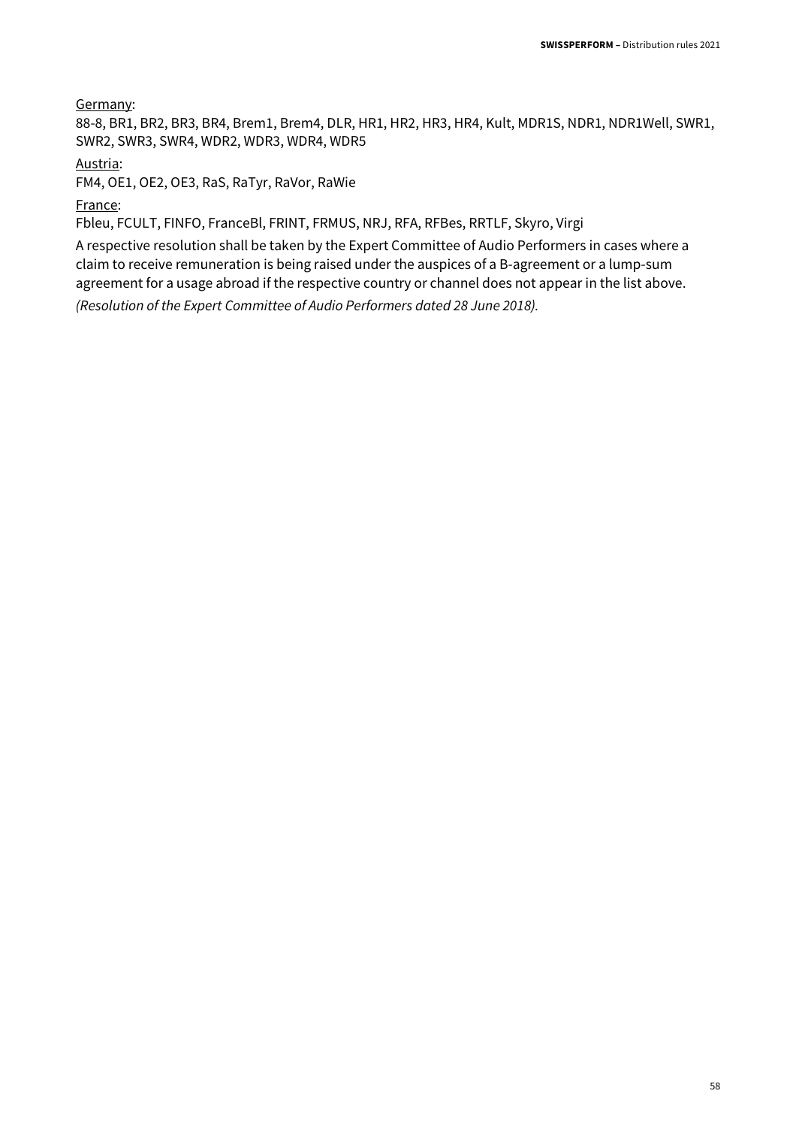Germany:

88-8, BR1, BR2, BR3, BR4, Brem1, Brem4, DLR, HR1, HR2, HR3, HR4, Kult, MDR1S, NDR1, NDR1Well, SWR1, SWR2, SWR3, SWR4, WDR2, WDR3, WDR4, WDR5

Austria:

FM4, OE1, OE2, OE3, RaS, RaTyr, RaVor, RaWie

France:

Fbleu, FCULT, FINFO, FranceBl, FRINT, FRMUS, NRJ, RFA, RFBes, RRTLF, Skyro, Virgi

A respective resolution shall be taken by the Expert Committee of Audio Performers in cases where a claim to receive remuneration is being raised under the auspices of a B-agreement or a lump-sum agreement for a usage abroad if the respective country or channel does not appear in the list above. (Resolution of the Expert Committee of Audio Performers dated 28 June 2018).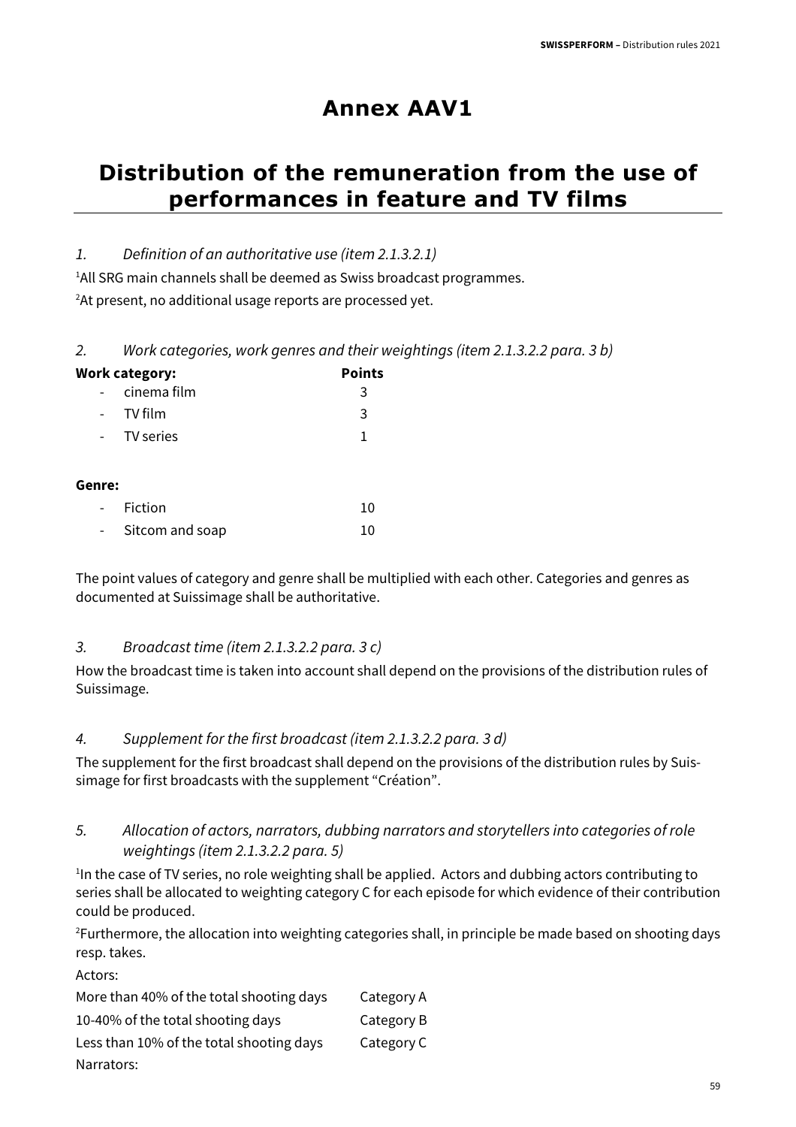## **Annex AAV1**

## **Distribution of the remuneration from the use of performances in feature and TV films**

#### 1. Definition of an authoritative use (item 2.1.3.2.1)

<sup>1</sup>All SRG main channels shall be deemed as Swiss broadcast programmes. <sup>2</sup>At present, no additional usage reports are processed yet.

<sup>2.</sup> Work categories, work genres and their weightings (item 2.1.3.2.2 para. 3 b)

|                     | <b>Work category:</b> | <b>Points</b> |
|---------------------|-----------------------|---------------|
|                     | cinema film           | 3             |
| $\omega_{\rm{max}}$ | TV film               | 3             |
| $\sim$ 10 $\pm$     | TV series             | 1             |
| Genre:              |                       |               |
| $\overline{a}$      | Fiction               | 10            |

Sitcom and soap 10

The point values of category and genre shall be multiplied with each other. Categories and genres as documented at Suissimage shall be authoritative.

#### 3. Broadcast time (item 2.1.3.2.2 para. 3 c)

How the broadcast time is taken into account shall depend on the provisions of the distribution rules of Suissimage.

#### 4. Supplement for the first broadcast (item 2.1.3.2.2 para. 3 d)

The supplement for the first broadcast shall depend on the provisions of the distribution rules by Suissimage for first broadcasts with the supplement "Création".

#### 5. Allocation of actors, narrators, dubbing narrators and storytellers into categories of role weightings (item 2.1.3.2.2 para. 5)

<sup>1</sup>In the case of TV series, no role weighting shall be applied. Actors and dubbing actors contributing to series shall be allocated to weighting category C for each episode for which evidence of their contribution could be produced.

<sup>2</sup>Furthermore, the allocation into weighting categories shall, in principle be made based on shooting days resp. takes.

Actors:

| More than 40% of the total shooting days | Category A |
|------------------------------------------|------------|
| 10-40% of the total shooting days        | Category B |
| Less than 10% of the total shooting days | Category C |
| Narrators:                               |            |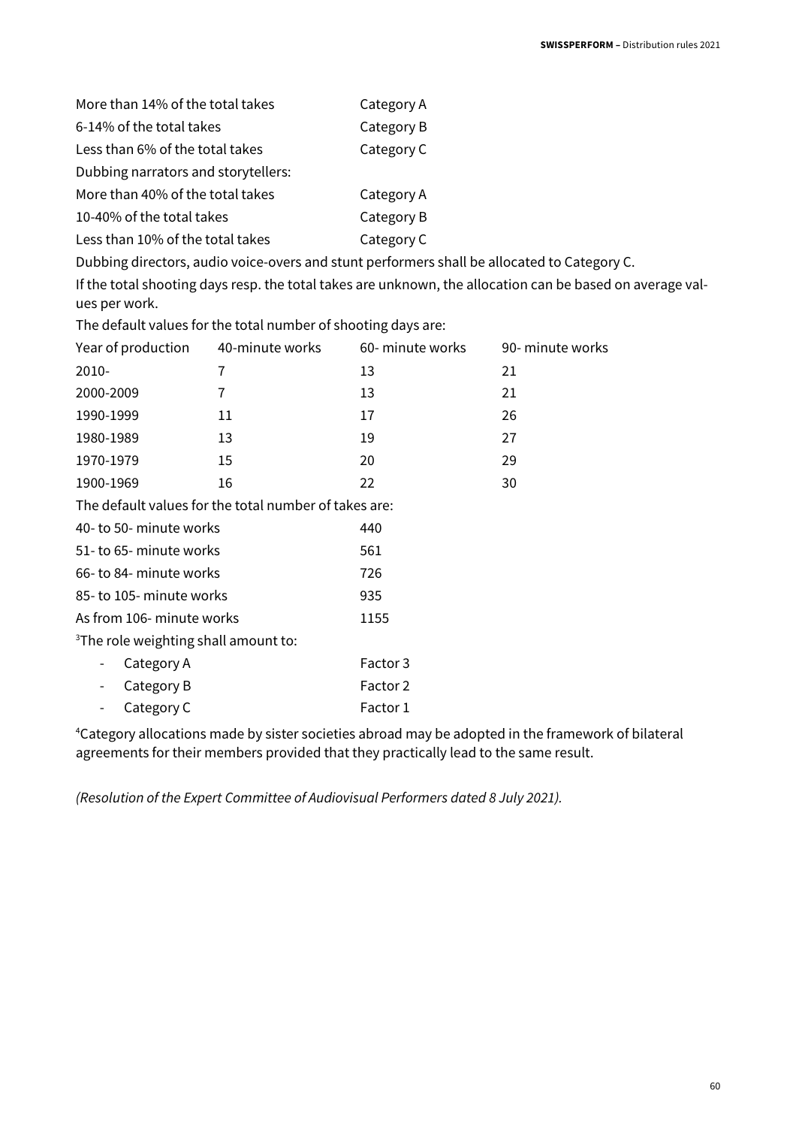| More than 14% of the total takes                                                            | Category A |
|---------------------------------------------------------------------------------------------|------------|
| 6-14% of the total takes                                                                    | Category B |
| Less than 6% of the total takes                                                             | Category C |
| Dubbing narrators and storytellers:                                                         |            |
| More than 40% of the total takes                                                            | Category A |
| 10-40% of the total takes                                                                   | Category B |
| Less than 10% of the total takes                                                            | Category C |
| Dubbing directors, audio voice-overs and stunt performers shall be allocated to Category C. |            |

If the total shooting days resp. the total takes are unknown, the allocation can be based on average values per work.

The default values for the total number of shooting days are:

| Year of production                               | 40-minute works                                       | 60- minute works | 90- minute works |
|--------------------------------------------------|-------------------------------------------------------|------------------|------------------|
| 2010-                                            | 7                                                     | 13               | 21               |
| 2000-2009                                        | 7                                                     | 13               | 21               |
| 1990-1999                                        | 11                                                    | 17               | 26               |
| 1980-1989                                        | 13                                                    | 19               | 27               |
| 1970-1979                                        | 15                                                    | 20               | 29               |
| 1900-1969                                        | 16                                                    | 22               | 30               |
|                                                  | The default values for the total number of takes are: |                  |                  |
| 40- to 50- minute works                          |                                                       | 440              |                  |
| 51- to 65- minute works                          |                                                       | 561              |                  |
| 66- to 84- minute works                          |                                                       | 726              |                  |
| 85- to 105- minute works                         |                                                       | 935              |                  |
| As from 106- minute works                        |                                                       | 1155             |                  |
| <sup>3</sup> The role weighting shall amount to: |                                                       |                  |                  |
| Category A                                       |                                                       | Factor 3         |                  |
| Category B                                       |                                                       | Factor 2         |                  |
| Category C                                       |                                                       | Factor 1         |                  |

<sup>4</sup>Category allocations made by sister societies abroad may be adopted in the framework of bilateral agreements for their members provided that they practically lead to the same result.

(Resolution of the Expert Committee of Audiovisual Performers dated 8 July 2021).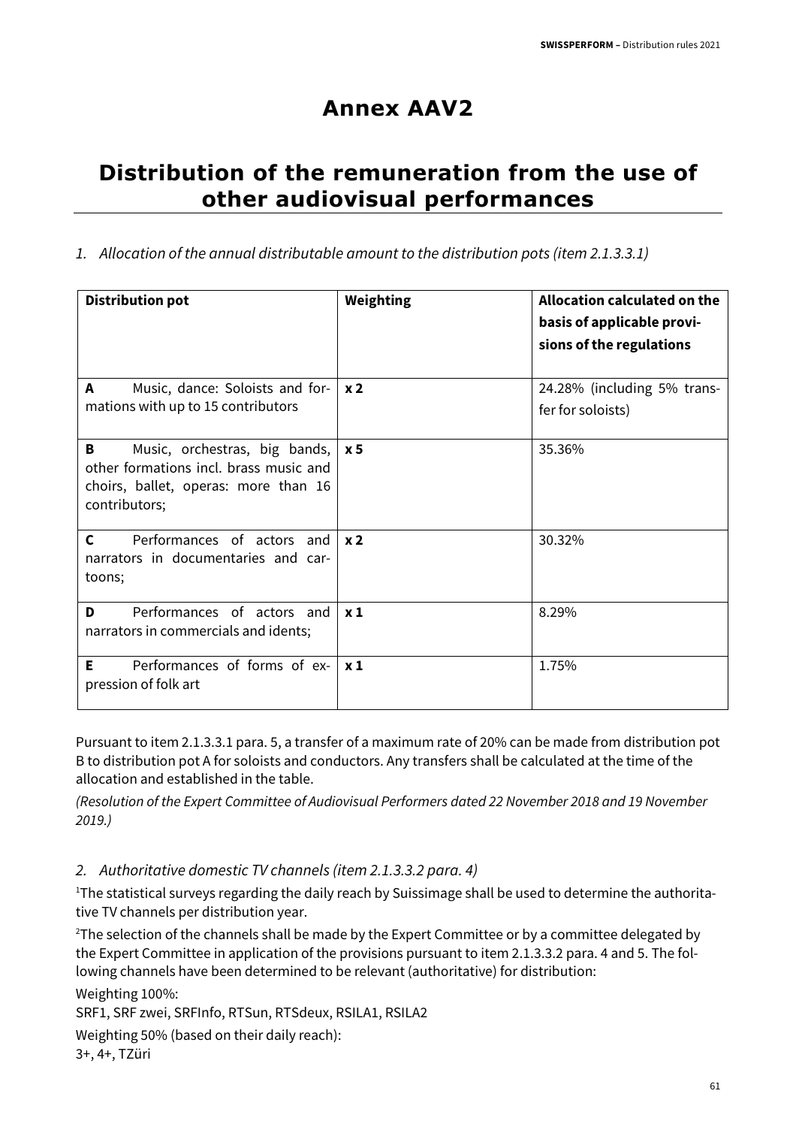## **Annex AAV2**

## **Distribution of the remuneration from the use of other audiovisual performances**

1. Allocation of the annual distributable amount to the distribution pots (item 2.1.3.3.1)

| <b>Distribution pot</b>                                                                                                               | Weighting      | Allocation calculated on the<br>basis of applicable provi-<br>sions of the regulations |
|---------------------------------------------------------------------------------------------------------------------------------------|----------------|----------------------------------------------------------------------------------------|
| Music, dance: Soloists and for-<br>A<br>mations with up to 15 contributors                                                            | x <sub>2</sub> | 24.28% (including 5% trans-<br>fer for soloists)                                       |
| B<br>Music, orchestras, big bands,<br>other formations incl. brass music and<br>choirs, ballet, operas: more than 16<br>contributors; | x 5            | 35.36%                                                                                 |
| $\mathbf{C}$<br>Performances of actors and<br>narrators in documentaries and car-<br>toons;                                           | x <sub>2</sub> | 30.32%                                                                                 |
| Performances of actors and<br>D<br>narrators in commercials and idents;                                                               | $x_1$          | 8.29%                                                                                  |
| Performances of forms of ex-<br>E.<br>pression of folk art                                                                            | $x_1$          | 1.75%                                                                                  |

Pursuant to item 2.1.3.3.1 para. 5, a transfer of a maximum rate of 20% can be made from distribution pot B to distribution pot A for soloists and conductors. Any transfers shall be calculated at the time of the allocation and established in the table.

(Resolution of the Expert Committee of Audiovisual Performers dated 22 November 2018 and 19 November 2019.)

#### 2. Authoritative domestic TV channels (item 2.1.3.3.2 para. 4)

<sup>1</sup>The statistical surveys regarding the daily reach by Suissimage shall be used to determine the authoritative TV channels per distribution year.

<sup>2</sup>The selection of the channels shall be made by the Expert Committee or by a committee delegated by the Expert Committee in application of the provisions pursuant to item 2.1.3.3.2 para. 4 and 5. The following channels have been determined to be relevant (authoritative) for distribution:

Weighting 100%:

SRF1, SRF zwei, SRFInfo, RTSun, RTSdeux, RSILA1, RSILA2

Weighting 50% (based on their daily reach):

3+, 4+, TZüri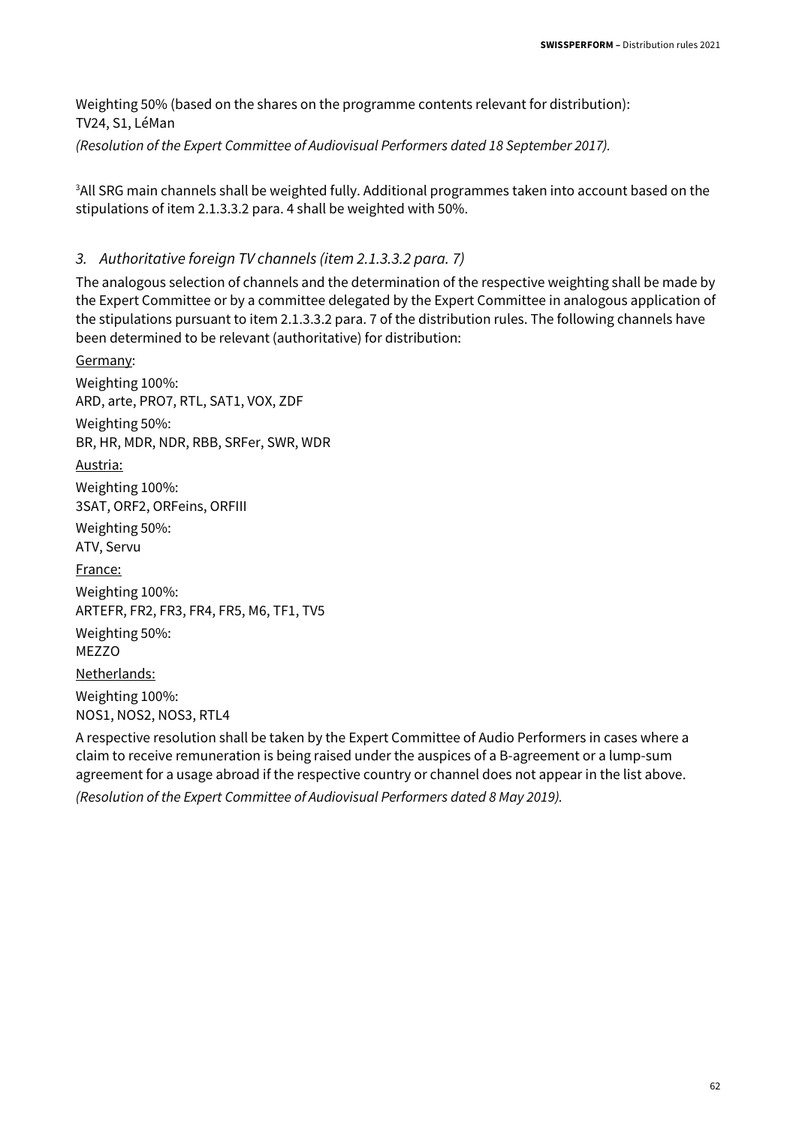Weighting 50% (based on the shares on the programme contents relevant for distribution): TV24, S1, LéMan

(Resolution of the Expert Committee of Audiovisual Performers dated 18 September 2017).

<sup>3</sup> All SRG main channels shall be weighted fully. Additional programmes taken into account based on the stipulations of item 2.1.3.3.2 para. 4 shall be weighted with 50%.

#### 3. Authoritative foreign TV channels (item 2.1.3.3.2 para. 7)

The analogous selection of channels and the determination of the respective weighting shall be made by the Expert Committee or by a committee delegated by the Expert Committee in analogous application of the stipulations pursuant to item 2.1.3.3.2 para. 7 of the distribution rules. The following channels have been determined to be relevant (authoritative) for distribution:

Germany: Weighting 100%: ARD, arte, PRO7, RTL, SAT1, VOX, ZDF Weighting 50%: BR, HR, MDR, NDR, RBB, SRFer, SWR, WDR Austria: Weighting 100%: 3SAT, ORF2, ORFeins, ORFIII Weighting 50%: ATV, Servu France: Weighting 100%: ARTEFR, FR2, FR3, FR4, FR5, M6, TF1, TV5 Weighting 50%: MF770 Netherlands: Weighting 100%: NOS1, NOS2, NOS3, RTL4

A respective resolution shall be taken by the Expert Committee of Audio Performers in cases where a claim to receive remuneration is being raised under the auspices of a B-agreement or a lump-sum agreement for a usage abroad if the respective country or channel does not appear in the list above. (Resolution of the Expert Committee of Audiovisual Performers dated 8 May 2019).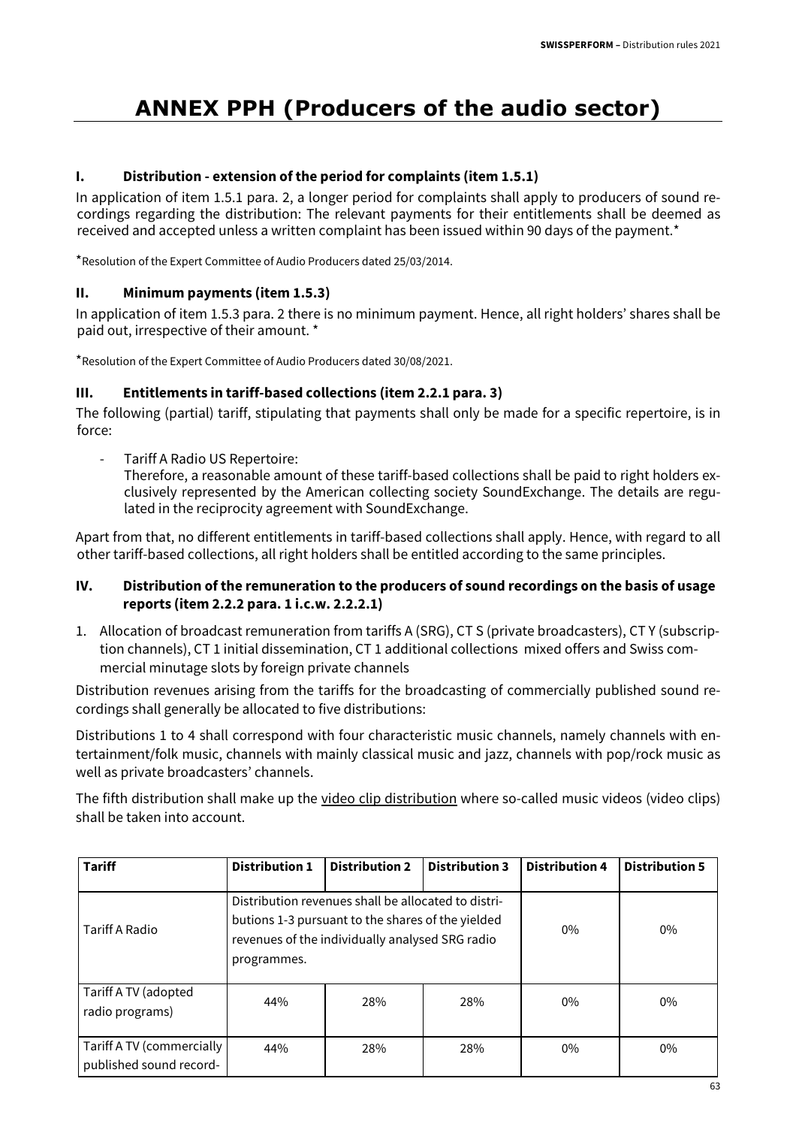## **ANNEX PPH (Producers of the audio sector)**

#### **I. Distribution - extension of the period for complaints (item 1.5.1)**

In application of item 1.5.1 para. 2, a longer period for complaints shall apply to producers of sound recordings regarding the distribution: The relevant payments for their entitlements shall be deemed as received and accepted unless a written complaint has been issued within 90 days of the payment.\*

\*Resolution of the Expert Committee of Audio Producers dated 25/03/2014.

#### **II. Minimum payments (item 1.5.3)**

In application of item 1.5.3 para. 2 there is no minimum payment. Hence, all right holders' shares shall be paid out, irrespective of their amount. \*

\*Resolution of the Expert Committee of Audio Producers dated 30/08/2021.

#### **III. Entitlements in tariff-based collections (item 2.2.1 para. 3)**

The following (partial) tariff, stipulating that payments shall only be made for a specific repertoire, is in force:

Tariff A Radio US Repertoire:

Therefore, a reasonable amount of these tariff-based collections shall be paid to right holders exclusively represented by the American collecting society SoundExchange. The details are regulated in the reciprocity agreement with SoundExchange.

Apart from that, no different entitlements in tariff-based collections shall apply. Hence, with regard to all other tariff-based collections, all right holders shall be entitled according to the same principles.

#### **IV. Distribution of the remuneration to the producers of sound recordings on the basis of usage reports (item 2.2.2 para. 1 i.c.w. 2.2.2.1)**

1. Allocation of broadcast remuneration from tariffs A (SRG), CT S (private broadcasters), CT Y (subscription channels), CT 1 initial dissemination, CT 1 additional collections mixed offers and Swiss commercial minutage slots by foreign private channels

Distribution revenues arising from the tariffs for the broadcasting of commercially published sound recordings shall generally be allocated to five distributions:

Distributions 1 to 4 shall correspond with four characteristic music channels, namely channels with entertainment/folk music, channels with mainly classical music and jazz, channels with pop/rock music as well as private broadcasters' channels.

The fifth distribution shall make up the video clip distribution where so-called music videos (video clips) shall be taken into account.

| <b>Tariff</b>                                        | <b>Distribution 1</b> | <b>Distribution 2</b>                                                                                                                                       | <b>Distribution 3</b> | <b>Distribution 4</b> | <b>Distribution 5</b> |
|------------------------------------------------------|-----------------------|-------------------------------------------------------------------------------------------------------------------------------------------------------------|-----------------------|-----------------------|-----------------------|
| Tariff A Radio                                       |                       | Distribution revenues shall be allocated to distri-<br>butions 1-3 pursuant to the shares of the yielded<br>revenues of the individually analysed SRG radio | $0\%$                 | $0\%$                 |                       |
| Tariff A TV (adopted<br>radio programs)              | programmes.<br>44%    | 28%<br>28%                                                                                                                                                  |                       |                       | $0\%$                 |
| Tariff A TV (commercially<br>published sound record- | 44%                   | 28%                                                                                                                                                         | 28%                   | $0\%$                 | $0\%$                 |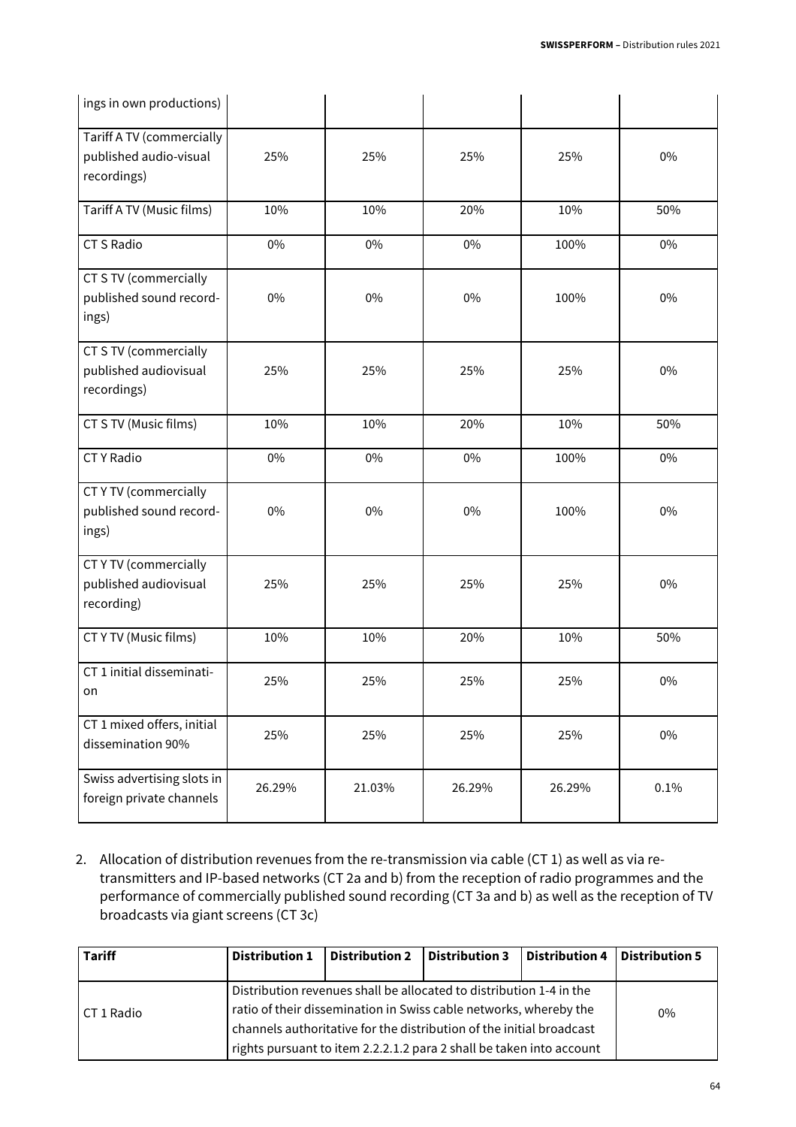| ings in own productions)                                           |        |        |        |        |       |
|--------------------------------------------------------------------|--------|--------|--------|--------|-------|
| Tariff A TV (commercially<br>published audio-visual<br>recordings) | 25%    | 25%    | 25%    | 25%    | $0\%$ |
| Tariff A TV (Music films)                                          | 10%    | 10%    | 20%    | 10%    | 50%   |
| <b>CT S Radio</b>                                                  | $0\%$  | $0\%$  | 0%     | 100%   | 0%    |
| CT S TV (commercially<br>published sound record-<br>ings)          | 0%     | 0%     | 0%     | 100%   | $0\%$ |
| CT S TV (commercially<br>published audiovisual<br>recordings)      | 25%    | 25%    | 25%    | 25%    | $0\%$ |
| CT S TV (Music films)                                              | 10%    | 10%    | 20%    | 10%    | 50%   |
| <b>CTY Radio</b>                                                   | 0%     | $0\%$  | $0\%$  | 100%   | $0\%$ |
| <b>CTYTV</b> (commercially<br>published sound record-<br>ings)     | 0%     | 0%     | 0%     | 100%   | $0\%$ |
| <b>CTYTV</b> (commercially<br>published audiovisual<br>recording)  | 25%    | 25%    | 25%    | 25%    | $0\%$ |
| CT Y TV (Music films)                                              | 10%    | 10%    | 20%    | 10%    | 50%   |
| CT 1 initial disseminati-<br>on                                    | 25%    | 25%    | 25%    | 25%    | $0\%$ |
| CT 1 mixed offers, initial<br>dissemination 90%                    | 25%    | 25%    | 25%    | 25%    | $0\%$ |
| Swiss advertising slots in<br>foreign private channels             | 26.29% | 21.03% | 26.29% | 26.29% | 0.1%  |

2. Allocation of distribution revenues from the re-transmission via cable (CT 1) as well as via retransmitters and IP-based networks (CT 2a and b) from the reception of radio programmes and the performance of commercially published sound recording (CT 3a and b) as well as the reception of TV broadcasts via giant screens (CT 3c)

| <b>Tariff</b> | <b>Distribution 1</b> | Distribution 2   Distribution 3 |                                                                                                                                                                                                                                                                                          | Distribution 4   Distribution 5 |       |
|---------------|-----------------------|---------------------------------|------------------------------------------------------------------------------------------------------------------------------------------------------------------------------------------------------------------------------------------------------------------------------------------|---------------------------------|-------|
| CT 1 Radio    |                       |                                 | Distribution revenues shall be allocated to distribution 1-4 in the<br>ratio of their dissemination in Swiss cable networks, whereby the<br>channels authoritative for the distribution of the initial broadcast<br>rights pursuant to item 2.2.2.1.2 para 2 shall be taken into account |                                 | $0\%$ |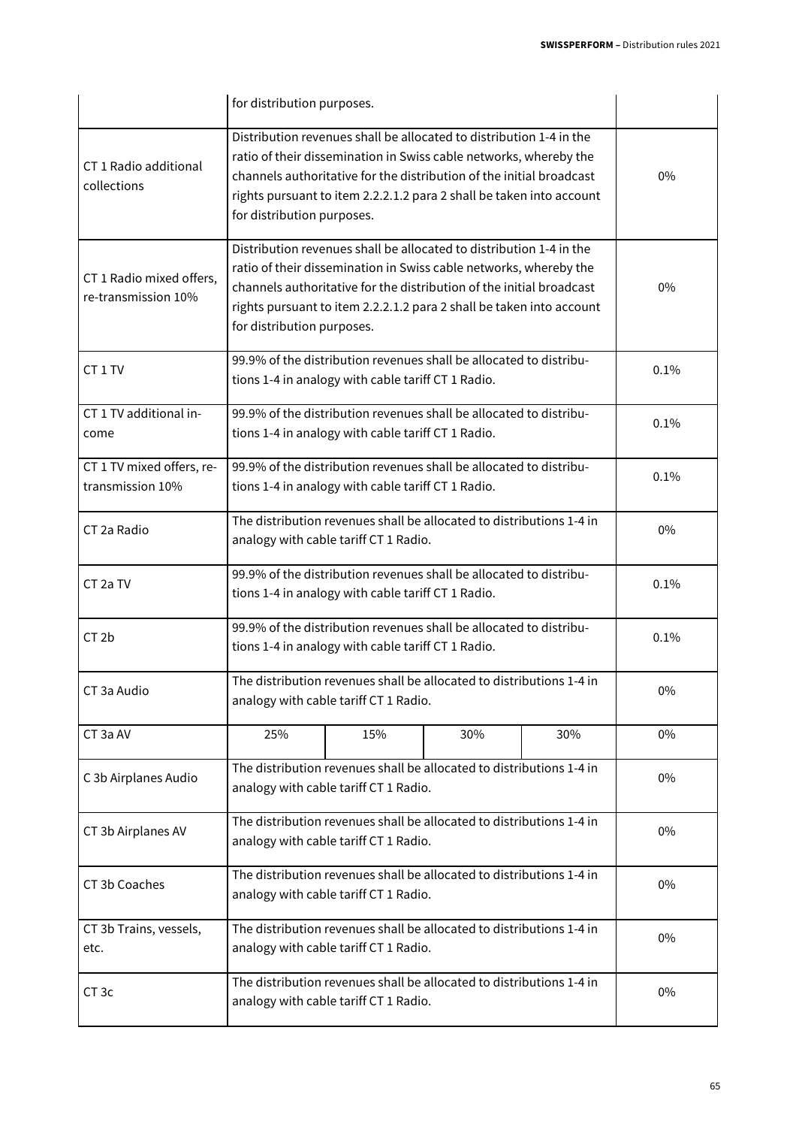|                                                 | for distribution purposes.                                                                                                                                                                                                                                                                                             |                                                                                                                          |     |     |       |  |
|-------------------------------------------------|------------------------------------------------------------------------------------------------------------------------------------------------------------------------------------------------------------------------------------------------------------------------------------------------------------------------|--------------------------------------------------------------------------------------------------------------------------|-----|-----|-------|--|
| CT 1 Radio additional<br>collections            | Distribution revenues shall be allocated to distribution 1-4 in the<br>ratio of their dissemination in Swiss cable networks, whereby the<br>channels authoritative for the distribution of the initial broadcast<br>rights pursuant to item 2.2.2.1.2 para 2 shall be taken into account<br>for distribution purposes. | $0\%$                                                                                                                    |     |     |       |  |
| CT 1 Radio mixed offers,<br>re-transmission 10% | Distribution revenues shall be allocated to distribution 1-4 in the<br>ratio of their dissemination in Swiss cable networks, whereby the<br>channels authoritative for the distribution of the initial broadcast<br>rights pursuant to item 2.2.2.1.2 para 2 shall be taken into account<br>for distribution purposes. | $0\%$                                                                                                                    |     |     |       |  |
| CT <sub>1</sub> TV                              |                                                                                                                                                                                                                                                                                                                        | 99.9% of the distribution revenues shall be allocated to distribu-<br>tions 1-4 in analogy with cable tariff CT 1 Radio. |     |     | 0.1%  |  |
| CT 1 TV additional in-<br>come                  |                                                                                                                                                                                                                                                                                                                        | 99.9% of the distribution revenues shall be allocated to distribu-<br>tions 1-4 in analogy with cable tariff CT 1 Radio. |     |     |       |  |
| CT 1 TV mixed offers, re-<br>transmission 10%   |                                                                                                                                                                                                                                                                                                                        | 99.9% of the distribution revenues shall be allocated to distribu-<br>tions 1-4 in analogy with cable tariff CT 1 Radio. |     |     |       |  |
| CT 2a Radio                                     | The distribution revenues shall be allocated to distributions 1-4 in<br>analogy with cable tariff CT 1 Radio.                                                                                                                                                                                                          |                                                                                                                          |     |     | 0%    |  |
| CT 2a TV                                        | 99.9% of the distribution revenues shall be allocated to distribu-<br>tions 1-4 in analogy with cable tariff CT 1 Radio.                                                                                                                                                                                               |                                                                                                                          |     |     | 0.1%  |  |
| CT <sub>2b</sub>                                | 99.9% of the distribution revenues shall be allocated to distribu-<br>tions 1-4 in analogy with cable tariff CT 1 Radio.                                                                                                                                                                                               |                                                                                                                          |     |     | 0.1%  |  |
| CT 3a Audio                                     |                                                                                                                                                                                                                                                                                                                        | The distribution revenues shall be allocated to distributions 1-4 in<br>analogy with cable tariff CT 1 Radio.            |     |     | $0\%$ |  |
| CT 3a AV                                        | 25%                                                                                                                                                                                                                                                                                                                    | 15%                                                                                                                      | 30% | 30% | 0%    |  |
| C 3b Airplanes Audio                            |                                                                                                                                                                                                                                                                                                                        | The distribution revenues shall be allocated to distributions 1-4 in<br>analogy with cable tariff CT 1 Radio.            |     |     | 0%    |  |
| CT 3b Airplanes AV                              | The distribution revenues shall be allocated to distributions 1-4 in<br>analogy with cable tariff CT 1 Radio.                                                                                                                                                                                                          |                                                                                                                          |     |     | 0%    |  |
| CT 3b Coaches                                   | The distribution revenues shall be allocated to distributions 1-4 in<br>analogy with cable tariff CT 1 Radio.                                                                                                                                                                                                          |                                                                                                                          |     |     | $0\%$ |  |
| CT 3b Trains, vessels,<br>etc.                  | The distribution revenues shall be allocated to distributions 1-4 in<br>analogy with cable tariff CT 1 Radio.                                                                                                                                                                                                          |                                                                                                                          |     |     | 0%    |  |
| CT <sub>3c</sub>                                |                                                                                                                                                                                                                                                                                                                        | The distribution revenues shall be allocated to distributions 1-4 in<br>analogy with cable tariff CT 1 Radio.            |     |     | 0%    |  |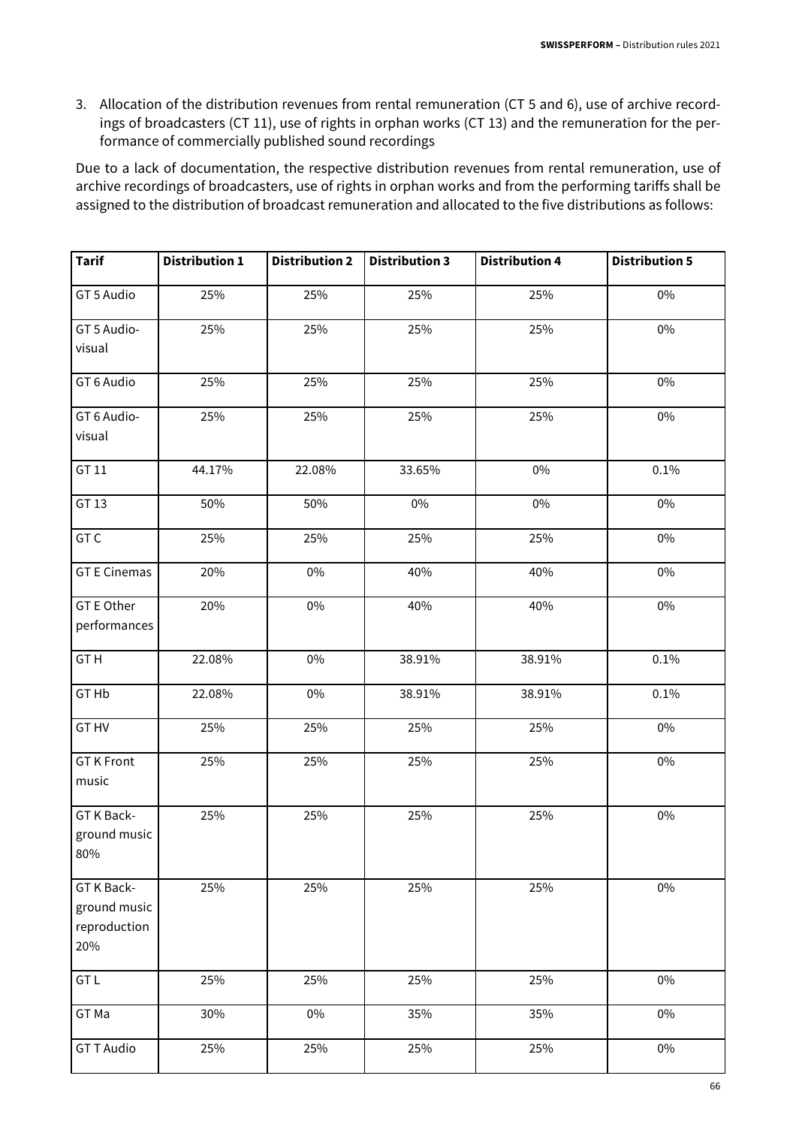3. Allocation of the distribution revenues from rental remuneration (CT 5 and 6), use of archive recordings of broadcasters (CT 11), use of rights in orphan works (CT 13) and the remuneration for the performance of commercially published sound recordings

Due to a lack of documentation, the respective distribution revenues from rental remuneration, use of archive recordings of broadcasters, use of rights in orphan works and from the performing tariffs shall be assigned to the distribution of broadcast remuneration and allocated to the five distributions as follows:

| <b>Tarif</b>                                      | <b>Distribution 1</b> | <b>Distribution 2</b> | <b>Distribution 3</b> | <b>Distribution 4</b> | <b>Distribution 5</b> |
|---------------------------------------------------|-----------------------|-----------------------|-----------------------|-----------------------|-----------------------|
| GT 5 Audio                                        | 25%                   | 25%                   | 25%                   | 25%                   | $0\%$                 |
| GT 5 Audio-<br>visual                             | 25%                   | 25%                   | 25%                   | 25%                   | $0\%$                 |
| GT 6 Audio                                        | 25%                   | 25%                   | 25%                   | 25%                   | 0%                    |
| GT 6 Audio-<br>visual                             | 25%                   | 25%                   | 25%                   | 25%                   | $0\%$                 |
| GT 11                                             | 44.17%                | 22.08%                | 33.65%                | $0\%$                 | 0.1%                  |
| GT 13                                             | 50%                   | 50%                   | $0\%$                 | $0\%$                 | $0\%$                 |
| GTC                                               | 25%                   | 25%                   | 25%                   | 25%                   | $0\%$                 |
| <b>GT E Cinemas</b>                               | 20%                   | $0\%$                 | 40%                   | 40%                   | $0\%$                 |
| <b>GT E Other</b><br>performances                 | 20%                   | $0\%$                 | 40%                   | 40%                   | $0\%$                 |
| GTH                                               | 22.08%                | $0\%$                 | 38.91%                | 38.91%                | 0.1%                  |
| GT Hb                                             | 22.08%                | $0\%$                 | 38.91%                | 38.91%                | 0.1%                  |
| GT HV                                             | 25%                   | 25%                   | 25%                   | 25%                   | $0\%$                 |
| <b>GTK Front</b><br>music                         | 25%                   | 25%                   | 25%                   | 25%                   | $0\%$                 |
| GT K Back-<br>ground music<br>80%                 | 25%                   | 25%                   | 25%                   | 25%                   | $0\%$                 |
| GT K Back-<br>ground music<br>reproduction<br>20% | 25%                   | 25%                   | 25%                   | 25%                   | $0\%$                 |
| GT <sub>L</sub>                                   | 25%                   | 25%                   | 25%                   | 25%                   | $0\%$                 |
| GT Ma                                             | 30%                   | $0\%$                 | 35%                   | 35%                   | $0\%$                 |
| <b>GTT Audio</b>                                  | 25%                   | 25%                   | 25%                   | 25%                   | $0\%$                 |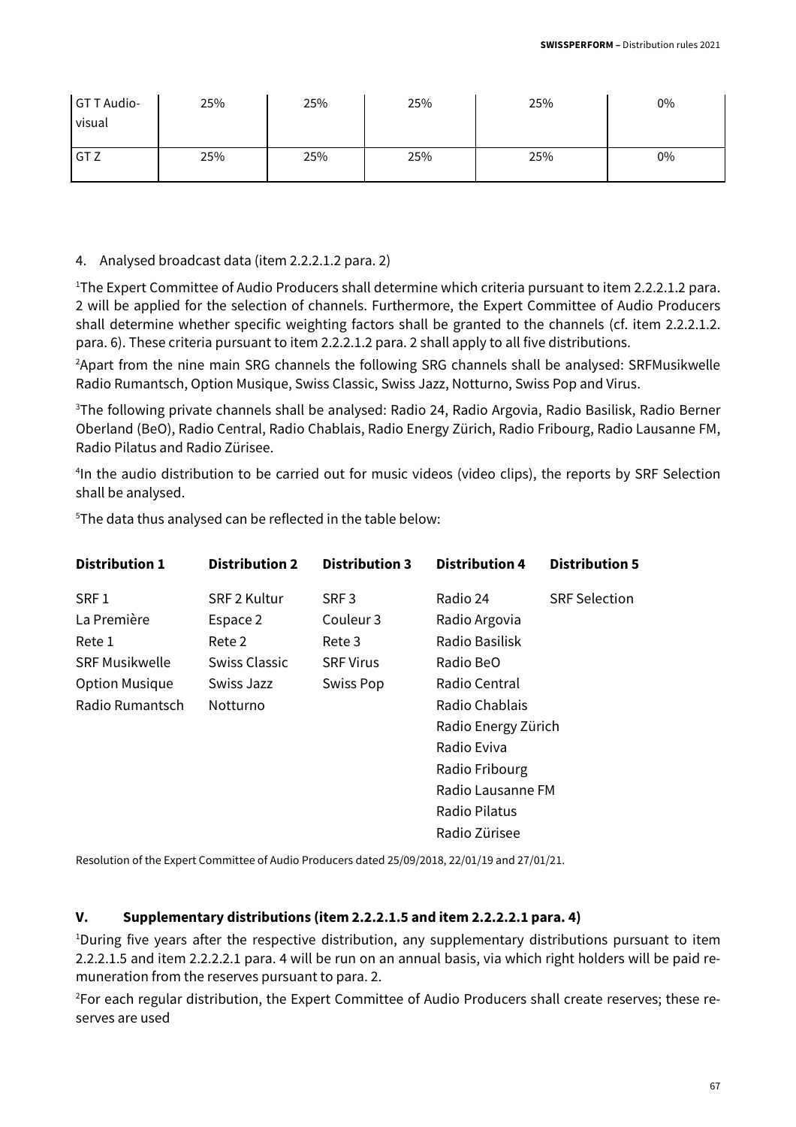| GT T Audio-<br>  visual | 25% | 25% | 25% | 25% | 0% |
|-------------------------|-----|-----|-----|-----|----|
| GT Z                    | 25% | 25% | 25% | 25% | 0% |

#### 4. Analysed broadcast data (item 2.2.2.1.2 para. 2)

<sup>1</sup>The Expert Committee of Audio Producers shall determine which criteria pursuant to item 2.2.2.1.2 para. 2 will be applied for the selection of channels. Furthermore, the Expert Committee of Audio Producers shall determine whether specific weighting factors shall be granted to the channels (cf. item 2.2.2.1.2. para. 6). These criteria pursuant to item 2.2.2.1.2 para. 2 shall apply to all five distributions.

<sup>2</sup>Apart from the nine main SRG channels the following SRG channels shall be analysed: SRFMusikwelle Radio Rumantsch, Option Musique, Swiss Classic, Swiss Jazz, Notturno, Swiss Pop and Virus.

<sup>3</sup>The following private channels shall be analysed: Radio 24, Radio Argovia, Radio Basilisk, Radio Berner Oberland (BeO), Radio Central, Radio Chablais, Radio Energy Zürich, Radio Fribourg, Radio Lausanne FM, Radio Pilatus and Radio Zürisee.

<sup>4</sup>In the audio distribution to be carried out for music videos (video clips), the reports by SRF Selection shall be analysed.

| <b>Distribution 1</b> | <b>Distribution 2</b> | <b>Distribution 3</b> | <b>Distribution 4</b> | <b>Distribution 5</b> |
|-----------------------|-----------------------|-----------------------|-----------------------|-----------------------|
| SRF <sub>1</sub>      | SRF 2 Kultur          | SRF <sub>3</sub>      | Radio 24              | <b>SRF Selection</b>  |
| La Première           | Espace 2              | Couleur 3             | Radio Argovia         |                       |
| Rete 1                | Rete 2                | Rete 3                | Radio Basilisk        |                       |
| <b>SRF Musikwelle</b> | Swiss Classic         | <b>SRF Virus</b>      | Radio BeO             |                       |
| <b>Option Musique</b> | Swiss Jazz            | Swiss Pop             | Radio Central         |                       |
| Radio Rumantsch       | Notturno              |                       | Radio Chablais        |                       |
|                       |                       |                       | Radio Energy Zürich   |                       |
|                       |                       |                       | Radio Eviva           |                       |
|                       |                       |                       | Radio Fribourg        |                       |
|                       |                       |                       | Radio Lausanne FM     |                       |
|                       |                       |                       | Radio Pilatus         |                       |
|                       |                       |                       | Radio Zürisee         |                       |

<sup>5</sup>The data thus analysed can be reflected in the table below:

Resolution of the Expert Committee of Audio Producers dated 25/09/2018, 22/01/19 and 27/01/21.

#### **V. Supplementary distributions (item 2.2.2.1.5 and item 2.2.2.2.1 para. 4)**

<sup>1</sup>During five years after the respective distribution, any supplementary distributions pursuant to item 2.2.2.1.5 and item 2.2.2.2.1 para. 4 will be run on an annual basis, via which right holders will be paid remuneration from the reserves pursuant to para. 2.

2For each regular distribution, the Expert Committee of Audio Producers shall create reserves; these reserves are used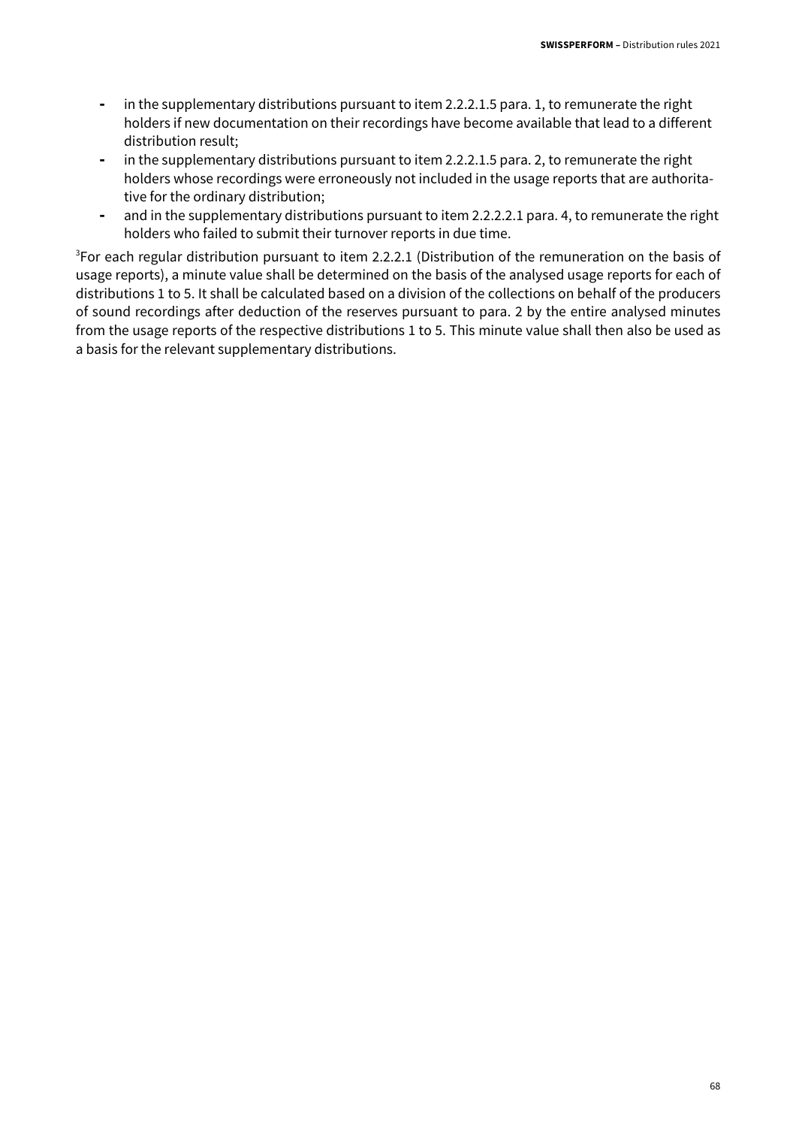- in the supplementary distributions pursuant to item 2.2.2.1.5 para. 1, to remunerate the right holders if new documentation on their recordings have become available that lead to a different distribution result;
- in the supplementary distributions pursuant to item 2.2.2.1.5 para. 2, to remunerate the right holders whose recordings were erroneously not included in the usage reports that are authoritative for the ordinary distribution;
- and in the supplementary distributions pursuant to item 2.2.2.2.1 para. 4, to remunerate the right holders who failed to submit their turnover reports in due time.

<sup>3</sup>For each regular distribution pursuant to item 2.2.2.1 (Distribution of the remuneration on the basis of usage reports), a minute value shall be determined on the basis of the analysed usage reports for each of distributions 1 to 5. It shall be calculated based on a division of the collections on behalf of the producers of sound recordings after deduction of the reserves pursuant to para. 2 by the entire analysed minutes from the usage reports of the respective distributions 1 to 5. This minute value shall then also be used as a basis for the relevant supplementary distributions.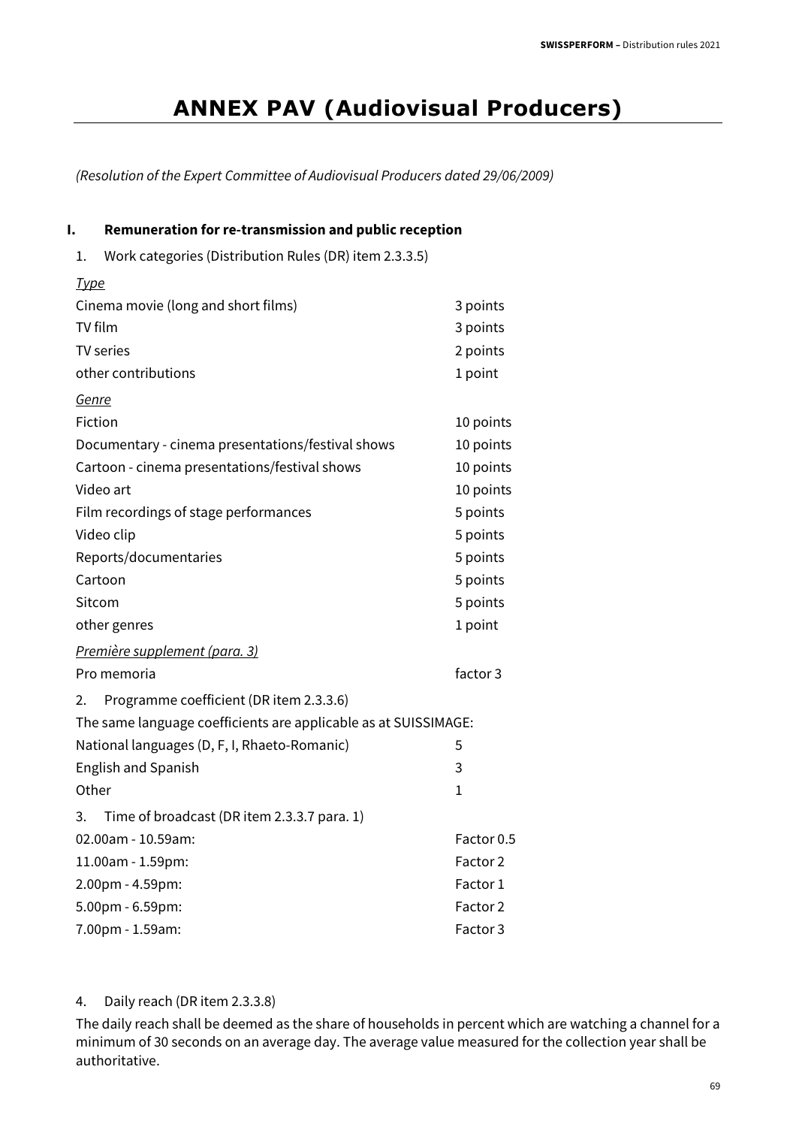## **ANNEX PAV (Audiovisual Producers)**

(Resolution of the Expert Committee of Audiovisual Producers dated 29/06/2009)

#### **I. Remuneration for re-transmission and public reception**

1. Work categories (Distribution Rules (DR) item 2.3.3.5)

 $T_{1,1}$ 

| <u> турс</u>                                                    |                     |
|-----------------------------------------------------------------|---------------------|
| Cinema movie (long and short films)                             | 3 points            |
| TV film                                                         | 3 points            |
| <b>TV</b> series                                                | 2 points            |
| other contributions                                             | 1 point             |
| <u>Genre</u>                                                    |                     |
| Fiction                                                         | 10 points           |
| Documentary - cinema presentations/festival shows               | 10 points           |
| Cartoon - cinema presentations/festival shows                   | 10 points           |
| Video art                                                       | 10 points           |
| Film recordings of stage performances                           | 5 points            |
| Video clip                                                      | 5 points            |
| Reports/documentaries                                           | 5 points            |
| Cartoon                                                         | 5 points            |
| Sitcom                                                          | 5 points            |
| other genres                                                    | 1 point             |
| <u>Première supplement (para. 3)</u>                            |                     |
| Pro memoria                                                     | factor 3            |
| Programme coefficient (DR item 2.3.3.6)<br>2.                   |                     |
| The same language coefficients are applicable as at SUISSIMAGE: |                     |
| National languages (D, F, I, Rhaeto-Romanic)                    | 5                   |
| <b>English and Spanish</b>                                      | 3                   |
| Other                                                           | $\mathbf 1$         |
| 3.<br>Time of broadcast (DR item 2.3.3.7 para. 1)               |                     |
| 02.00am - 10.59am:                                              | Factor 0.5          |
| 11.00am - 1.59pm:                                               | Factor <sub>2</sub> |
| 2.00pm - 4.59pm:                                                | Factor 1            |
| 5.00pm - 6.59pm:                                                | Factor <sub>2</sub> |
| 7.00pm - 1.59am:                                                | Factor 3            |

#### 4. Daily reach (DR item 2.3.3.8)

The daily reach shall be deemed as the share of households in percent which are watching a channel for a minimum of 30 seconds on an average day. The average value measured for the collection year shall be authoritative.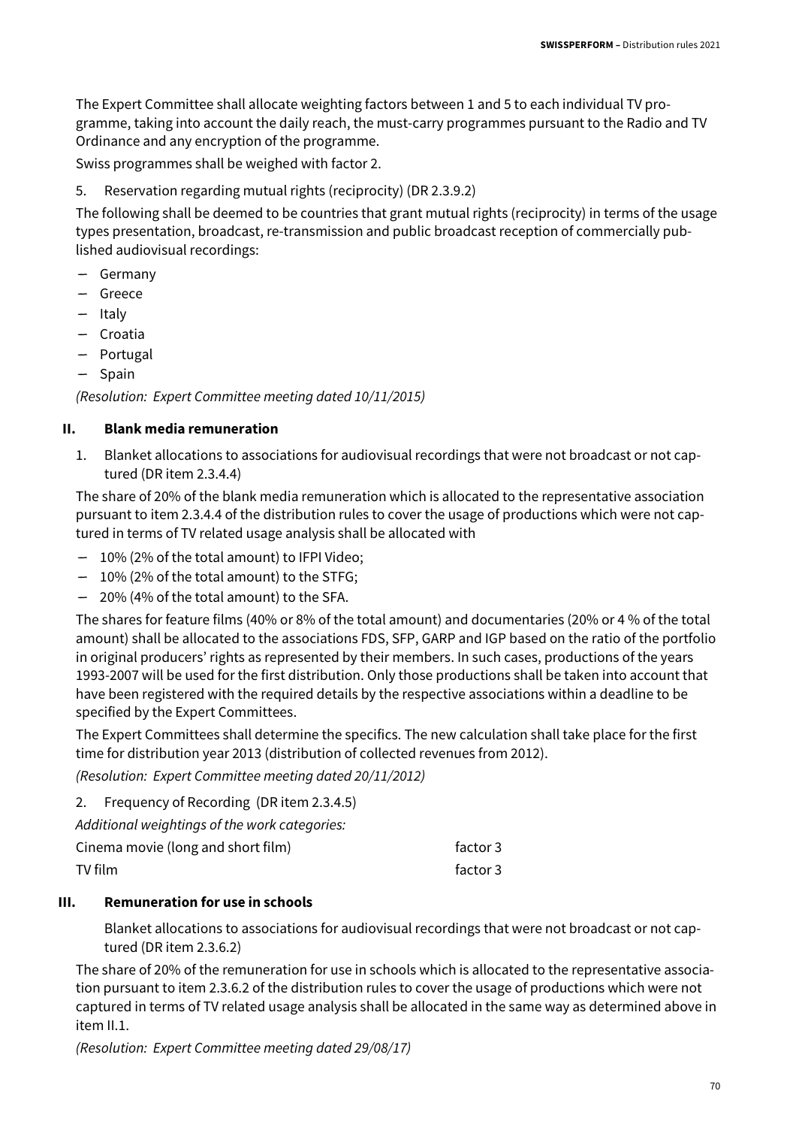The Expert Committee shall allocate weighting factors between 1 and 5 to each individual TV programme, taking into account the daily reach, the must-carry programmes pursuant to the Radio and TV Ordinance and any encryption of the programme.

Swiss programmes shall be weighed with factor 2.

5. Reservation regarding mutual rights (reciprocity) (DR 2.3.9.2)

The following shall be deemed to be countries that grant mutual rights (reciprocity) in terms of the usage types presentation, broadcast, re-transmission and public broadcast reception of commercially published audiovisual recordings:

- Germany
- Greece
- Italy
- Croatia
- Portugal
- Spain

(Resolution: Expert Committee meeting dated 10/11/2015)

#### **II. Blank media remuneration**

1. Blanket allocations to associations for audiovisual recordings that were not broadcast or not captured (DR item 2.3.4.4)

The share of 20% of the blank media remuneration which is allocated to the representative association pursuant to item 2.3.4.4 of the distribution rules to cover the usage of productions which were not captured in terms of TV related usage analysis shall be allocated with

- 10% (2% of the total amount) to IFPI Video;
- 10% (2% of the total amount) to the STFG;
- 20% (4% of the total amount) to the SFA.

The shares for feature films (40% or 8% of the total amount) and documentaries (20% or 4 % of the total amount) shall be allocated to the associations FDS, SFP, GARP and IGP based on the ratio of the portfolio in original producers' rights as represented by their members. In such cases, productions of the years 1993-2007 will be used for the first distribution. Only those productions shall be taken into account that have been registered with the required details by the respective associations within a deadline to be specified by the Expert Committees.

The Expert Committees shall determine the specifics. The new calculation shall take place for the first time for distribution year 2013 (distribution of collected revenues from 2012).

(Resolution: Expert Committee meeting dated 20/11/2012)

2. Frequency of Recording (DR item 2.3.4.5)

Additional weightings of the work categories:

| Cinema movie (long and short film) | factor 3 |
|------------------------------------|----------|
| TV film                            | factor 3 |

#### **III. Remuneration for use in schools**

Blanket allocations to associations for audiovisual recordings that were not broadcast or not captured (DR item 2.3.6.2)

The share of 20% of the remuneration for use in schools which is allocated to the representative association pursuant to item 2.3.6.2 of the distribution rules to cover the usage of productions which were not captured in terms of TV related usage analysis shall be allocated in the same way as determined above in item II.1.

(Resolution: Expert Committee meeting dated 29/08/17)